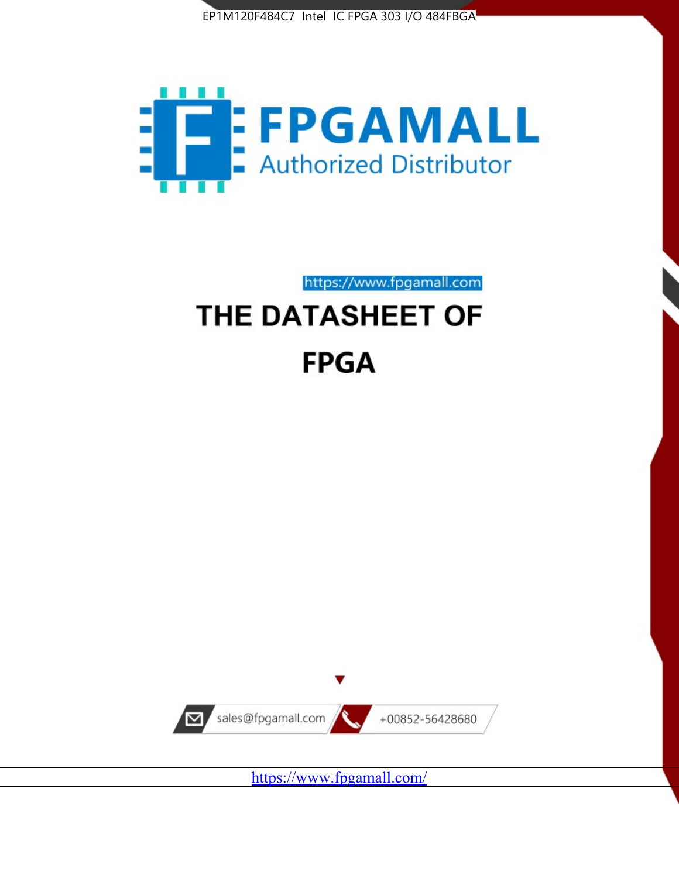



https://www.fpgamall.com

# THE DATASHEET OF **FPGA**



<https://www.fpgamall.com/>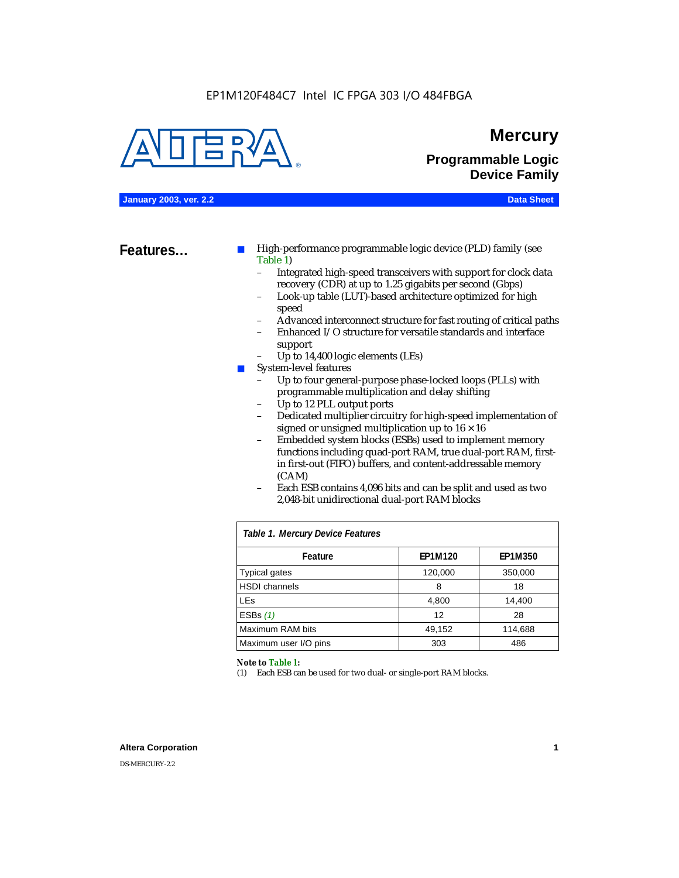#### EP1M120F484C7 Intel IC FPGA 303 I/O 484FBGA



### **Mercury**

**Programmable Logic Device Family**

**January 2003, ver. 2.2 Data Sheet**

**Features...** ■ High-performance programmable logic device (PLD) family (see Table 1)

- Integrated high-speed transceivers with support for clock data recovery (CDR) at up to 1.25 gigabits per second (Gbps)
- Look-up table (LUT)-based architecture optimized for high speed
- Advanced interconnect structure for fast routing of critical paths
- Enhanced I/O structure for versatile standards and interface support
- Up to 14,400 logic elements (LEs)
- System-level features
	- Up to four general-purpose phase-locked loops (PLLs) with programmable multiplication and delay shifting
	- Up to 12 PLL output ports
	- Dedicated multiplier circuitry for high-speed implementation of signed or unsigned multiplication up to  $16 \times 16$
	- Embedded system blocks (ESBs) used to implement memory functions including quad-port RAM, true dual-port RAM, firstin first-out (FIFO) buffers, and content-addressable memory (CAM)
	- Each ESB contains 4,096 bits and can be split and used as two 2,048-bit unidirectional dual-port RAM blocks

| Table 1. Mercury Device Features |         |                |  |  |  |  |  |
|----------------------------------|---------|----------------|--|--|--|--|--|
| Feature                          | EP1M120 | <b>EP1M350</b> |  |  |  |  |  |
| <b>Typical gates</b>             | 120,000 | 350,000        |  |  |  |  |  |
| <b>HSDI</b> channels             | 8       | 18             |  |  |  |  |  |
| <b>LEs</b>                       | 4,800   | 14,400         |  |  |  |  |  |
| ESBs $(1)$                       | 12      | 28             |  |  |  |  |  |
| Maximum RAM bits                 | 49,152  | 114,688        |  |  |  |  |  |
| Maximum user I/O pins            | 303     | 486            |  |  |  |  |  |

#### *Note to Table 1:*

(1) Each ESB can be used for two dual- or single-port RAM blocks.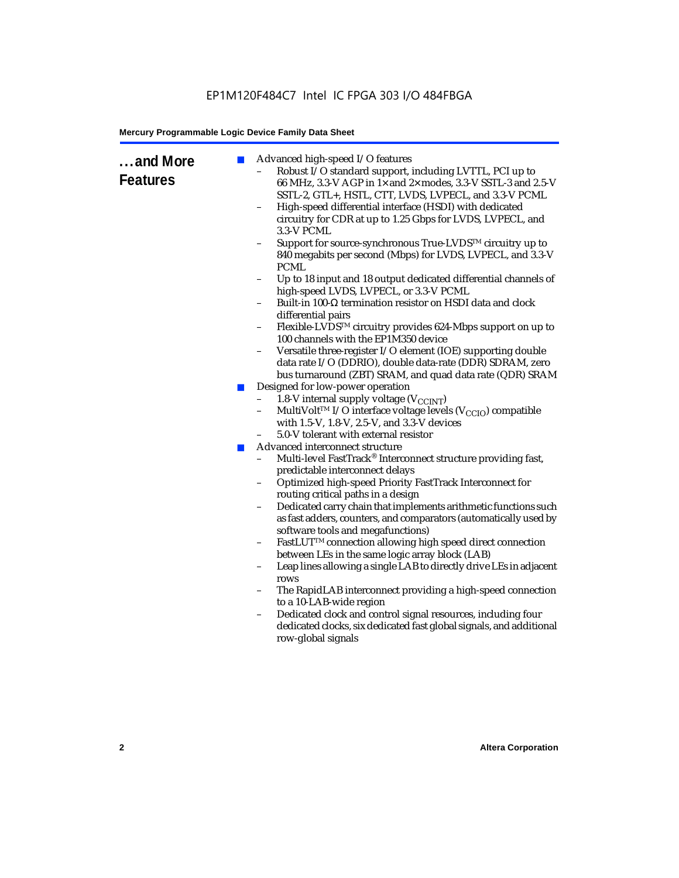### EP1M120F484C7 Intel IC FPGA 303 I/O 484FBGA

#### **Mercury Programmable Logic Device Family Data Sheet**

| and More<br><b>Features</b> | ш<br><b>COL</b> | Advanced high-speed I/O features<br>Robust I/O standard support, including LVTTL, PCI up to<br>66 MHz, 3.3-V AGP in 1x and 2x modes, 3.3-V SSTL-3 and 2.5-V<br>SSTL-2, GTL+, HSTL, CTT, LVDS, LVPECL, and 3.3-V PCML<br>High-speed differential interface (HSDI) with dedicated<br>$\overline{\phantom{0}}$<br>circuitry for CDR at up to 1.25 Gbps for LVDS, LVPECL, and<br>3.3-V PCML<br>Support for source-synchronous True-LVDS™ circuitry up to<br>840 megabits per second (Mbps) for LVDS, LVPECL, and 3.3-V<br><b>PCML</b><br>Up to 18 input and 18 output dedicated differential channels of<br>high-speed LVDS, LVPECL, or 3.3-V PCML<br>Built-in 100-Ω termination resistor on HSDI data and clock<br>differential pairs<br>Flexible-LVDS™ circuitry provides 624-Mbps support on up to<br>100 channels with the EP1M350 device<br>Versatile three-register I/O element (IOE) supporting double<br>-<br>data rate I/O (DDRIO), double data-rate (DDR) SDRAM, zero<br>bus turnaround (ZBT) SRAM, and quad data rate (QDR) SRAM<br>Designed for low-power operation<br>1.8-V internal supply voltage (V <sub>CCINT</sub> )<br>$\overline{\phantom{0}}$<br>MultiVolt <sup>™</sup> I/O interface voltage levels ( $V_{\text{CCIO}}$ ) compatible<br>$\overline{\phantom{0}}$<br>with 1.5-V, 1.8-V, 2.5-V, and 3.3-V devices<br>5.0-V tolerant with external resistor<br>Advanced interconnect structure<br>Multi-level FastTrack® Interconnect structure providing fast,<br>predictable interconnect delays<br>Optimized high-speed Priority FastTrack Interconnect for<br>routing critical paths in a design<br>Dedicated carry chain that implements arithmetic functions such<br>-<br>as fast adders, counters, and comparators (automatically used by<br>software tools and megafunctions)<br>FastLUT™ connection allowing high speed direct connection<br>$\qquad \qquad -$<br>between LEs in the same logic array block (LAB)<br>Leap lines allowing a single LAB to directly drive LEs in adjacent<br>-<br>rows<br>The RapidLAB interconnect providing a high-speed connection<br>to a 10-LAB-wide region<br>Dedicated clock and control signal resources, including four<br>$\overline{\phantom{0}}$<br>dedicated clocks, six dedicated fast global signals, and additional<br>row-global signals |
|-----------------------------|-----------------|-----------------------------------------------------------------------------------------------------------------------------------------------------------------------------------------------------------------------------------------------------------------------------------------------------------------------------------------------------------------------------------------------------------------------------------------------------------------------------------------------------------------------------------------------------------------------------------------------------------------------------------------------------------------------------------------------------------------------------------------------------------------------------------------------------------------------------------------------------------------------------------------------------------------------------------------------------------------------------------------------------------------------------------------------------------------------------------------------------------------------------------------------------------------------------------------------------------------------------------------------------------------------------------------------------------------------------------------------------------------------------------------------------------------------------------------------------------------------------------------------------------------------------------------------------------------------------------------------------------------------------------------------------------------------------------------------------------------------------------------------------------------------------------------------------------------------------------------------------------------------------------------------------------------------------------------------------------------------------------------------------------------------------------------------------------------------------------------------------------------------------------------------------------------------------------------------------------------------------------------------------------------------------------------------------------------|
|                             |                 |                                                                                                                                                                                                                                                                                                                                                                                                                                                                                                                                                                                                                                                                                                                                                                                                                                                                                                                                                                                                                                                                                                                                                                                                                                                                                                                                                                                                                                                                                                                                                                                                                                                                                                                                                                                                                                                                                                                                                                                                                                                                                                                                                                                                                                                                                                                 |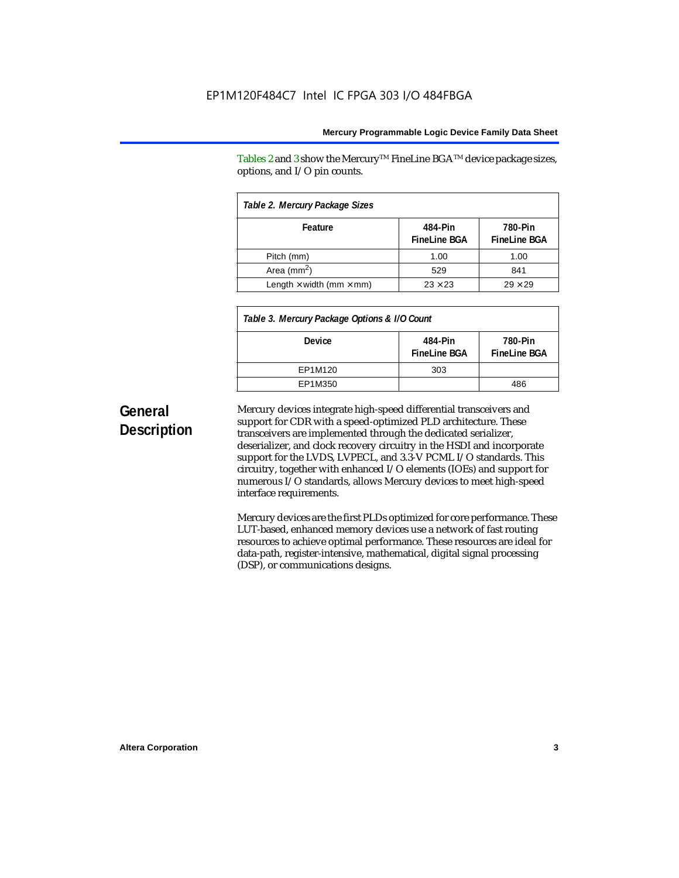Tables 2 and 3 show the Mercury<sup>TM</sup> FineLine BGA<sup>TM</sup> device package sizes, options, and I/O pin counts.

| Table 2. Mercury Package Sizes         |                                |                                |  |  |  |  |  |
|----------------------------------------|--------------------------------|--------------------------------|--|--|--|--|--|
| Feature                                | 484-Pin<br><b>FineLine BGA</b> | 780-Pin<br><b>FineLine BGA</b> |  |  |  |  |  |
| Pitch (mm)                             | 1.00                           | 1.00                           |  |  |  |  |  |
| Area ( $mm2$ )                         | 529                            | 841                            |  |  |  |  |  |
| Length $\times$ width (mm $\times$ mm) | $23 \times 23$                 | $29 \times 29$                 |  |  |  |  |  |

| Table 3. Mercury Package Options & I/O Count |                                 |                                |  |  |  |
|----------------------------------------------|---------------------------------|--------------------------------|--|--|--|
| <b>Device</b>                                | 484-Pin<br><b>Finel ine BGA</b> | 780-Pin<br><b>FineLine BGA</b> |  |  |  |
| EP1M120                                      | 303                             |                                |  |  |  |
| EP1M350                                      |                                 | 486                            |  |  |  |

## **General Description**

Mercury devices integrate high-speed differential transceivers and support for CDR with a speed-optimized PLD architecture. These transceivers are implemented through the dedicated serializer, deserializer, and clock recovery circuitry in the HSDI and incorporate support for the LVDS, LVPECL, and 3.3-V PCML I/O standards. This circuitry, together with enhanced I/O elements (IOEs) and support for numerous I/O standards, allows Mercury devices to meet high-speed interface requirements.

Mercury devices are the first PLDs optimized for core performance. These LUT-based, enhanced memory devices use a network of fast routing resources to achieve optimal performance. These resources are ideal for data-path, register-intensive, mathematical, digital signal processing (DSP), or communications designs.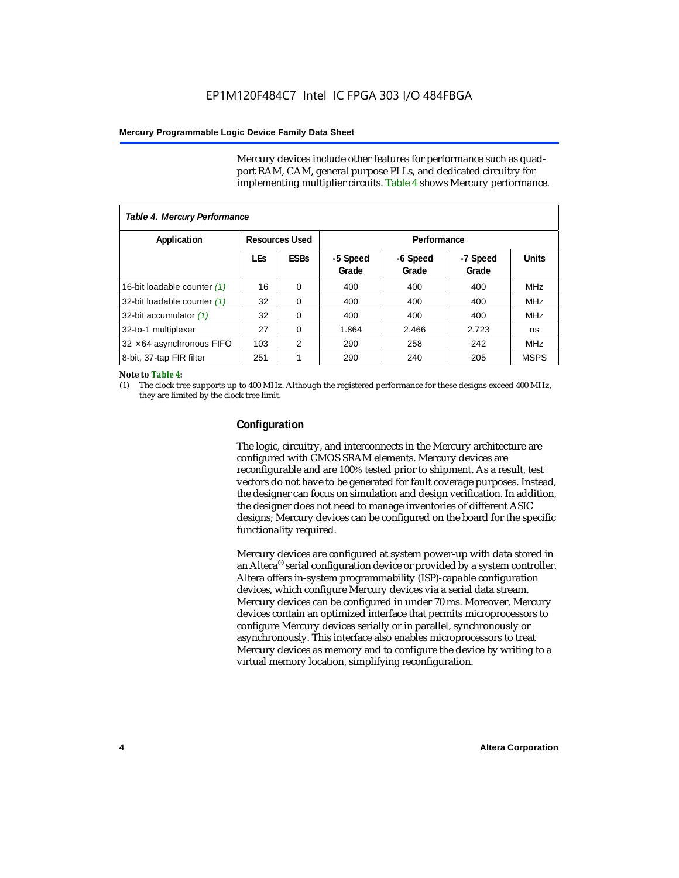Mercury devices include other features for performance such as quadport RAM, CAM, general purpose PLLs, and dedicated circuitry for implementing multiplier circuits. Table 4 shows Mercury performance.

| Table 4. Mercury Performance     |            |                       |                   |                   |                   |              |  |  |  |
|----------------------------------|------------|-----------------------|-------------------|-------------------|-------------------|--------------|--|--|--|
| Application                      |            | <b>Resources Used</b> |                   | Performance       |                   |              |  |  |  |
|                                  | <b>LEs</b> | <b>ESBs</b>           | -5 Speed<br>Grade | -6 Speed<br>Grade | -7 Speed<br>Grade | <b>Units</b> |  |  |  |
| 16-bit loadable counter (1)      | 16         | $\Omega$              | 400               | 400               | 400               | <b>MHz</b>   |  |  |  |
| 32-bit loadable counter (1)      | 32         | 0                     | 400               | 400               | 400               | <b>MHz</b>   |  |  |  |
| 32-bit accumulator (1)           | 32         | 0                     | 400               | 400               | 400               | <b>MHz</b>   |  |  |  |
| 32-to-1 multiplexer              | 27         | 0                     | 1.864             | 2.466             | 2.723             | ns           |  |  |  |
| $32 \times 64$ asynchronous FIFO | 103        | 2                     | 290               | 258               | 242               | <b>MHz</b>   |  |  |  |
| 8-bit, 37-tap FIR filter         | 251        | 1                     | 290               | 240               | 205               | <b>MSPS</b>  |  |  |  |

#### *Note to Table 4:*

(1) The clock tree supports up to 400 MHz. Although the registered performance for these designs exceed 400 MHz, they are limited by the clock tree limit.

#### **Configuration**

The logic, circuitry, and interconnects in the Mercury architecture are configured with CMOS SRAM elements. Mercury devices are reconfigurable and are 100% tested prior to shipment. As a result, test vectors do not have to be generated for fault coverage purposes. Instead, the designer can focus on simulation and design verification. In addition, the designer does not need to manage inventories of different ASIC designs; Mercury devices can be configured on the board for the specific functionality required.

Mercury devices are configured at system power-up with data stored in an Altera® serial configuration device or provided by a system controller. Altera offers in-system programmability (ISP)-capable configuration devices, which configure Mercury devices via a serial data stream. Mercury devices can be configured in under 70 ms. Moreover, Mercury devices contain an optimized interface that permits microprocessors to configure Mercury devices serially or in parallel, synchronously or asynchronously. This interface also enables microprocessors to treat Mercury devices as memory and to configure the device by writing to a virtual memory location, simplifying reconfiguration.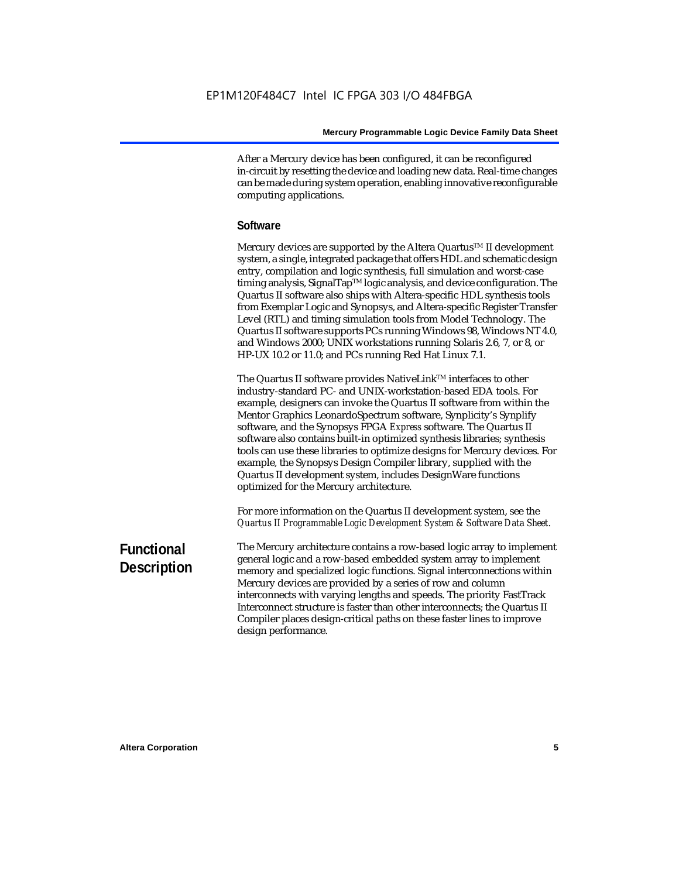After a Mercury device has been configured, it can be reconfigured in-circuit by resetting the device and loading new data. Real-time changes can be made during system operation, enabling innovative reconfigurable computing applications.

#### **Software**

Mercury devices are supported by the Altera Quartus<sup>TM</sup> II development system, a single, integrated package that offers HDL and schematic design entry, compilation and logic synthesis, full simulation and worst-case timing analysis, SignalTap™ logic analysis, and device configuration. The Quartus II software also ships with Altera-specific HDL synthesis tools from Exemplar Logic and Synopsys, and Altera-specific Register Transfer Level (RTL) and timing simulation tools from Model Technology. The Quartus II software supports PCs running Windows 98, Windows NT 4.0, and Windows 2000; UNIX workstations running Solaris 2.6, 7, or 8, or HP-UX 10.2 or 11.0; and PCs running Red Hat Linux 7.1.

The Quartus II software provides NativeLink<sup>TM</sup> interfaces to other industry-standard PC- and UNIX-workstation-based EDA tools. For example, designers can invoke the Quartus II software from within the Mentor Graphics LeonardoSpectrum software, Synplicity's Synplify software, and the Synopsys FPGA *Express* software. The Quartus II software also contains built-in optimized synthesis libraries; synthesis tools can use these libraries to optimize designs for Mercury devices. For example, the Synopsys Design Compiler library, supplied with the Quartus II development system, includes DesignWare functions optimized for the Mercury architecture.

For more information on the Quartus II development system, see the *Quartus II Programmable Logic Development System & Software Data Sheet*.

### **Functional Description**

The Mercury architecture contains a row-based logic array to implement general logic and a row-based embedded system array to implement memory and specialized logic functions. Signal interconnections within Mercury devices are provided by a series of row and column interconnects with varying lengths and speeds. The priority FastTrack Interconnect structure is faster than other interconnects; the Quartus II Compiler places design-critical paths on these faster lines to improve design performance.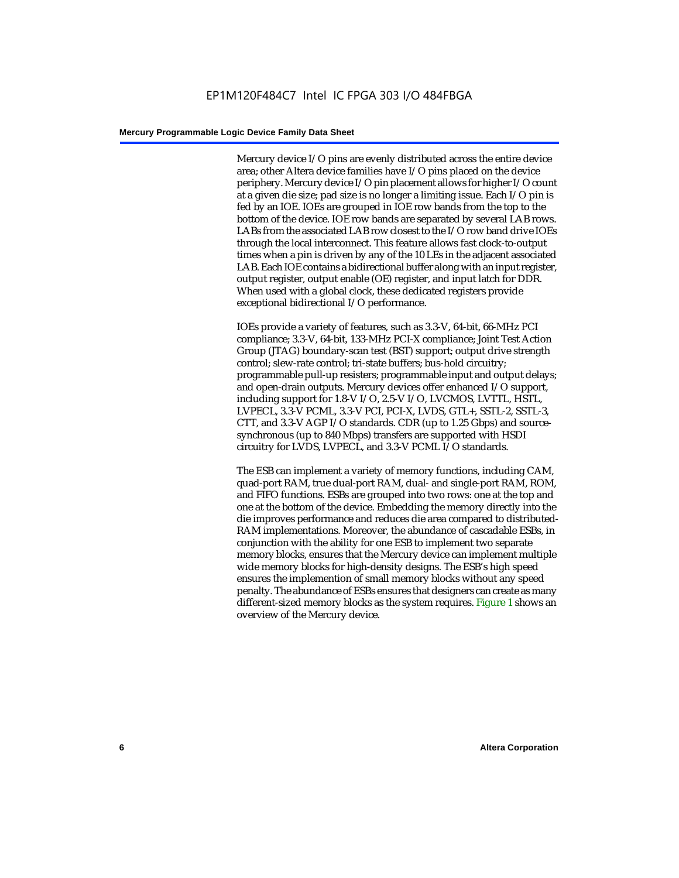Mercury device I/O pins are evenly distributed across the entire device area; other Altera device families have I/O pins placed on the device periphery. Mercury device I/O pin placement allows for higher I/O count at a given die size; pad size is no longer a limiting issue. Each I/O pin is fed by an IOE. IOEs are grouped in IOE row bands from the top to the bottom of the device. IOE row bands are separated by several LAB rows. LABs from the associated LAB row closest to the I/O row band drive IOEs through the local interconnect. This feature allows fast clock-to-output times when a pin is driven by any of the 10 LEs in the adjacent associated LAB. Each IOE contains a bidirectional buffer along with an input register, output register, output enable (OE) register, and input latch for DDR. When used with a global clock, these dedicated registers provide exceptional bidirectional I/O performance.

IOEs provide a variety of features, such as 3.3-V, 64-bit, 66-MHz PCI compliance; 3.3-V, 64-bit, 133-MHz PCI-X compliance; Joint Test Action Group (JTAG) boundary-scan test (BST) support; output drive strength control; slew-rate control; tri-state buffers; bus-hold circuitry; programmable pull-up resisters; programmable input and output delays; and open-drain outputs. Mercury devices offer enhanced I/O support, including support for 1.8-V I/O, 2.5-V I/O, LVCMOS, LVTTL, HSTL, LVPECL, 3.3-V PCML, 3.3-V PCI, PCI-X, LVDS, GTL+, SSTL-2, SSTL-3, CTT, and 3.3-V AGP I/O standards. CDR (up to 1.25 Gbps) and sourcesynchronous (up to 840 Mbps) transfers are supported with HSDI circuitry for LVDS, LVPECL, and 3.3-V PCML I/O standards.

The ESB can implement a variety of memory functions, including CAM, quad-port RAM, true dual-port RAM, dual- and single-port RAM, ROM, and FIFO functions. ESBs are grouped into two rows: one at the top and one at the bottom of the device. Embedding the memory directly into the die improves performance and reduces die area compared to distributed-RAM implementations. Moreover, the abundance of cascadable ESBs, in conjunction with the ability for one ESB to implement two separate memory blocks, ensures that the Mercury device can implement multiple wide memory blocks for high-density designs. The ESB's high speed ensures the implemention of small memory blocks without any speed penalty. The abundance of ESBs ensures that designers can create as many different-sized memory blocks as the system requires. Figure 1 shows an overview of the Mercury device.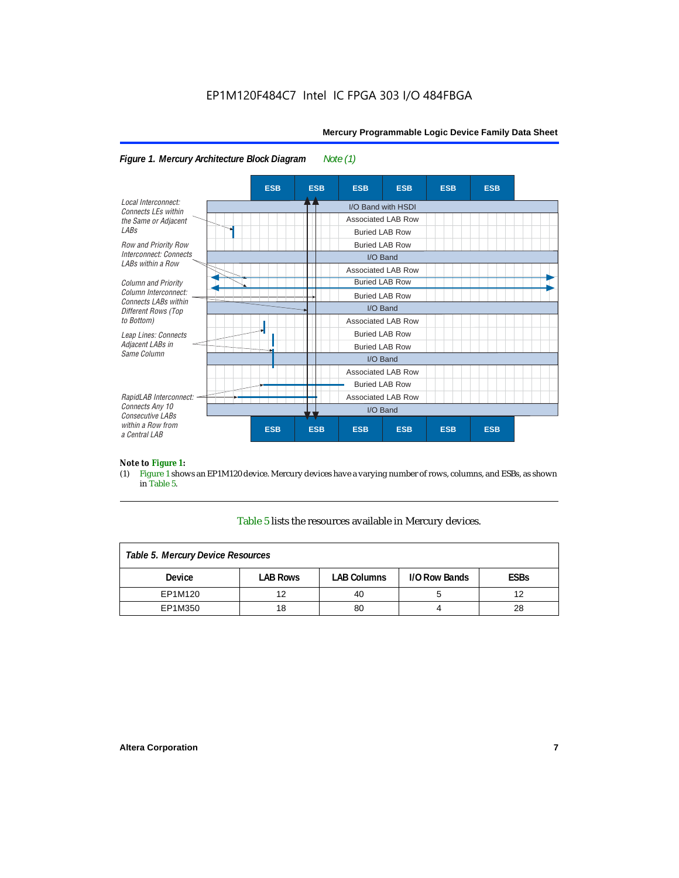

#### *Figure 1. Mercury Architecture Block Diagram Note (1)*

*Note to Figure 1:*<br>(1) Figure 1 shove Figure 1 shows an EP1M120 device. Mercury devices have a varying number of rows, columns, and ESBs, as shown in Table 5.

#### Table 5 lists the resources available in Mercury devices.

| Table 5. Mercury Device Resources |                 |                    |               |             |  |  |  |
|-----------------------------------|-----------------|--------------------|---------------|-------------|--|--|--|
| <b>Device</b>                     | <b>LAB Rows</b> | <b>LAB Columns</b> | I/O Row Bands | <b>ESBs</b> |  |  |  |
| EP1M120                           | 12              | 40                 |               | 12          |  |  |  |
| EP1M350                           | 18              | 80                 |               | 28          |  |  |  |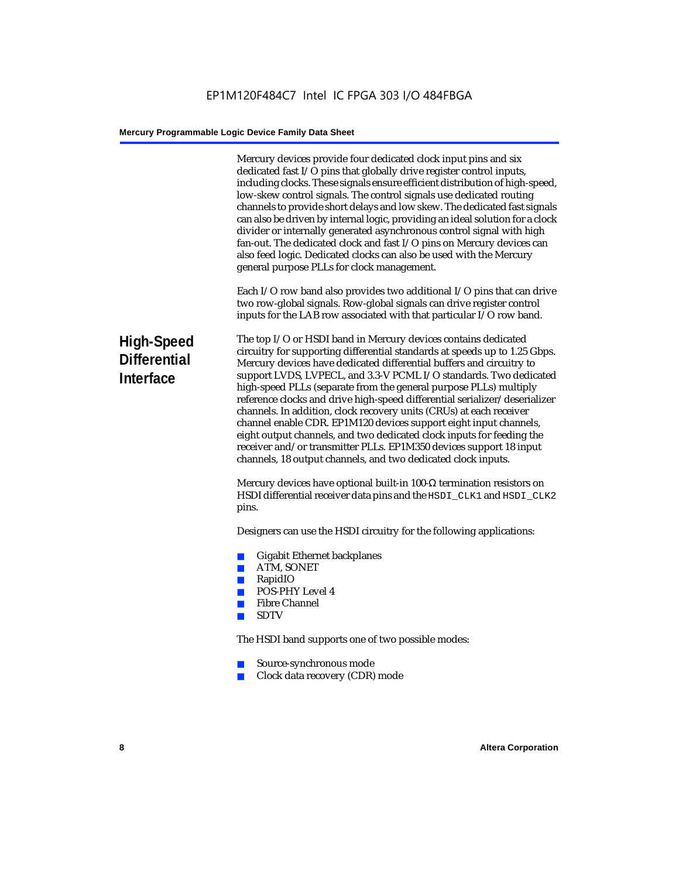|                                                | Mercury devices provide four dedicated clock input pins and six<br>dedicated fast I/O pins that globally drive register control inputs,<br>including clocks. These signals ensure efficient distribution of high-speed,<br>low-skew control signals. The control signals use dedicated routing<br>channels to provide short delays and low skew. The dedicated fast signals<br>can also be driven by internal logic, providing an ideal solution for a clock<br>divider or internally generated asynchronous control signal with high<br>fan-out. The dedicated clock and fast I/O pins on Mercury devices can<br>also feed logic. Dedicated clocks can also be used with the Mercury<br>general purpose PLLs for clock management.                                                                      |
|------------------------------------------------|----------------------------------------------------------------------------------------------------------------------------------------------------------------------------------------------------------------------------------------------------------------------------------------------------------------------------------------------------------------------------------------------------------------------------------------------------------------------------------------------------------------------------------------------------------------------------------------------------------------------------------------------------------------------------------------------------------------------------------------------------------------------------------------------------------|
|                                                | Each I/O row band also provides two additional I/O pins that can drive<br>two row-global signals. Row-global signals can drive register control<br>inputs for the LAB row associated with that particular I/O row band.                                                                                                                                                                                                                                                                                                                                                                                                                                                                                                                                                                                  |
| High-Speed<br><b>Differential</b><br>Interface | The top I/O or HSDI band in Mercury devices contains dedicated<br>circuitry for supporting differential standards at speeds up to 1.25 Gbps.<br>Mercury devices have dedicated differential buffers and circuitry to<br>support LVDS, LVPECL, and 3.3-V PCML I/O standards. Two dedicated<br>high-speed PLLs (separate from the general purpose PLLs) multiply<br>reference clocks and drive high-speed differential serializer/deserializer<br>channels. In addition, clock recovery units (CRUs) at each receiver<br>channel enable CDR. EP1M120 devices support eight input channels,<br>eight output channels, and two dedicated clock inputs for feeding the<br>receiver and/or transmitter PLLs. EP1M350 devices support 18 input<br>channels, 18 output channels, and two dedicated clock inputs. |
|                                                | Mercury devices have optional built-in 100- $\Omega$ termination resistors on<br>HSDI differential receiver data pins and the HSDI_CLK1 and HSDI_CLK2<br>pins.                                                                                                                                                                                                                                                                                                                                                                                                                                                                                                                                                                                                                                           |
|                                                | Designers can use the HSDI circuitry for the following applications:                                                                                                                                                                                                                                                                                                                                                                                                                                                                                                                                                                                                                                                                                                                                     |
|                                                | <b>Gigabit Ethernet backplanes</b><br><b>College</b><br>ATM, SONET<br><b>College</b><br>RapidIO<br>m,<br><b>POS-PHY Level 4</b><br><b>College</b><br><b>Fibre Channel</b><br><b>I</b><br><b>SDTV</b><br>a a                                                                                                                                                                                                                                                                                                                                                                                                                                                                                                                                                                                              |
|                                                | The HSDI band supports one of two possible modes:                                                                                                                                                                                                                                                                                                                                                                                                                                                                                                                                                                                                                                                                                                                                                        |
|                                                | Source-synchronous mode<br>$\mathbb{R}^3$<br>Clock data recovery (CDR) mode<br>a.                                                                                                                                                                                                                                                                                                                                                                                                                                                                                                                                                                                                                                                                                                                        |
|                                                |                                                                                                                                                                                                                                                                                                                                                                                                                                                                                                                                                                                                                                                                                                                                                                                                          |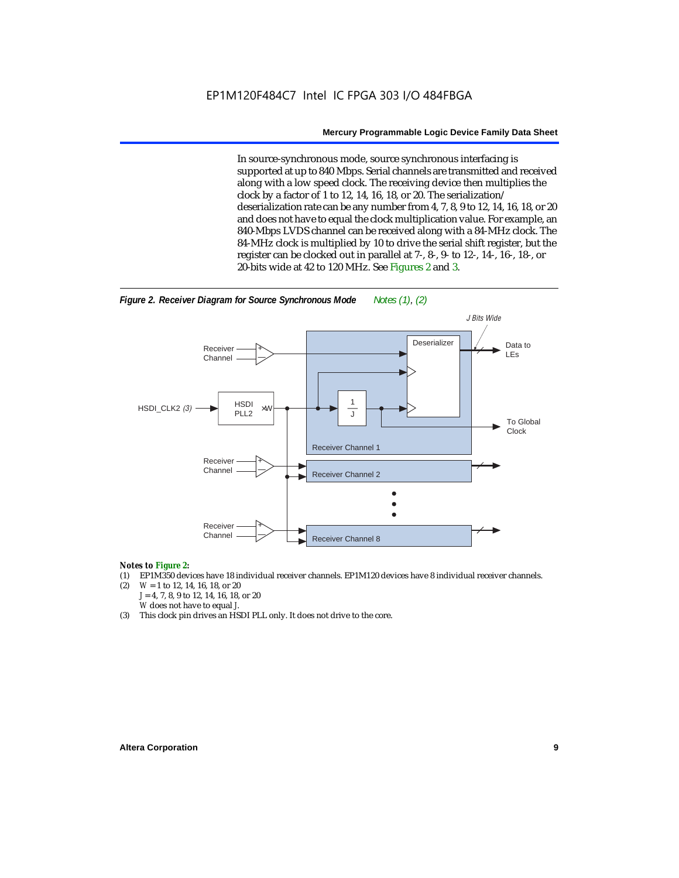In source-synchronous mode, source synchronous interfacing is supported at up to 840 Mbps. Serial channels are transmitted and received along with a low speed clock. The receiving device then multiplies the clock by a factor of 1 to 12, 14, 16, 18, or 20. The serialization/ deserialization rate can be any number from 4, 7, 8, 9 to 12, 14, 16, 18, or 20 and does not have to equal the clock multiplication value. For example, an 840-Mbps LVDS channel can be received along with a 84-MHz clock. The 84-MHz clock is multiplied by 10 to drive the serial shift register, but the register can be clocked out in parallel at 7-, 8-, 9- to 12-, 14-, 16-, 18-, or 20-bits wide at 42 to 120 MHz. See Figures 2 and 3.



### *Notes to Figure 2:*

- (1) EP1M350 devices have 18 individual receiver channels. EP1M120 devices have 8 individual receiver channels.<br>(2)  $W = 1$  to 12, 14, 16, 18, or 20
- (2) *W* = 1 to 12, 14, 16, 18, or 20 *J* = 4, 7, 8, 9 to 12, 14, 16, 18, or 20 *W* does not have to equal *J*.
- (3) This clock pin drives an HSDI PLL only. It does not drive to the core.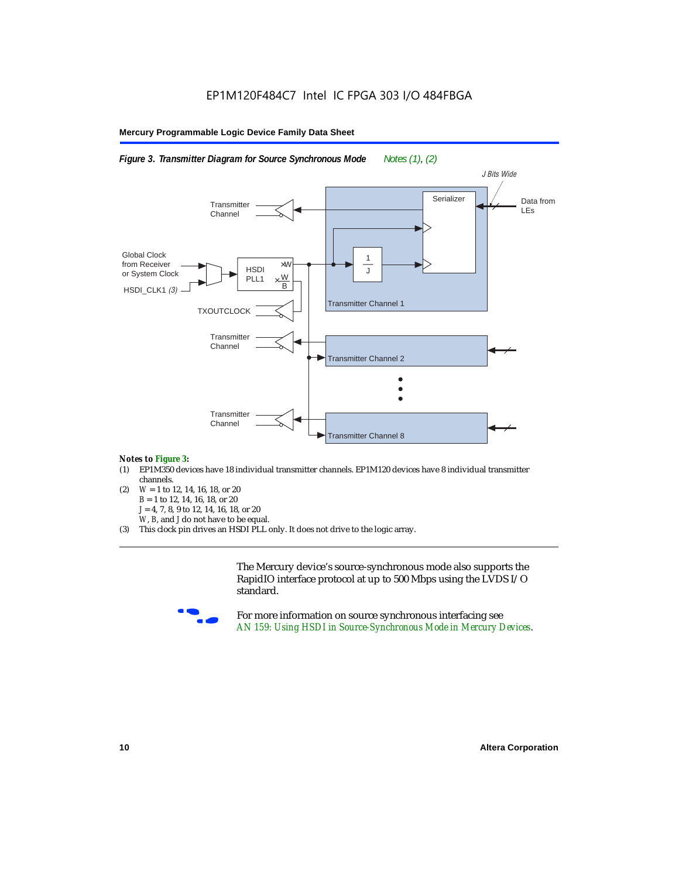

#### *Notes to Figure 3:*

- (1) EP1M350 devices have 18 individual transmitter channels. EP1M120 devices have 8 individual transmitter channels.
- (2) *W* = 1 to 12, 14, 16, 18, or 20 *B* = 1 to 12, 14, 16, 18, or 20 *J* = 4, 7, 8, 9 to 12, 14, 16, 18, or 20 *W*, *B*, and *J* do not have to be equal.
- (3) This clock pin drives an HSDI PLL only. It does not drive to the logic array.

The Mercury device's source-synchronous mode also supports the RapidIO interface protocol at up to 500 Mbps using the LVDS I/O standard.



For more information on source synchronous interfacing see *AN 159: Using HSDI in Source-Synchronous Mode in Mercury Devices*.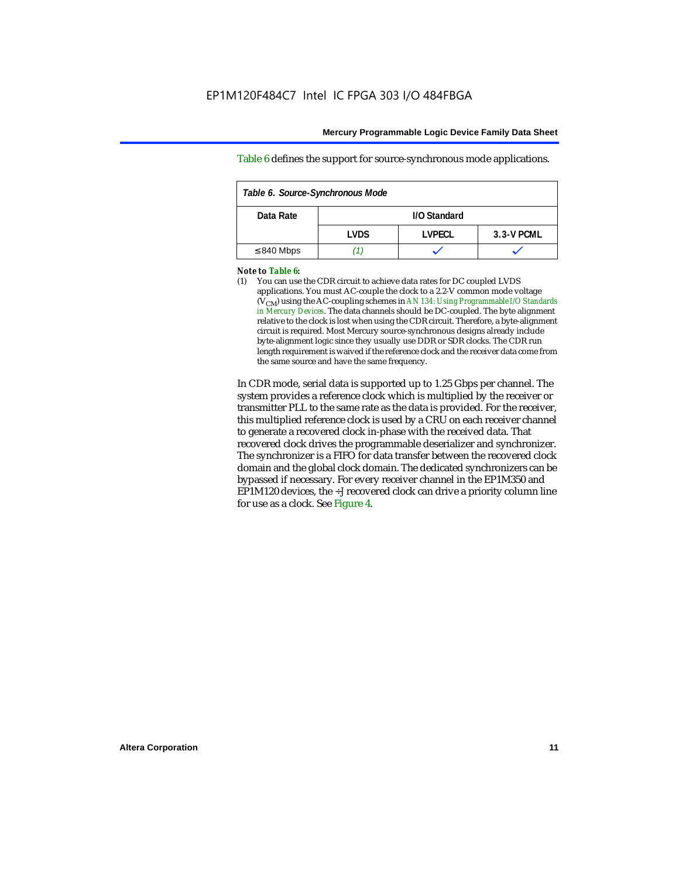Table 6 defines the support for source-synchronous mode applications.

| Table 6. Source-Synchronous Mode |                                      |              |  |  |  |  |  |  |
|----------------------------------|--------------------------------------|--------------|--|--|--|--|--|--|
| Data Rate                        |                                      | I/O Standard |  |  |  |  |  |  |
|                                  | I VDS<br><b>LVPECL</b><br>3.3-V PCML |              |  |  |  |  |  |  |
| $\leq$ 840 Mbps                  |                                      |              |  |  |  |  |  |  |

#### *Note to Table 6:*

(1) You can use the CDR circuit to achieve data rates for DC coupled LVDS applications. You must AC-couple the clock to a 2.2-V common mode voltage (VCM) using the AC-coupling schemes in *AN 134: Using Programmable I/O Standards in Mercury Devices*. The data channels should be DC-coupled. The byte alignment relative to the clock is lost when using the CDR circuit. Therefore, a byte-alignment circuit is required. Most Mercury source-synchronous designs already include byte-alignment logic since they usually use DDR or SDR clocks. The CDR run length requirement is waived if the reference clock and the receiver data come from the same source and have the same frequency.

In CDR mode, serial data is supported up to 1.25 Gbps per channel. The system provides a reference clock which is multiplied by the receiver or transmitter PLL to the same rate as the data is provided. For the receiver, this multiplied reference clock is used by a CRU on each receiver channel to generate a recovered clock in-phase with the received data. That recovered clock drives the programmable deserializer and synchronizer. The synchronizer is a FIFO for data transfer between the recovered clock domain and the global clock domain. The dedicated synchronizers can be bypassed if necessary. For every receiver channel in the EP1M350 and EP1M120 devices, the ÷*J* recovered clock can drive a priority column line for use as a clock. See Figure 4.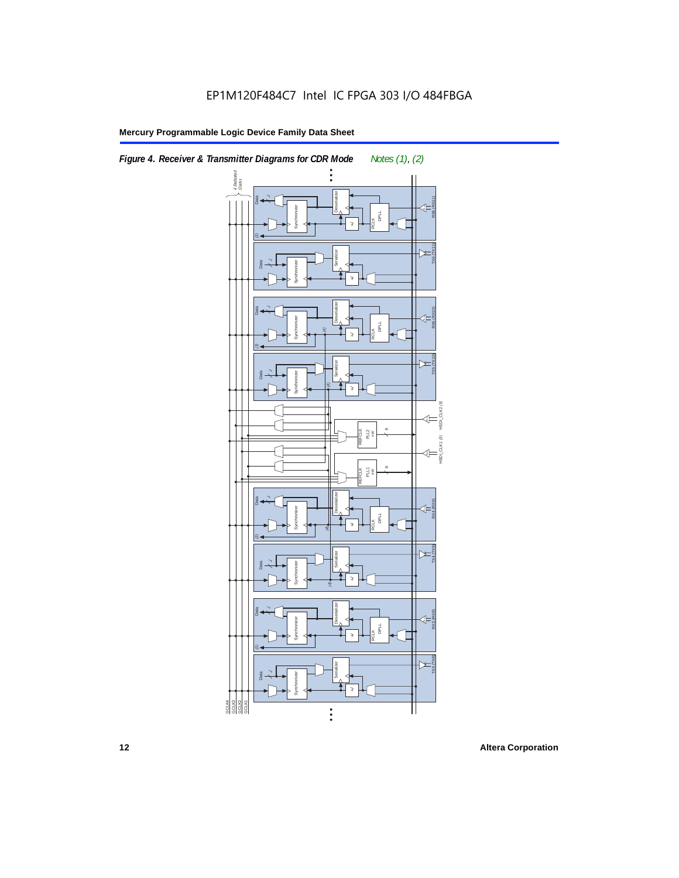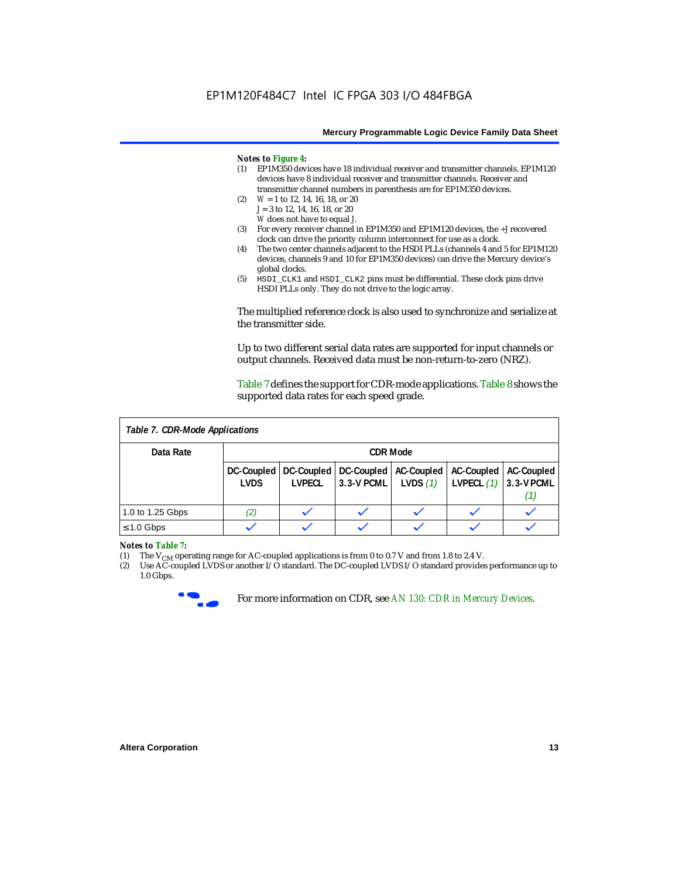#### *Notes to Figure 4:*

- (1) EP1M350 devices have 18 individual receiver and transmitter channels. EP1M120 devices have 8 individual receiver and transmitter channels. Receiver and transmitter channel numbers in parenthesis are for EP1M350 devices.
- (2) *W* = 1 to 12, 14, 16, 18, or 20 *J* = 3 to 12, 14, 16, 18, or 20 *W* does not have to equal *J*.
- (3) For every receiver channel in EP1M350 and EP1M120 devices, the ÷*J* recovered clock can drive the priority column interconnect for use as a clock.
- (4) The two center channels adjacent to the HSDI PLLs (channels 4 and 5 for EP1M120 devices, channels 9 and 10 for EP1M350 devices) can drive the Mercury device's global clocks.
- (5) HSDI\_CLK1 and HSDI\_CLK2 pins must be differential. These clock pins drive HSDI PLLs only. They do not drive to the logic array.

The multiplied reference clock is also used to synchronize and serialize at the transmitter side.

Up to two different serial data rates are supported for input channels or output channels. Received data must be non-return-to-zero (NRZ).

Table 7 defines the support for CDR-mode applications. Table 8 shows the supported data rates for each speed grade.

| Table 7. CDR-Mode Applications |                           |                             |                                         |            |                                              |                        |  |
|--------------------------------|---------------------------|-----------------------------|-----------------------------------------|------------|----------------------------------------------|------------------------|--|
| Data Rate                      | <b>CDR Mode</b>           |                             |                                         |            |                                              |                        |  |
|                                | DC-Coupled<br><b>LVDS</b> | DC-Coupled<br><b>LVPECL</b> | DC-Coupled<br>$3.3-V$ PCML   LVDS $(1)$ | AC-Coupled | <b>AC-Coupled</b><br>LVPECL $(1)$ 3.3-V PCML | <b>AC-Coupled</b><br>U |  |
| 1.0 to 1.25 Gbps               | (2)                       |                             |                                         |            |                                              |                        |  |
| $\leq 1.0$ Gbps                |                           |                             |                                         |            |                                              |                        |  |

### *Notes to Table 7:*<br>(1) The V<sub>CM</sub> ope

(1) The  $V_{CM}$  operating range for AC-coupled applications is from 0 to 0.7 V and from 1.8 to 2.4 V.<br>(2) Use AC-coupled LVDS or another I/O standard. The DC-coupled LVDS I/O standard provides

Use AC-coupled LVDS or another I/O standard. The DC-coupled LVDS I/O standard provides performance up to 1.0 Gbps.



For more information on CDR, see *AN 130: CDR in Mercury Devices*.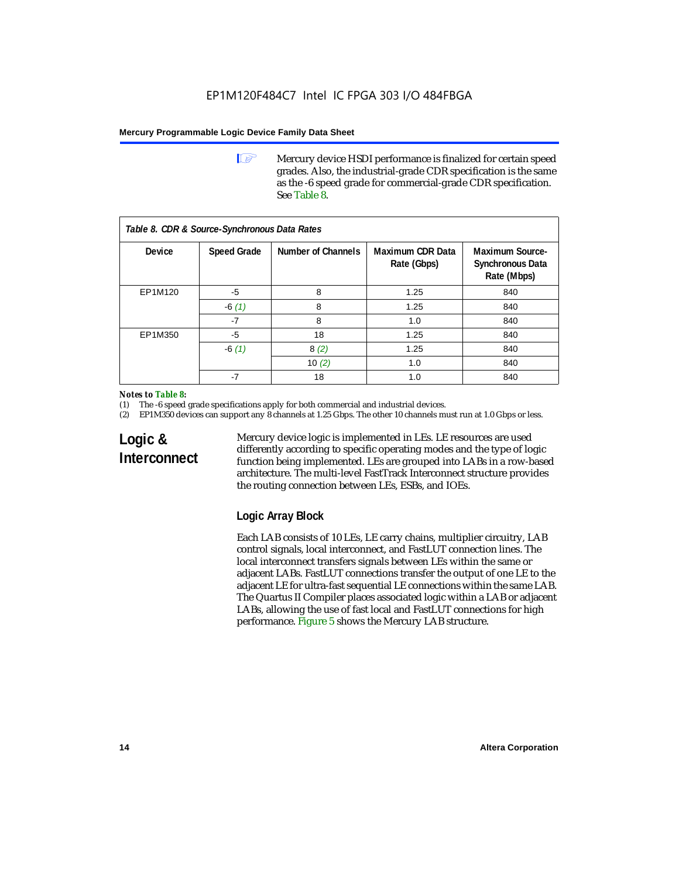**1 Mercury device HSDI performance is finalized for certain speed** grades. Also, the industrial-grade CDR specification is the same as the -6 speed grade for commercial-grade CDR specification. See Table 8.

| Table 8. CDR & Source-Synchronous Data Rates |                    |                    |                                        |                                                                  |  |  |  |  |
|----------------------------------------------|--------------------|--------------------|----------------------------------------|------------------------------------------------------------------|--|--|--|--|
| Device                                       | <b>Speed Grade</b> | Number of Channels | <b>Maximum CDR Data</b><br>Rate (Gbps) | <b>Maximum Source-</b><br><b>Synchronous Data</b><br>Rate (Mbps) |  |  |  |  |
| EP1M120                                      | -5                 | 8                  | 1.25                                   | 840                                                              |  |  |  |  |
|                                              | $-6(1)$            | 8                  | 1.25                                   | 840                                                              |  |  |  |  |
|                                              | $-7$               | 8                  | 1.0                                    | 840                                                              |  |  |  |  |
| EP1M350                                      | $-5$               | 18                 | 1.25                                   | 840                                                              |  |  |  |  |
|                                              | $-6(1)$            | 8(2)               | 1.25                                   | 840                                                              |  |  |  |  |
|                                              |                    | 10 $(2)$           | 1.0                                    | 840                                                              |  |  |  |  |
|                                              | $-7$               | 18                 | 1.0                                    | 840                                                              |  |  |  |  |

#### *Notes to Table 8:*

(1) The -6 speed grade specifications apply for both commercial and industrial devices.

(2) EP1M350 devices can support any 8 channels at 1.25 Gbps. The other 10 channels must run at 1.0 Gbps or less.

### **Logic & Interconnect**

Mercury device logic is implemented in LEs. LE resources are used differently according to specific operating modes and the type of logic function being implemented. LEs are grouped into LABs in a row-based architecture. The multi-level FastTrack Interconnect structure provides the routing connection between LEs, ESBs, and IOEs.

### **Logic Array Block**

Each LAB consists of 10 LEs, LE carry chains, multiplier circuitry, LAB control signals, local interconnect, and FastLUT connection lines. The local interconnect transfers signals between LEs within the same or adjacent LABs. FastLUT connections transfer the output of one LE to the adjacent LE for ultra-fast sequential LE connections within the same LAB. The Quartus II Compiler places associated logic within a LAB or adjacent LABs, allowing the use of fast local and FastLUT connections for high performance. Figure 5 shows the Mercury LAB structure.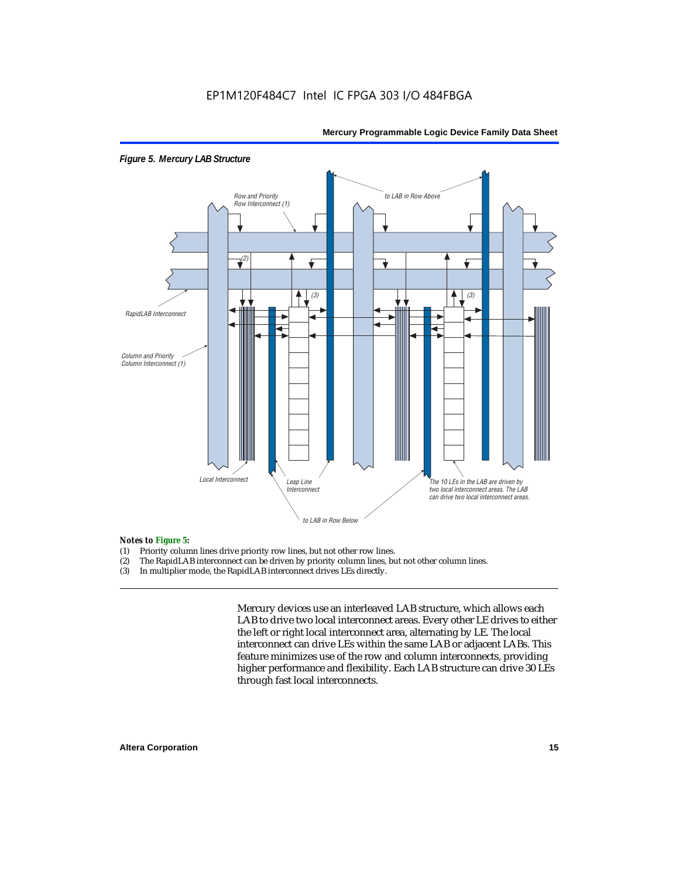

#### *Figure 5. Mercury LAB Structure*

## **Notes to Figure 5:**<br>(1) Priority colum

- Priority column lines drive priority row lines, but not other row lines.
- (2) The RapidLAB interconnect can be driven by priority column lines, but not other column lines.
- (3) In multiplier mode, the RapidLAB interconnect drives LEs directly.

Mercury devices use an interleaved LAB structure, which allows each LAB to drive two local interconnect areas. Every other LE drives to either the left or right local interconnect area, alternating by LE. The local interconnect can drive LEs within the same LAB or adjacent LABs. This feature minimizes use of the row and column interconnects, providing higher performance and flexibility. Each LAB structure can drive 30 LEs through fast local interconnects.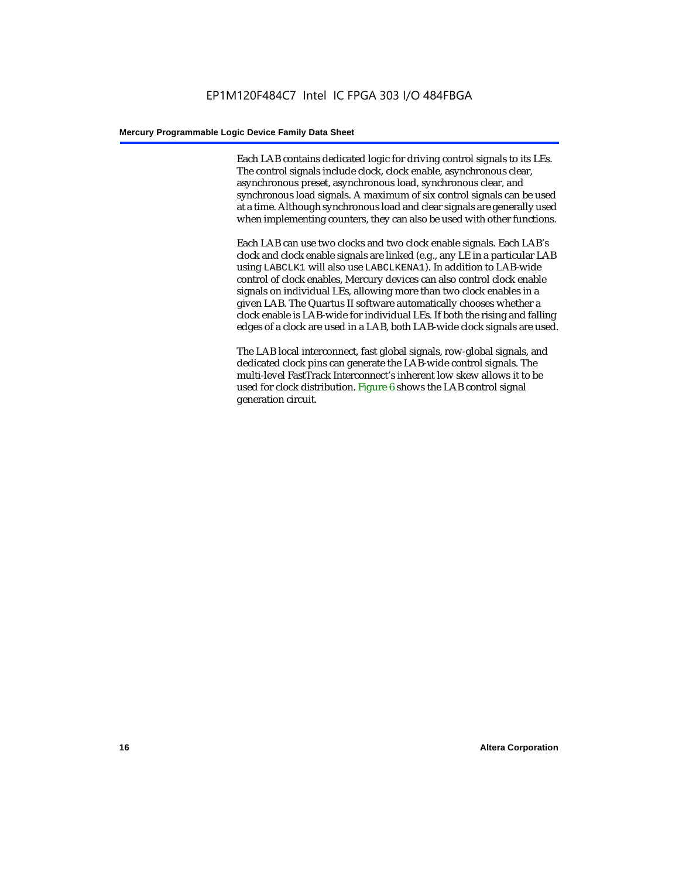Each LAB contains dedicated logic for driving control signals to its LEs. The control signals include clock, clock enable, asynchronous clear, asynchronous preset, asynchronous load, synchronous clear, and synchronous load signals. A maximum of six control signals can be used at a time. Although synchronous load and clear signals are generally used when implementing counters, they can also be used with other functions.

Each LAB can use two clocks and two clock enable signals. Each LAB's clock and clock enable signals are linked (e.g., any LE in a particular LAB using LABCLK1 will also use LABCLKENA1). In addition to LAB-wide control of clock enables, Mercury devices can also control clock enable signals on individual LEs, allowing more than two clock enables in a given LAB. The Quartus II software automatically chooses whether a clock enable is LAB-wide for individual LEs. If both the rising and falling edges of a clock are used in a LAB, both LAB-wide clock signals are used.

The LAB local interconnect, fast global signals, row-global signals, and dedicated clock pins can generate the LAB-wide control signals. The multi-level FastTrack Interconnect's inherent low skew allows it to be used for clock distribution. Figure 6 shows the LAB control signal generation circuit.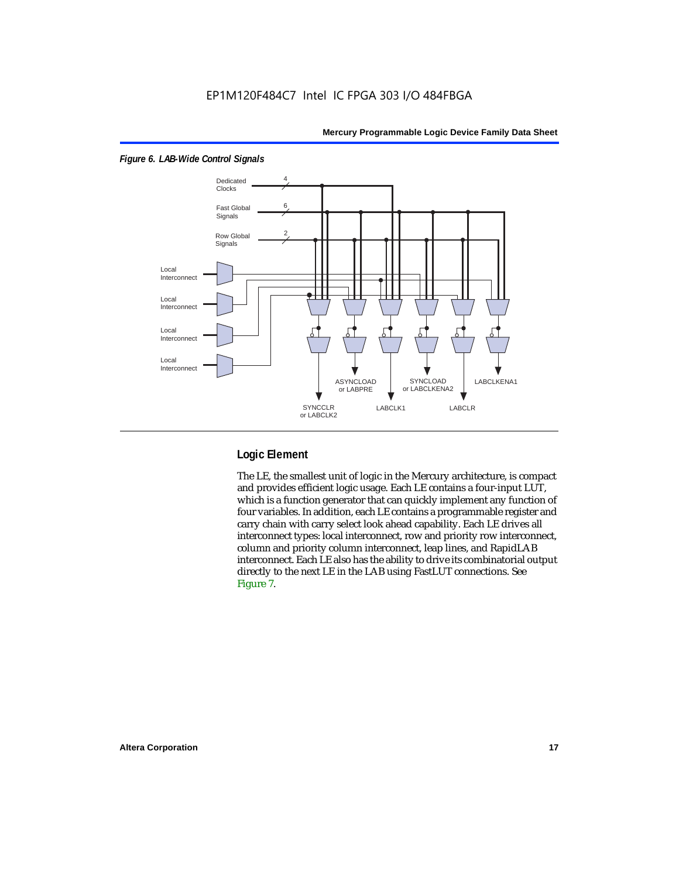

#### *Figure 6. LAB-Wide Control Signals*

### **Logic Element**

The LE, the smallest unit of logic in the Mercury architecture, is compact and provides efficient logic usage. Each LE contains a four-input LUT, which is a function generator that can quickly implement any function of four variables. In addition, each LE contains a programmable register and carry chain with carry select look ahead capability. Each LE drives all interconnect types: local interconnect, row and priority row interconnect, column and priority column interconnect, leap lines, and RapidLAB interconnect. Each LE also has the ability to drive its combinatorial output directly to the next LE in the LAB using FastLUT connections. See Figure 7.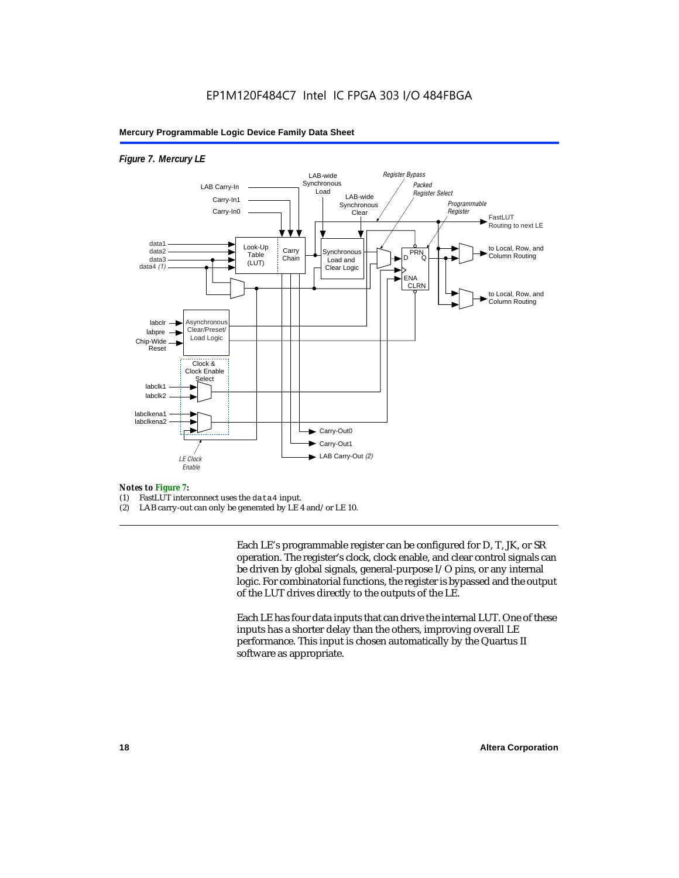#### *Figure 7. Mercury LE*



### *Notes to Figure 7:*

- FastLUT interconnect uses the data4 input.
- (2) LAB carry-out can only be generated by LE 4 and/or LE 10.

Each LE's programmable register can be configured for D, T, JK, or SR operation. The register's clock, clock enable, and clear control signals can be driven by global signals, general-purpose I/O pins, or any internal logic. For combinatorial functions, the register is bypassed and the output of the LUT drives directly to the outputs of the LE.

Each LE has four data inputs that can drive the internal LUT. One of these inputs has a shorter delay than the others, improving overall LE performance. This input is chosen automatically by the Quartus II software as appropriate.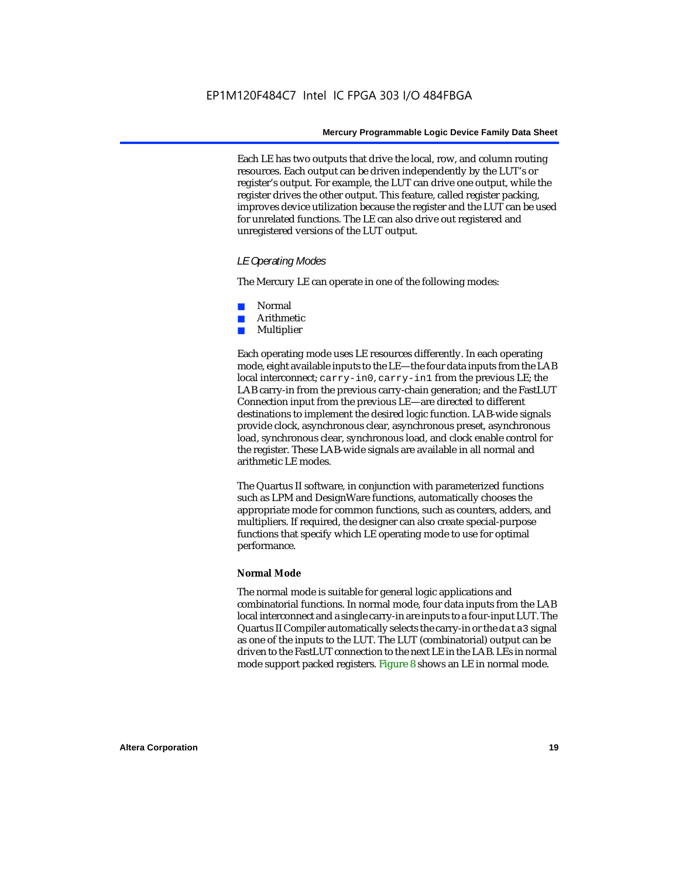Each LE has two outputs that drive the local, row, and column routing resources. Each output can be driven independently by the LUT's or register's output. For example, the LUT can drive one output, while the register drives the other output. This feature, called register packing, improves device utilization because the register and the LUT can be used for unrelated functions. The LE can also drive out registered and unregistered versions of the LUT output.

#### *LE Operating Modes*

The Mercury LE can operate in one of the following modes:

- Normal
- **Arithmetic**
- **Multiplier**

Each operating mode uses LE resources differently. In each operating mode, eight available inputs to the LE—the four data inputs from the LAB local interconnect; carry-in0, carry-in1 from the previous LE; the LAB carry-in from the previous carry-chain generation; and the FastLUT Connection input from the previous LE—are directed to different destinations to implement the desired logic function. LAB-wide signals provide clock, asynchronous clear, asynchronous preset, asynchronous load, synchronous clear, synchronous load, and clock enable control for the register. These LAB-wide signals are available in all normal and arithmetic LE modes.

The Quartus II software, in conjunction with parameterized functions such as LPM and DesignWare functions, automatically chooses the appropriate mode for common functions, such as counters, adders, and multipliers. If required, the designer can also create special-purpose functions that specify which LE operating mode to use for optimal performance.

#### **Normal Mode**

The normal mode is suitable for general logic applications and combinatorial functions. In normal mode, four data inputs from the LAB local interconnect and a single carry-in are inputs to a four-input LUT. The Quartus II Compiler automatically selects the carry-in or the data3 signal as one of the inputs to the LUT. The LUT (combinatorial) output can be driven to the FastLUT connection to the next LE in the LAB. LEs in normal mode support packed registers. Figure 8 shows an LE in normal mode.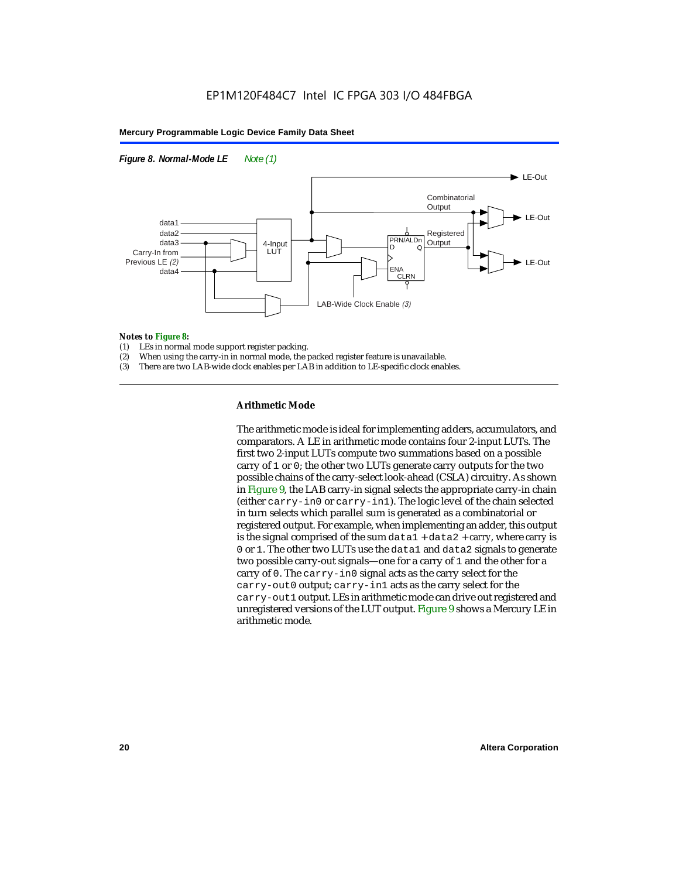



## **Notes to Figure 8:**<br>(1) LEs in normal

- (1) LEs in normal mode support register packing.<br>(2) When using the carry-in in normal mode, the i
- When using the carry-in in normal mode, the packed register feature is unavailable.
- (3) There are two LAB-wide clock enables per LAB in addition to LE-specific clock enables.

#### **Arithmetic Mode**

The arithmetic mode is ideal for implementing adders, accumulators, and comparators. A LE in arithmetic mode contains four 2-input LUTs. The first two 2-input LUTs compute two summations based on a possible carry of 1 or 0; the other two LUTs generate carry outputs for the two possible chains of the carry-select look-ahead (CSLA) circuitry. As shown in Figure 9, the LAB carry-in signal selects the appropriate carry-in chain (either carry-in0 or carry-in1). The logic level of the chain selected in turn selects which parallel sum is generated as a combinatorial or registered output. For example, when implementing an adder, this output is the signal comprised of the sum data1 + data2 + *carry*, where *carry* is 0 or 1. The other two LUTs use the data1 and data2 signals to generate two possible carry-out signals—one for a carry of 1 and the other for a carry of 0. The carry-in0 signal acts as the carry select for the carry-out0 output; carry-in1 acts as the carry select for the carry-out1 output. LEs in arithmetic mode can drive out registered and unregistered versions of the LUT output. Figure 9 shows a Mercury LE in arithmetic mode.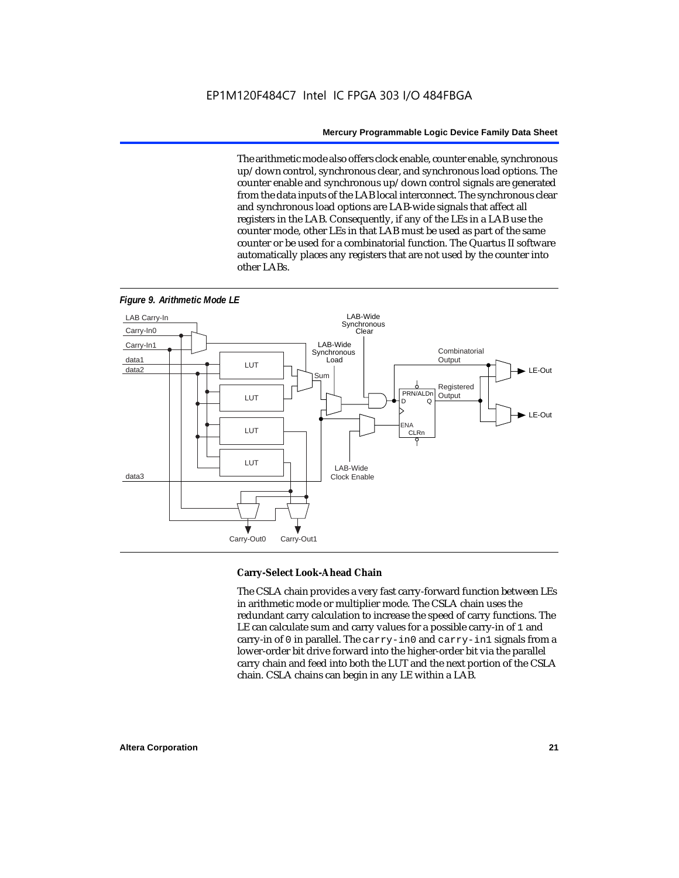The arithmetic mode also offers clock enable, counter enable, synchronous up/down control, synchronous clear, and synchronous load options. The counter enable and synchronous up/down control signals are generated from the data inputs of the LAB local interconnect. The synchronous clear and synchronous load options are LAB-wide signals that affect all registers in the LAB. Consequently, if any of the LEs in a LAB use the counter mode, other LEs in that LAB must be used as part of the same counter or be used for a combinatorial function. The Quartus II software automatically places any registers that are not used by the counter into other LABs.



#### *Figure 9. Arithmetic Mode LE*

#### **Carry-Select Look-Ahead Chain**

The CSLA chain provides a very fast carry-forward function between LEs in arithmetic mode or multiplier mode. The CSLA chain uses the redundant carry calculation to increase the speed of carry functions. The LE can calculate sum and carry values for a possible carry-in of 1 and carry-in of 0 in parallel. The carry-in0 and carry-in1 signals from a lower-order bit drive forward into the higher-order bit via the parallel carry chain and feed into both the LUT and the next portion of the CSLA chain. CSLA chains can begin in any LE within a LAB.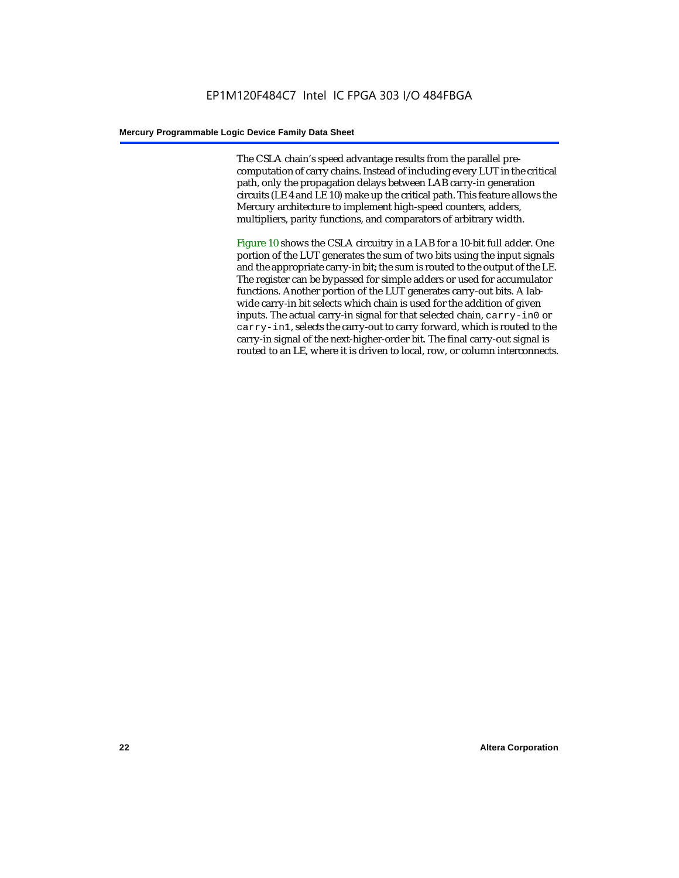The CSLA chain's speed advantage results from the parallel precomputation of carry chains. Instead of including every LUT in the critical path, only the propagation delays between LAB carry-in generation circuits (LE 4 and LE 10) make up the critical path. This feature allows the Mercury architecture to implement high-speed counters, adders, multipliers, parity functions, and comparators of arbitrary width.

Figure 10 shows the CSLA circuitry in a LAB for a 10-bit full adder. One portion of the LUT generates the sum of two bits using the input signals and the appropriate carry-in bit; the sum is routed to the output of the LE. The register can be bypassed for simple adders or used for accumulator functions. Another portion of the LUT generates carry-out bits. A labwide carry-in bit selects which chain is used for the addition of given inputs. The actual carry-in signal for that selected chain, carry-in0 or carry-in1, selects the carry-out to carry forward, which is routed to the carry-in signal of the next-higher-order bit. The final carry-out signal is routed to an LE, where it is driven to local, row, or column interconnects.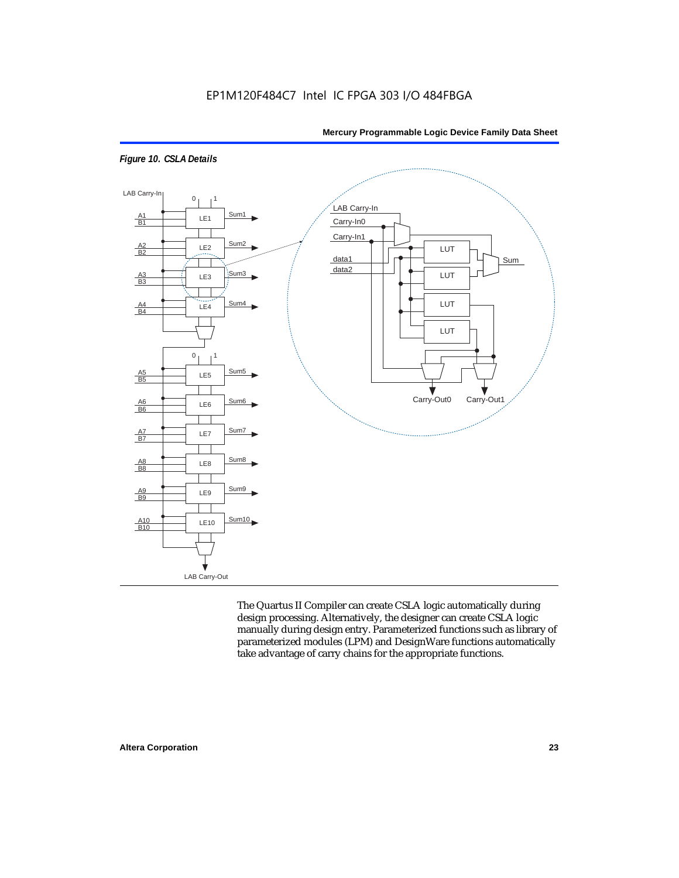



The Quartus II Compiler can create CSLA logic automatically during design processing. Alternatively, the designer can create CSLA logic manually during design entry. Parameterized functions such as library of parameterized modules (LPM) and DesignWare functions automatically take advantage of carry chains for the appropriate functions.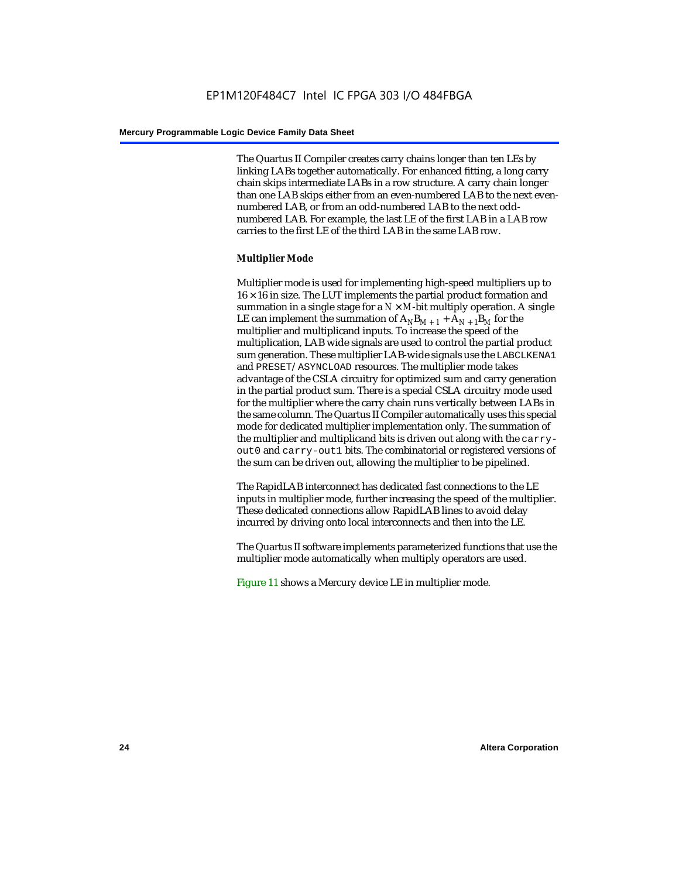The Quartus II Compiler creates carry chains longer than ten LEs by linking LABs together automatically. For enhanced fitting, a long carry chain skips intermediate LABs in a row structure. A carry chain longer than one LAB skips either from an even-numbered LAB to the next evennumbered LAB, or from an odd-numbered LAB to the next oddnumbered LAB. For example, the last LE of the first LAB in a LAB row carries to the first LE of the third LAB in the same LAB row.

#### **Multiplier Mode**

Multiplier mode is used for implementing high-speed multipliers up to  $16 \times 16$  in size. The LUT implements the partial product formation and summation in a single stage for a  $N \times M$ -bit multiply operation. A single LE can implement the summation of  $A_NB_{M+1} + A_{N+1}B_M$  for the multiplier and multiplicand inputs. To increase the speed of the multiplication, LAB wide signals are used to control the partial product sum generation. These multiplier LAB-wide signals use the LABCLKENA1 and PRESET/ASYNCLOAD resources. The multiplier mode takes advantage of the CSLA circuitry for optimized sum and carry generation in the partial product sum. There is a special CSLA circuitry mode used for the multiplier where the carry chain runs vertically between LABs in the same column. The Quartus II Compiler automatically uses this special mode for dedicated multiplier implementation only. The summation of the multiplier and multiplicand bits is driven out along with the carryout0 and carry-out1 bits. The combinatorial or registered versions of the sum can be driven out, allowing the multiplier to be pipelined.

The RapidLAB interconnect has dedicated fast connections to the LE inputs in multiplier mode, further increasing the speed of the multiplier. These dedicated connections allow RapidLAB lines to avoid delay incurred by driving onto local interconnects and then into the LE.

The Quartus II software implements parameterized functions that use the multiplier mode automatically when multiply operators are used.

Figure 11 shows a Mercury device LE in multiplier mode.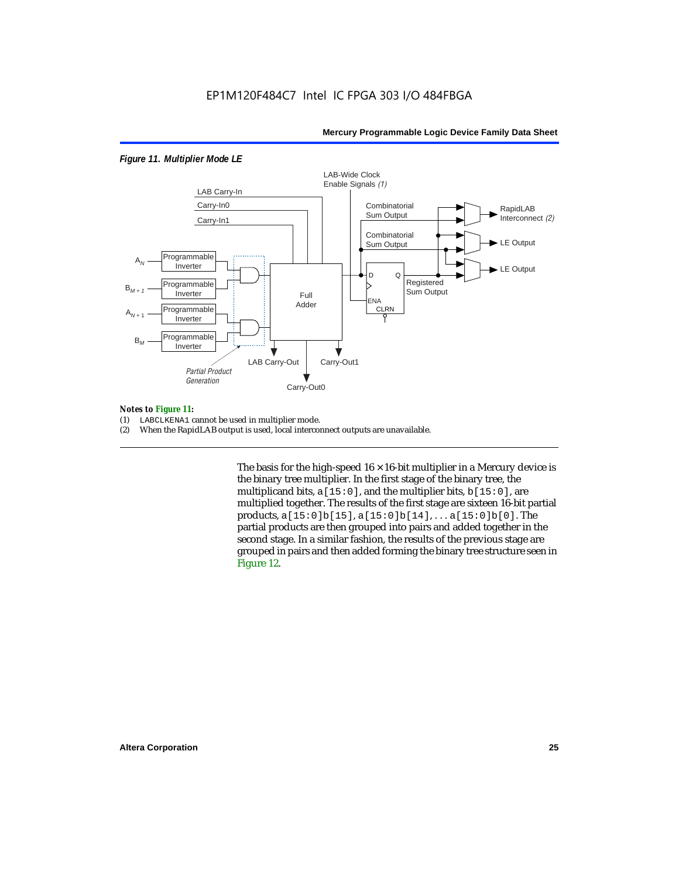#### *Figure 11. Multiplier Mode LE*



#### *Notes to Figure 11:*

- (1) LABCLKENA1 cannot be used in multiplier mode.
- (2) When the RapidLAB output is used, local interconnect outputs are unavailable.

The basis for the high-speed  $16 \times 16$ -bit multiplier in a Mercury device is the binary tree multiplier. In the first stage of the binary tree, the multiplicand bits,  $a[15:0]$ , and the multiplier bits,  $b[15:0]$ , are multiplied together. The results of the first stage are sixteen 16-bit partial products, a[15:0]b[15], a[15:0]b[14], . . . a[15:0]b[0]. The partial products are then grouped into pairs and added together in the second stage. In a similar fashion, the results of the previous stage are grouped in pairs and then added forming the binary tree structure seen in Figure 12.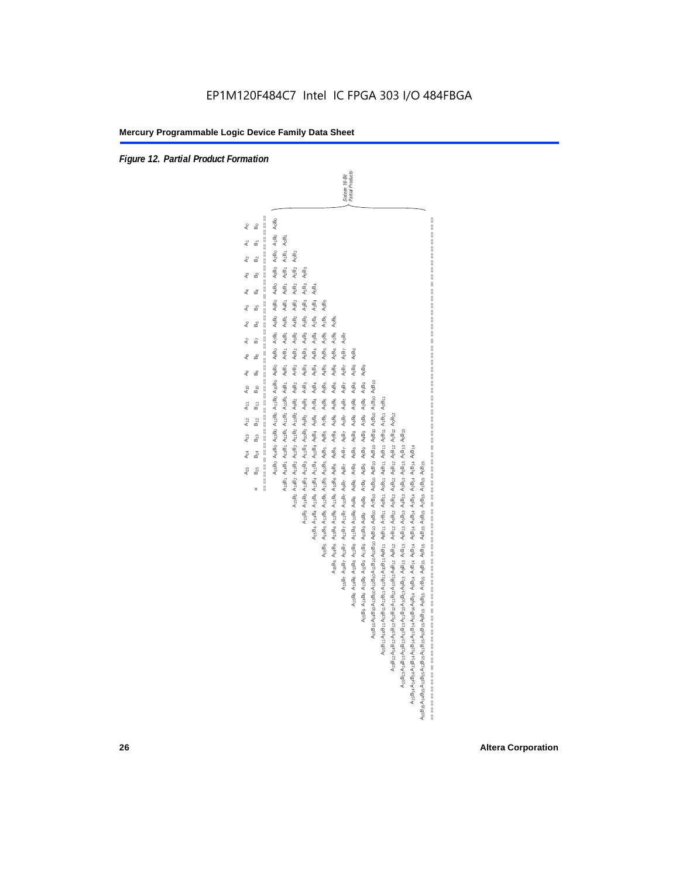*Figure 12. Partial Product Formation*

-Bit<br> $ducts$ Partial Products Sixteen 16-Bit

| A:sBo A:4Bo A:3Bo A:2Bo A:1Bo A:0Bo AsBo AsBo A:Bo AsBo AsBo A:Bo A:3Bo A:Bo A:Bo A0Bo<br>A16B2 A14B2 A13B2 A12B2 A11B2 A10B2 A9B2 A9B2 A7B2 A6B2 A4B2 A4B2 A2B2 A1B2 A1B2 A0B2<br>A <sub>0</sub> B <sub>3</sub><br>A1653 A1453 A1353 A1253 A1153 A1653 A953 A953 A953 A953 A453 A453 A253 A153<br>A <sub>0</sub> B <sub>4</sub><br>$A_2B_4$ $A_1B_4$<br>A <sub>0</sub> B <sub>5</sub><br>A16B6 A14B5 A13B5 A13B6 A11B6 A10B6 A9B5 A3B6 A7B6 A9B5 A3B5 A3B6 A3B6 A1B5 A1B6<br>A <sub>0</sub> B <sub>6</sub><br>A <sub>5</sub> B <sub>4</sub> A <sub>4</sub> B <sub>4</sub> A <sub>3</sub> B <sub>4</sub><br>A15B6 A14B6 A13B6 A12B6 A11B6 A10B6 A9B6 A3B6 A7B6 A6B6 A9B6 A4B6 A3B6 A1B6 A1B6<br>$A_0B_7$<br>$A_2B_7$ $A_1B_7$<br>$A_0B_8$<br>$A_1B_8$<br>A <sub>0</sub> B <sub>9</sub><br>A15B4 A14B4 A13B4 A12B4 A11B4 A10B4 A9B4 A9B4 A7B4 A6B4<br>A15B8 A14B8 A13B8 A12B8 A11B8 A10B8 A9B8 A9B8 A7B8 A6B8 A5B8 A4B8 A2B8 A2B8<br>A189 A189 A1389 A1289 A1189 A1089 A989 A899 A789 A689 A589 A189 A389 A289 A189<br>A15B7 A14B7 A13B7 A12B7 A11B7 A10B7 A9B7 A9B7 A9B7 A5B7 A4B7 A9B7<br>A1aB1oA14B1oA13B1oA12B1oA11B1oA10B1o A9B1o A9B1o A7B1o A9B1o A9B1o A3B1o A2B1o A1B1o A1B1o A0B1o<br>A16B11A14B11A13B11A12B11A11B11A10B11A9B11 A9B11 A9B11 A6B11 A4B11 A3B11 A2B11 A1B11 A0B11<br>AtsBtzAtuBtzAt3BtzAtzBtzAt1BtzAt0BtzAgBtz AsBtz AzBtz AsBtz AsBtz AsBtz A3Btz A1Btz A1Btz<br>АқаВқзАқ4ВқзАқзВқзАқ1ВқзАқнВқзАдВқз АдВқз АдВқз АдВқз АдВқз АдВқз АдВқз АдВқз АдВқз<br>A1sB14A14B14A13B14A12B14A11B14A10B14A6B14 A9B14 A9B14 A9B14 A4B14 A3B14 A2B14 A1B14 A1B14 A0B14<br>A1sB1sA14B1sA13B1sA12B1sA11B1sA10B1sA9B1s A0B1s A7B1s A6B1s A3B1s A3B1s A3B1s A2B1s A1B1s A0B1s |                     | Sixteen 16<br>Partial Pro |
|------------------------------------------------------------------------------------------------------------------------------------------------------------------------------------------------------------------------------------------------------------------------------------------------------------------------------------------------------------------------------------------------------------------------------------------------------------------------------------------------------------------------------------------------------------------------------------------------------------------------------------------------------------------------------------------------------------------------------------------------------------------------------------------------------------------------------------------------------------------------------------------------------------------------------------------------------------------------------------------------------------------------------------------------------------------------------------------------------------------------------------------------------------------------------------------------------------------------------------------------------------------------------------------------------------------------------------------------------------------------------------------------------------------------------------------------------------------------------------------------------------------------------------------------------------------------------------------------------------------------------------------------------------------------------------|---------------------|---------------------------|
|                                                                                                                                                                                                                                                                                                                                                                                                                                                                                                                                                                                                                                                                                                                                                                                                                                                                                                                                                                                                                                                                                                                                                                                                                                                                                                                                                                                                                                                                                                                                                                                                                                                                                    | =========<br>နှ     |                           |
|                                                                                                                                                                                                                                                                                                                                                                                                                                                                                                                                                                                                                                                                                                                                                                                                                                                                                                                                                                                                                                                                                                                                                                                                                                                                                                                                                                                                                                                                                                                                                                                                                                                                                    | å                   |                           |
|                                                                                                                                                                                                                                                                                                                                                                                                                                                                                                                                                                                                                                                                                                                                                                                                                                                                                                                                                                                                                                                                                                                                                                                                                                                                                                                                                                                                                                                                                                                                                                                                                                                                                    | ക്                  |                           |
|                                                                                                                                                                                                                                                                                                                                                                                                                                                                                                                                                                                                                                                                                                                                                                                                                                                                                                                                                                                                                                                                                                                                                                                                                                                                                                                                                                                                                                                                                                                                                                                                                                                                                    | ക്                  |                           |
|                                                                                                                                                                                                                                                                                                                                                                                                                                                                                                                                                                                                                                                                                                                                                                                                                                                                                                                                                                                                                                                                                                                                                                                                                                                                                                                                                                                                                                                                                                                                                                                                                                                                                    | යි                  |                           |
|                                                                                                                                                                                                                                                                                                                                                                                                                                                                                                                                                                                                                                                                                                                                                                                                                                                                                                                                                                                                                                                                                                                                                                                                                                                                                                                                                                                                                                                                                                                                                                                                                                                                                    | ക്                  |                           |
|                                                                                                                                                                                                                                                                                                                                                                                                                                                                                                                                                                                                                                                                                                                                                                                                                                                                                                                                                                                                                                                                                                                                                                                                                                                                                                                                                                                                                                                                                                                                                                                                                                                                                    | ക്                  |                           |
|                                                                                                                                                                                                                                                                                                                                                                                                                                                                                                                                                                                                                                                                                                                                                                                                                                                                                                                                                                                                                                                                                                                                                                                                                                                                                                                                                                                                                                                                                                                                                                                                                                                                                    | 5                   |                           |
|                                                                                                                                                                                                                                                                                                                                                                                                                                                                                                                                                                                                                                                                                                                                                                                                                                                                                                                                                                                                                                                                                                                                                                                                                                                                                                                                                                                                                                                                                                                                                                                                                                                                                    | å                   |                           |
|                                                                                                                                                                                                                                                                                                                                                                                                                                                                                                                                                                                                                                                                                                                                                                                                                                                                                                                                                                                                                                                                                                                                                                                                                                                                                                                                                                                                                                                                                                                                                                                                                                                                                    | മീ                  |                           |
|                                                                                                                                                                                                                                                                                                                                                                                                                                                                                                                                                                                                                                                                                                                                                                                                                                                                                                                                                                                                                                                                                                                                                                                                                                                                                                                                                                                                                                                                                                                                                                                                                                                                                    | $B_{10}$            |                           |
|                                                                                                                                                                                                                                                                                                                                                                                                                                                                                                                                                                                                                                                                                                                                                                                                                                                                                                                                                                                                                                                                                                                                                                                                                                                                                                                                                                                                                                                                                                                                                                                                                                                                                    | 모<br>민              |                           |
|                                                                                                                                                                                                                                                                                                                                                                                                                                                                                                                                                                                                                                                                                                                                                                                                                                                                                                                                                                                                                                                                                                                                                                                                                                                                                                                                                                                                                                                                                                                                                                                                                                                                                    | $B_{12}$            |                           |
|                                                                                                                                                                                                                                                                                                                                                                                                                                                                                                                                                                                                                                                                                                                                                                                                                                                                                                                                                                                                                                                                                                                                                                                                                                                                                                                                                                                                                                                                                                                                                                                                                                                                                    | $B_{13}$            |                           |
|                                                                                                                                                                                                                                                                                                                                                                                                                                                                                                                                                                                                                                                                                                                                                                                                                                                                                                                                                                                                                                                                                                                                                                                                                                                                                                                                                                                                                                                                                                                                                                                                                                                                                    | 。<br>61             |                           |
|                                                                                                                                                                                                                                                                                                                                                                                                                                                                                                                                                                                                                                                                                                                                                                                                                                                                                                                                                                                                                                                                                                                                                                                                                                                                                                                                                                                                                                                                                                                                                                                                                                                                                    | $B_{15}$            |                           |
|                                                                                                                                                                                                                                                                                                                                                                                                                                                                                                                                                                                                                                                                                                                                                                                                                                                                                                                                                                                                                                                                                                                                                                                                                                                                                                                                                                                                                                                                                                                                                                                                                                                                                    | ₩<br>II<br>$\times$ |                           |
|                                                                                                                                                                                                                                                                                                                                                                                                                                                                                                                                                                                                                                                                                                                                                                                                                                                                                                                                                                                                                                                                                                                                                                                                                                                                                                                                                                                                                                                                                                                                                                                                                                                                                    |                     |                           |
|                                                                                                                                                                                                                                                                                                                                                                                                                                                                                                                                                                                                                                                                                                                                                                                                                                                                                                                                                                                                                                                                                                                                                                                                                                                                                                                                                                                                                                                                                                                                                                                                                                                                                    |                     |                           |
|                                                                                                                                                                                                                                                                                                                                                                                                                                                                                                                                                                                                                                                                                                                                                                                                                                                                                                                                                                                                                                                                                                                                                                                                                                                                                                                                                                                                                                                                                                                                                                                                                                                                                    |                     |                           |
|                                                                                                                                                                                                                                                                                                                                                                                                                                                                                                                                                                                                                                                                                                                                                                                                                                                                                                                                                                                                                                                                                                                                                                                                                                                                                                                                                                                                                                                                                                                                                                                                                                                                                    |                     |                           |
|                                                                                                                                                                                                                                                                                                                                                                                                                                                                                                                                                                                                                                                                                                                                                                                                                                                                                                                                                                                                                                                                                                                                                                                                                                                                                                                                                                                                                                                                                                                                                                                                                                                                                    |                     |                           |
|                                                                                                                                                                                                                                                                                                                                                                                                                                                                                                                                                                                                                                                                                                                                                                                                                                                                                                                                                                                                                                                                                                                                                                                                                                                                                                                                                                                                                                                                                                                                                                                                                                                                                    |                     |                           |
|                                                                                                                                                                                                                                                                                                                                                                                                                                                                                                                                                                                                                                                                                                                                                                                                                                                                                                                                                                                                                                                                                                                                                                                                                                                                                                                                                                                                                                                                                                                                                                                                                                                                                    |                     |                           |
|                                                                                                                                                                                                                                                                                                                                                                                                                                                                                                                                                                                                                                                                                                                                                                                                                                                                                                                                                                                                                                                                                                                                                                                                                                                                                                                                                                                                                                                                                                                                                                                                                                                                                    |                     |                           |
|                                                                                                                                                                                                                                                                                                                                                                                                                                                                                                                                                                                                                                                                                                                                                                                                                                                                                                                                                                                                                                                                                                                                                                                                                                                                                                                                                                                                                                                                                                                                                                                                                                                                                    |                     |                           |
|                                                                                                                                                                                                                                                                                                                                                                                                                                                                                                                                                                                                                                                                                                                                                                                                                                                                                                                                                                                                                                                                                                                                                                                                                                                                                                                                                                                                                                                                                                                                                                                                                                                                                    |                     |                           |
|                                                                                                                                                                                                                                                                                                                                                                                                                                                                                                                                                                                                                                                                                                                                                                                                                                                                                                                                                                                                                                                                                                                                                                                                                                                                                                                                                                                                                                                                                                                                                                                                                                                                                    |                     |                           |
|                                                                                                                                                                                                                                                                                                                                                                                                                                                                                                                                                                                                                                                                                                                                                                                                                                                                                                                                                                                                                                                                                                                                                                                                                                                                                                                                                                                                                                                                                                                                                                                                                                                                                    |                     |                           |
|                                                                                                                                                                                                                                                                                                                                                                                                                                                                                                                                                                                                                                                                                                                                                                                                                                                                                                                                                                                                                                                                                                                                                                                                                                                                                                                                                                                                                                                                                                                                                                                                                                                                                    |                     |                           |
|                                                                                                                                                                                                                                                                                                                                                                                                                                                                                                                                                                                                                                                                                                                                                                                                                                                                                                                                                                                                                                                                                                                                                                                                                                                                                                                                                                                                                                                                                                                                                                                                                                                                                    |                     |                           |
|                                                                                                                                                                                                                                                                                                                                                                                                                                                                                                                                                                                                                                                                                                                                                                                                                                                                                                                                                                                                                                                                                                                                                                                                                                                                                                                                                                                                                                                                                                                                                                                                                                                                                    |                     |                           |
|                                                                                                                                                                                                                                                                                                                                                                                                                                                                                                                                                                                                                                                                                                                                                                                                                                                                                                                                                                                                                                                                                                                                                                                                                                                                                                                                                                                                                                                                                                                                                                                                                                                                                    |                     |                           |
|                                                                                                                                                                                                                                                                                                                                                                                                                                                                                                                                                                                                                                                                                                                                                                                                                                                                                                                                                                                                                                                                                                                                                                                                                                                                                                                                                                                                                                                                                                                                                                                                                                                                                    |                     |                           |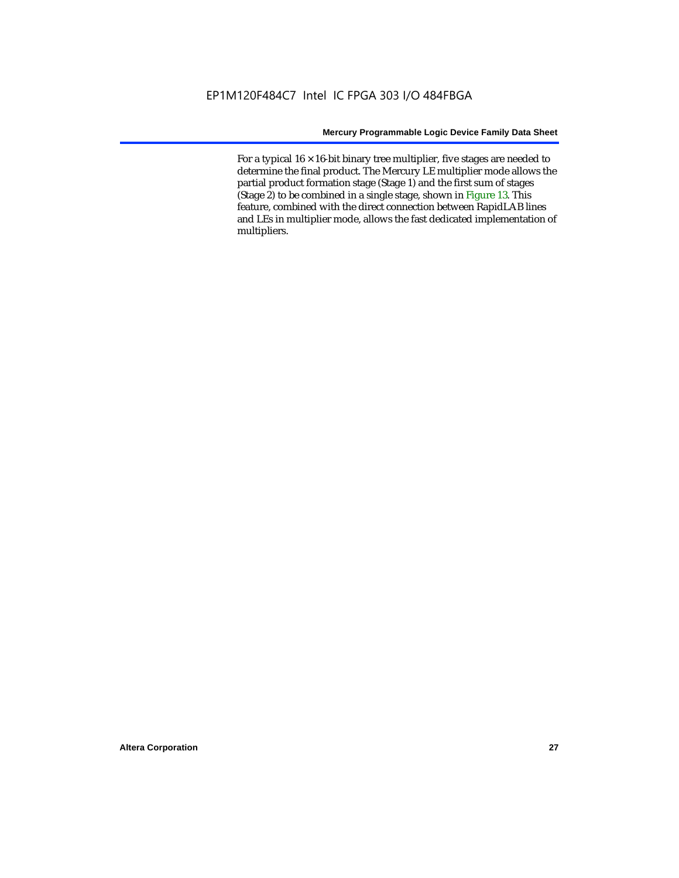For a typical  $16 \times 16$ -bit binary tree multiplier, five stages are needed to determine the final product. The Mercury LE multiplier mode allows the partial product formation stage (Stage 1) and the first sum of stages (Stage 2) to be combined in a single stage, shown in Figure 13. This feature, combined with the direct connection between RapidLAB lines and LEs in multiplier mode, allows the fast dedicated implementation of multipliers.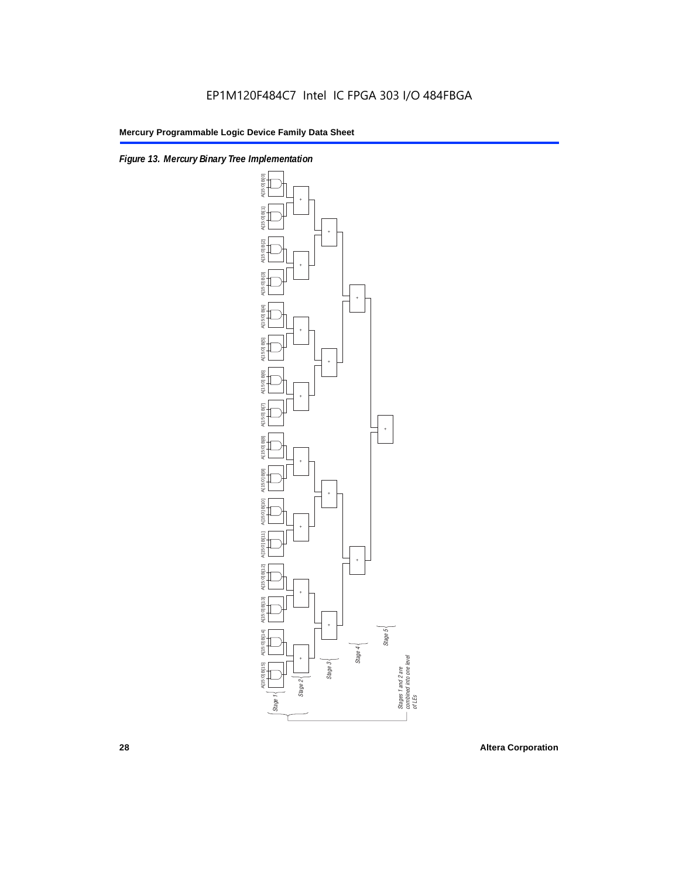



**28 Altera Corporation**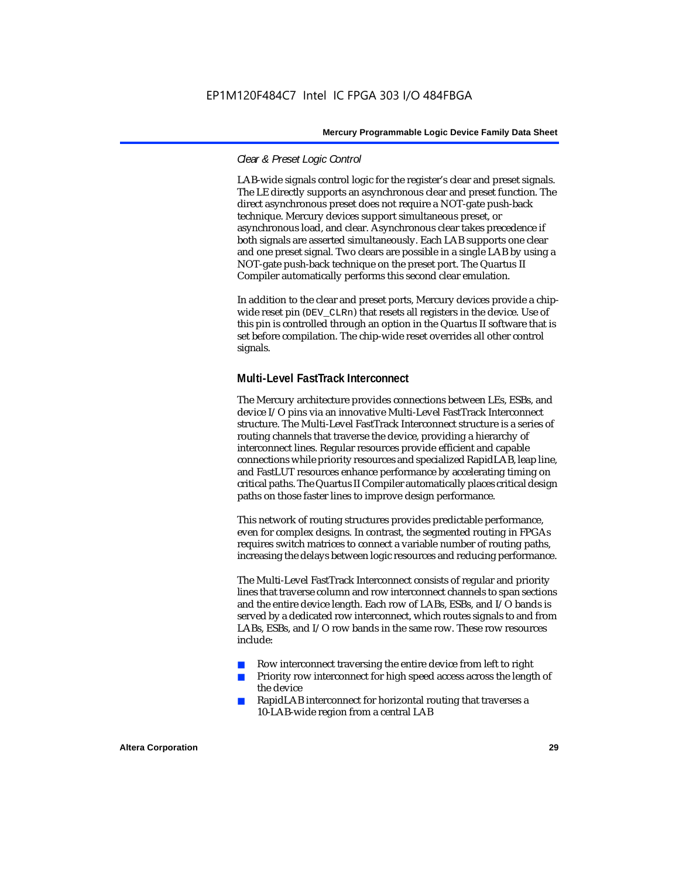#### *Clear & Preset Logic Control*

LAB-wide signals control logic for the register's clear and preset signals. The LE directly supports an asynchronous clear and preset function. The direct asynchronous preset does not require a NOT-gate push-back technique. Mercury devices support simultaneous preset, or asynchronous load, and clear. Asynchronous clear takes precedence if both signals are asserted simultaneously. Each LAB supports one clear and one preset signal. Two clears are possible in a single LAB by using a NOT-gate push-back technique on the preset port. The Quartus II Compiler automatically performs this second clear emulation.

In addition to the clear and preset ports, Mercury devices provide a chipwide reset pin (DEV\_CLRn) that resets all registers in the device. Use of this pin is controlled through an option in the Quartus II software that is set before compilation. The chip-wide reset overrides all other control signals.

#### **Multi-Level FastTrack Interconnect**

The Mercury architecture provides connections between LEs, ESBs, and device I/O pins via an innovative Multi-Level FastTrack Interconnect structure. The Multi-Level FastTrack Interconnect structure is a series of routing channels that traverse the device, providing a hierarchy of interconnect lines. Regular resources provide efficient and capable connections while priority resources and specialized RapidLAB, leap line, and FastLUT resources enhance performance by accelerating timing on critical paths. The Quartus II Compiler automatically places critical design paths on those faster lines to improve design performance.

This network of routing structures provides predictable performance, even for complex designs. In contrast, the segmented routing in FPGAs requires switch matrices to connect a variable number of routing paths, increasing the delays between logic resources and reducing performance.

The Multi-Level FastTrack Interconnect consists of regular and priority lines that traverse column and row interconnect channels to span sections and the entire device length. Each row of LABs, ESBs, and I/O bands is served by a dedicated row interconnect, which routes signals to and from LABs, ESBs, and I/O row bands in the same row. These row resources include:

- Row interconnect traversing the entire device from left to right
- Priority row interconnect for high speed access across the length of the device
- RapidLAB interconnect for horizontal routing that traverses a 10-LAB-wide region from a central LAB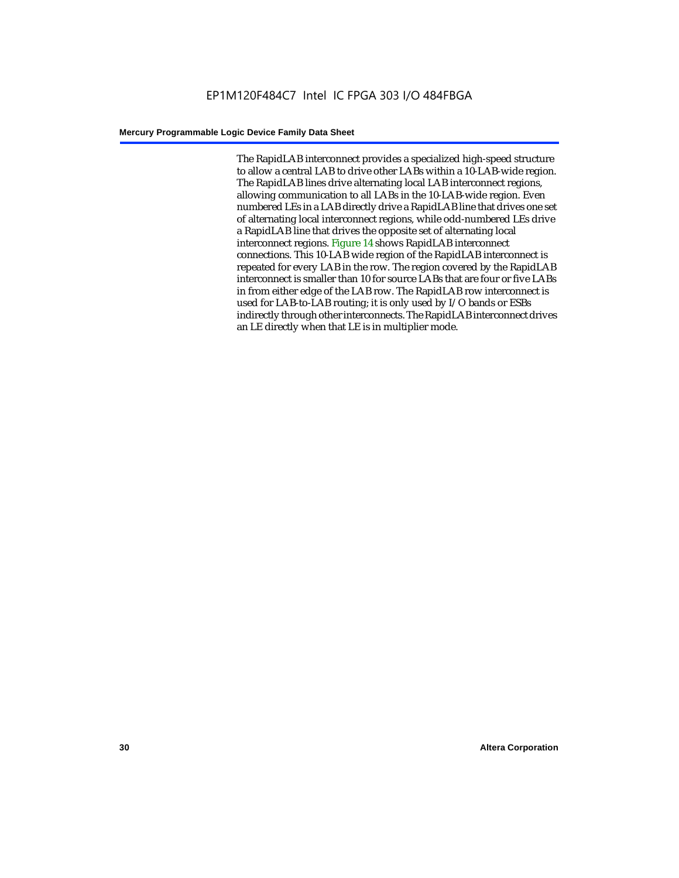The RapidLAB interconnect provides a specialized high-speed structure to allow a central LAB to drive other LABs within a 10-LAB-wide region. The RapidLAB lines drive alternating local LAB interconnect regions, allowing communication to all LABs in the 10-LAB-wide region. Even numbered LEs in a LAB directly drive a RapidLAB line that drives one set of alternating local interconnect regions, while odd-numbered LEs drive a RapidLAB line that drives the opposite set of alternating local interconnect regions. Figure 14 shows RapidLAB interconnect connections. This 10-LAB wide region of the RapidLAB interconnect is repeated for every LAB in the row. The region covered by the RapidLAB interconnect is smaller than 10 for source LABs that are four or five LABs in from either edge of the LAB row. The RapidLAB row interconnect is used for LAB-to-LAB routing; it is only used by I/O bands or ESBs indirectly through other interconnects. The RapidLAB interconnect drives an LE directly when that LE is in multiplier mode.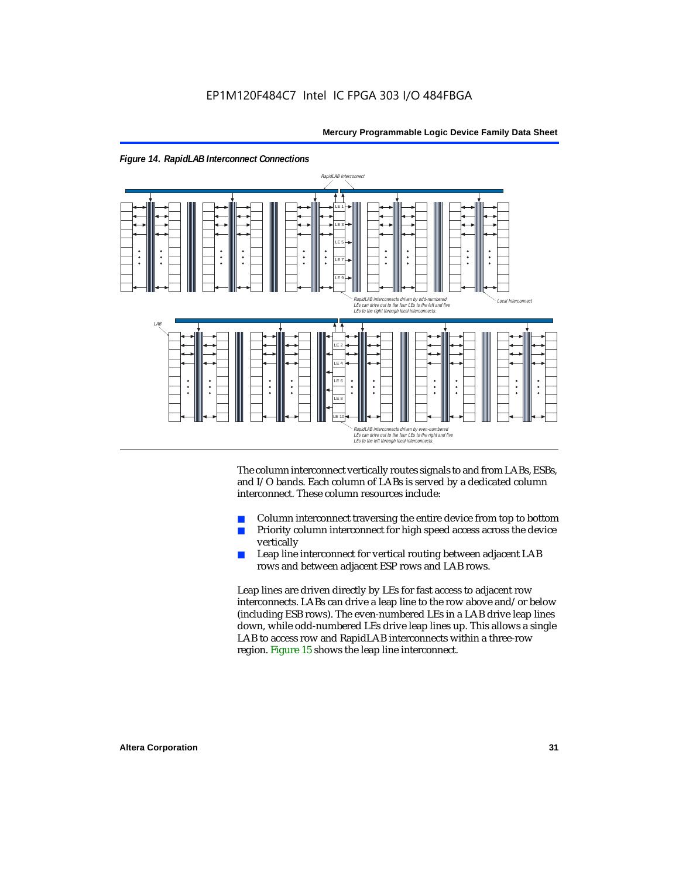

The column interconnect vertically routes signals to and from LABs, ESBs, and I/O bands. Each column of LABs is served by a dedicated column interconnect. These column resources include:

- Column interconnect traversing the entire device from top to bottom
- Priority column interconnect for high speed access across the device vertically
- Leap line interconnect for vertical routing between adjacent LAB rows and between adjacent ESP rows and LAB rows.

Leap lines are driven directly by LEs for fast access to adjacent row interconnects. LABs can drive a leap line to the row above and/or below (including ESB rows). The even-numbered LEs in a LAB drive leap lines down, while odd-numbered LEs drive leap lines up. This allows a single LAB to access row and RapidLAB interconnects within a three-row region. Figure 15 shows the leap line interconnect.

*Figure 14. RapidLAB Interconnect Connections*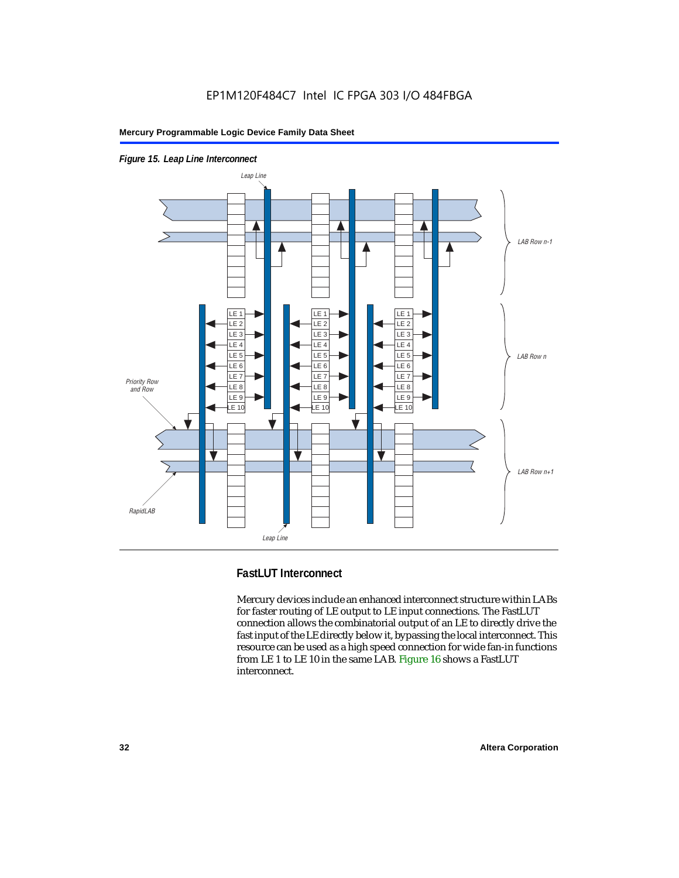

*Figure 15. Leap Line Interconnect*

### **FastLUT Interconnect**

Mercury devices include an enhanced interconnect structure within LABs for faster routing of LE output to LE input connections. The FastLUT connection allows the combinatorial output of an LE to directly drive the fast input of the LE directly below it, bypassing the local interconnect. This resource can be used as a high speed connection for wide fan-in functions from LE 1 to LE 10 in the same LAB. Figure 16 shows a FastLUT interconnect.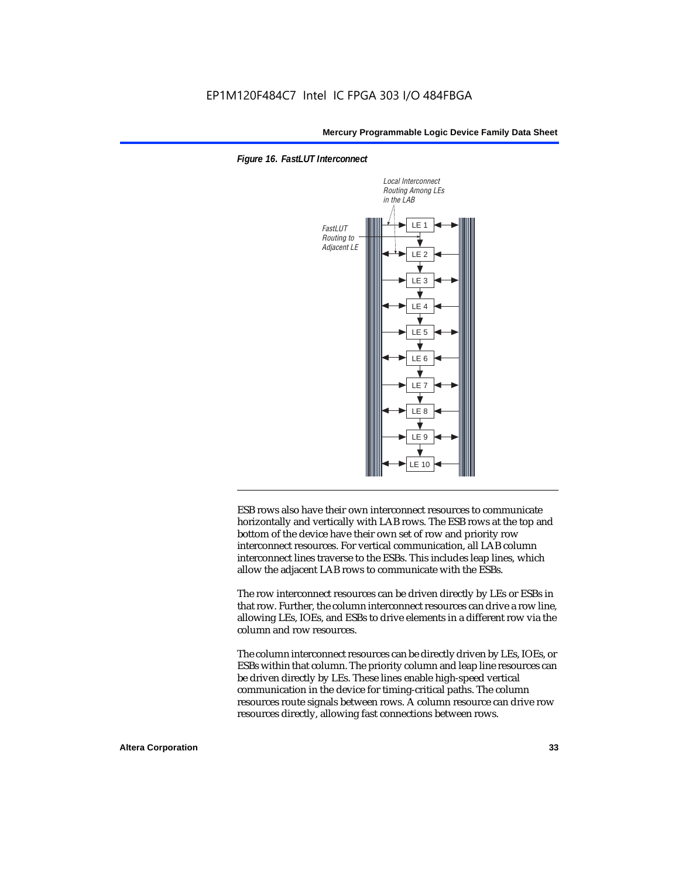



ESB rows also have their own interconnect resources to communicate horizontally and vertically with LAB rows. The ESB rows at the top and bottom of the device have their own set of row and priority row interconnect resources. For vertical communication, all LAB column interconnect lines traverse to the ESBs. This includes leap lines, which allow the adjacent LAB rows to communicate with the ESBs.

The row interconnect resources can be driven directly by LEs or ESBs in that row. Further, the column interconnect resources can drive a row line, allowing LEs, IOEs, and ESBs to drive elements in a different row via the column and row resources.

The column interconnect resources can be directly driven by LEs, IOEs, or ESBs within that column. The priority column and leap line resources can be driven directly by LEs. These lines enable high-speed vertical communication in the device for timing-critical paths. The column resources route signals between rows. A column resource can drive row resources directly, allowing fast connections between rows.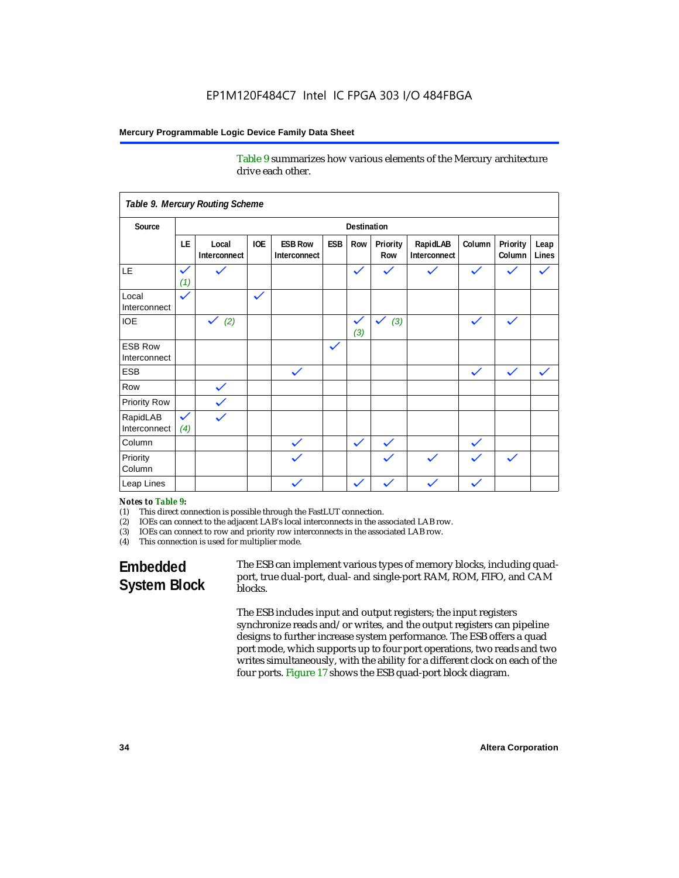Table 9 summarizes how various elements of the Mercury architecture drive each other.

|                                |                     | Table 9. Mercury Routing Scheme |              |                                |              |                     |                     |                          |              |                    |               |
|--------------------------------|---------------------|---------------------------------|--------------|--------------------------------|--------------|---------------------|---------------------|--------------------------|--------------|--------------------|---------------|
| Source                         |                     | <b>Destination</b>              |              |                                |              |                     |                     |                          |              |                    |               |
|                                | LE                  | Local<br>Interconnect           | <b>IOE</b>   | <b>ESB Row</b><br>Interconnect | ESB          | Row                 | Priority<br>Row     | RapidLAB<br>Interconnect | Column       | Priority<br>Column | Leap<br>Lines |
| LE                             | $\checkmark$<br>(1) | $\checkmark$                    |              |                                |              | $\checkmark$        | $\checkmark$        | $\checkmark$             | $\checkmark$ |                    |               |
| Local<br>Interconnect          | $\checkmark$        |                                 | $\checkmark$ |                                |              |                     |                     |                          |              |                    |               |
| <b>IOE</b>                     |                     | $\checkmark$ (2)                |              |                                |              | $\checkmark$<br>(3) | $\checkmark$<br>(3) |                          | $\checkmark$ | $\checkmark$       |               |
| <b>ESB Row</b><br>Interconnect |                     |                                 |              |                                | $\checkmark$ |                     |                     |                          |              |                    |               |
| <b>ESB</b>                     |                     |                                 |              | $\checkmark$                   |              |                     |                     |                          | $\checkmark$ | $\checkmark$       |               |
| Row                            |                     | $\checkmark$                    |              |                                |              |                     |                     |                          |              |                    |               |
| <b>Priority Row</b>            |                     | $\checkmark$                    |              |                                |              |                     |                     |                          |              |                    |               |
| RapidLAB<br>Interconnect       | $\checkmark$<br>(4) | $\checkmark$                    |              |                                |              |                     |                     |                          |              |                    |               |
| Column                         |                     |                                 |              | $\checkmark$                   |              | $\checkmark$        | $\checkmark$        |                          | $\checkmark$ |                    |               |
| Priority<br>Column             |                     |                                 |              | $\checkmark$                   |              |                     | $\checkmark$        |                          | $\checkmark$ |                    |               |
| Leap Lines                     |                     |                                 |              | $\checkmark$                   |              | $\checkmark$        |                     |                          |              |                    |               |

#### *Notes to Table 9:*

- (1) This direct connection is possible through the FastLUT connection.
- (2) IOEs can connect to the adjacent LAB's local interconnects in the associated LAB row.
- (3) IOEs can connect to row and priority row interconnects in the associated LAB row.
- (4) This connection is used for multiplier mode.

## **Embedded System Block**

The ESB can implement various types of memory blocks, including quadport, true dual-port, dual- and single-port RAM, ROM, FIFO, and CAM blocks.

The ESB includes input and output registers; the input registers synchronize reads and/or writes, and the output registers can pipeline designs to further increase system performance. The ESB offers a quad port mode, which supports up to four port operations, two reads and two writes simultaneously, with the ability for a different clock on each of the four ports. Figure 17 shows the ESB quad-port block diagram.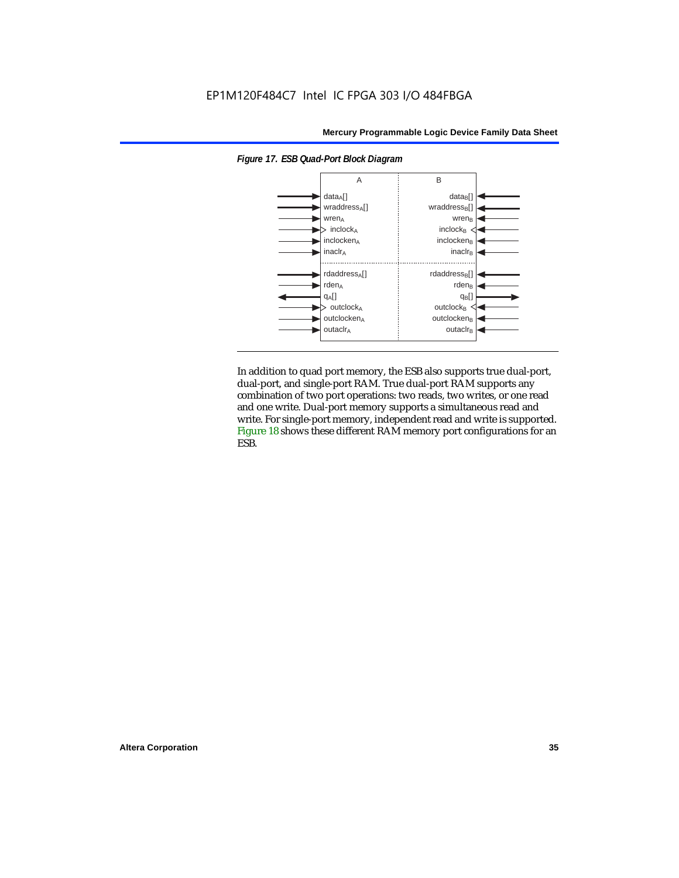

*Figure 17. ESB Quad-Port Block Diagram*

In addition to quad port memory, the ESB also supports true dual-port, dual-port, and single-port RAM. True dual-port RAM supports any combination of two port operations: two reads, two writes, or one read and one write. Dual-port memory supports a simultaneous read and write. For single-port memory, independent read and write is supported. Figure 18 shows these different RAM memory port configurations for an ESB.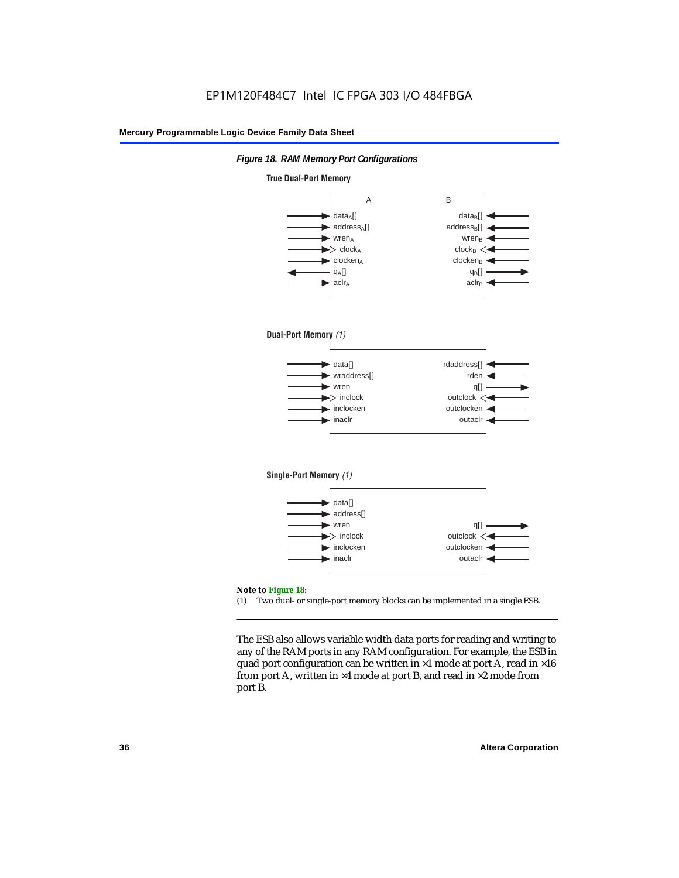

#### **True Dual-Port Memory**



(1) Two dual- or single-port memory blocks can be implemented in a single ESB.

The ESB also allows variable width data ports for reading and writing to any of the RAM ports in any RAM configuration. For example, the ESB in quad port configuration can be written in  $\times 1$  mode at port A, read in  $\times 16$ from port A, written in  $\times 4$  mode at port B, and read in  $\times 2$  mode from port B.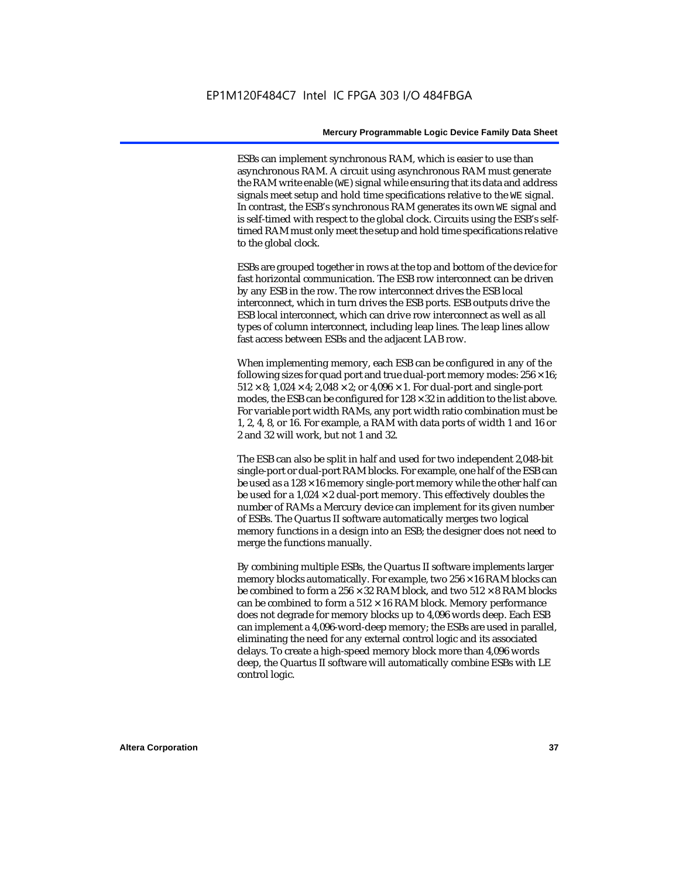ESBs can implement synchronous RAM, which is easier to use than asynchronous RAM. A circuit using asynchronous RAM must generate the RAM write enable (WE) signal while ensuring that its data and address signals meet setup and hold time specifications relative to the WE signal. In contrast, the ESB's synchronous RAM generates its own WE signal and is self-timed with respect to the global clock. Circuits using the ESB's selftimed RAM must only meet the setup and hold time specifications relative to the global clock.

ESBs are grouped together in rows at the top and bottom of the device for fast horizontal communication. The ESB row interconnect can be driven by any ESB in the row. The row interconnect drives the ESB local interconnect, which in turn drives the ESB ports. ESB outputs drive the ESB local interconnect, which can drive row interconnect as well as all types of column interconnect, including leap lines. The leap lines allow fast access between ESBs and the adjacent LAB row.

When implementing memory, each ESB can be configured in any of the following sizes for quad port and true dual-port memory modes:  $256 \times 16$ ;  $512 \times 8$ ;  $1,024 \times 4$ ;  $2,048 \times 2$ ; or  $4,096 \times 1$ . For dual-port and single-port modes, the ESB can be configured for  $128 \times 32$  in addition to the list above. For variable port width RAMs, any port width ratio combination must be 1, 2, 4, 8, or 16. For example, a RAM with data ports of width 1 and 16 or 2 and 32 will work, but not 1 and 32.

The ESB can also be split in half and used for two independent 2,048-bit single-port or dual-port RAM blocks. For example, one half of the ESB can be used as a  $128 \times 16$  memory single-port memory while the other half can be used for a  $1,024 \times 2$  dual-port memory. This effectively doubles the number of RAMs a Mercury device can implement for its given number of ESBs. The Quartus II software automatically merges two logical memory functions in a design into an ESB; the designer does not need to merge the functions manually.

By combining multiple ESBs, the Quartus II software implements larger memory blocks automatically. For example, two  $256 \times 16$  RAM blocks can be combined to form a  $256 \times 32$  RAM block, and two  $512 \times 8$  RAM blocks can be combined to form a  $512 \times 16$  RAM block. Memory performance does not degrade for memory blocks up to 4,096 words deep. Each ESB can implement a 4,096-word-deep memory; the ESBs are used in parallel, eliminating the need for any external control logic and its associated delays. To create a high-speed memory block more than 4,096 words deep, the Quartus II software will automatically combine ESBs with LE control logic.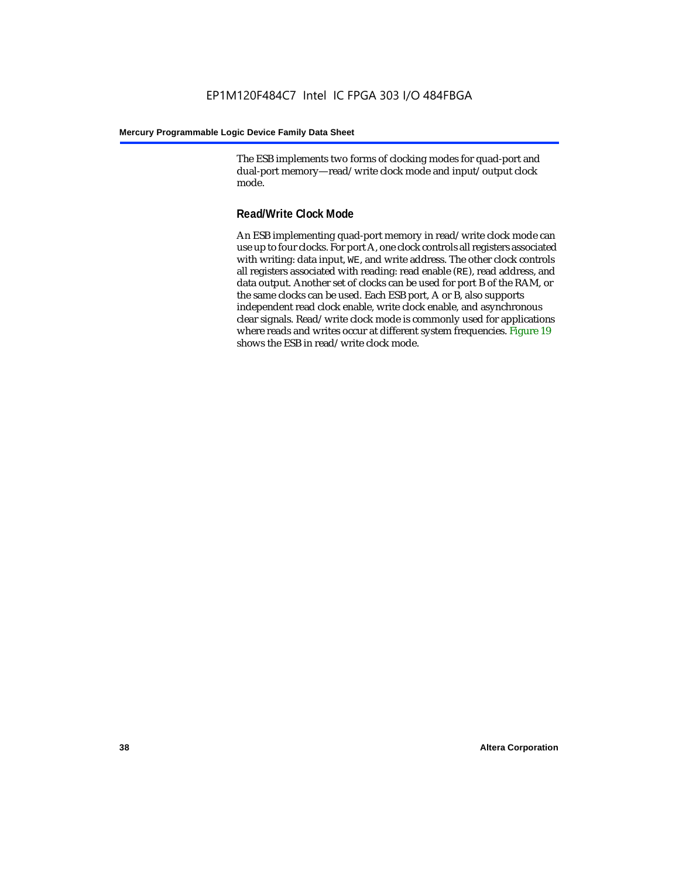The ESB implements two forms of clocking modes for quad-port and dual-port memory—read/write clock mode and input/output clock mode.

### **Read/Write Clock Mode**

An ESB implementing quad-port memory in read/write clock mode can use up to four clocks. For port A, one clock controls all registers associated with writing: data input, WE, and write address. The other clock controls all registers associated with reading: read enable (RE), read address, and data output. Another set of clocks can be used for port B of the RAM, or the same clocks can be used. Each ESB port, A or B, also supports independent read clock enable, write clock enable, and asynchronous clear signals. Read/write clock mode is commonly used for applications where reads and writes occur at different system frequencies. Figure 19 shows the ESB in read/write clock mode.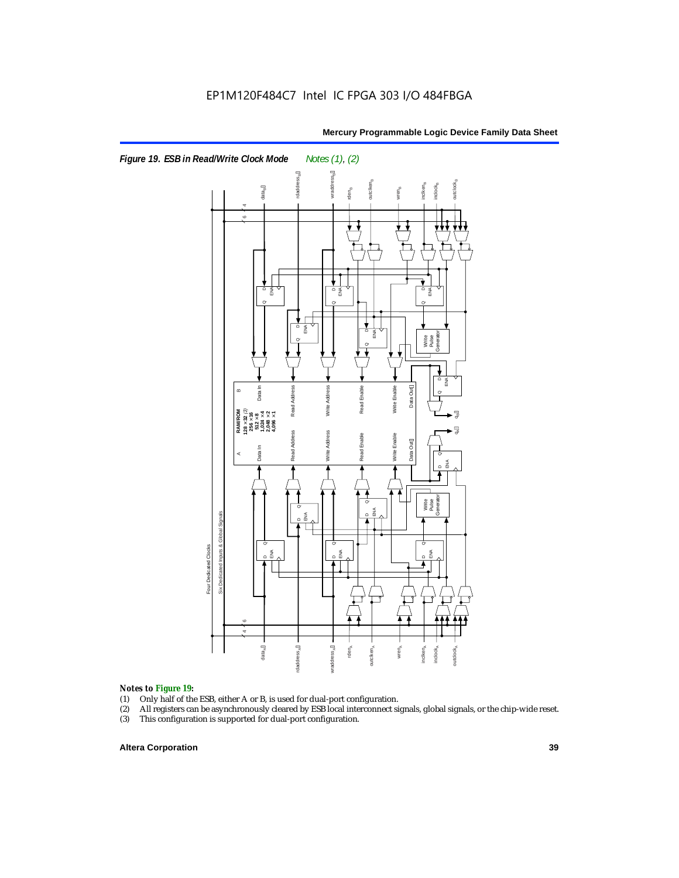

### *Notes to Figure 19:*

- (1) Only half of the ESB, either A or B, is used for dual-port configuration.
- (2) All registers can be asynchronously cleared by ESB local interconnect signals, global signals, or the chip-wide reset.
- 

### **Altera Corporation 39**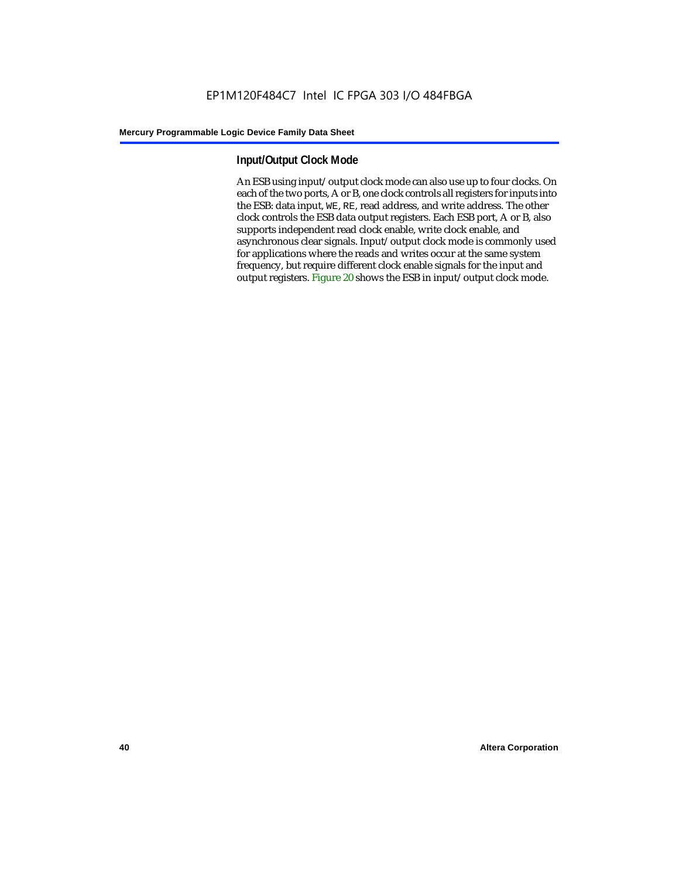### **Input/Output Clock Mode**

An ESB using input/output clock mode can also use up to four clocks. On each of the two ports, A or B, one clock controls all registers for inputs into the ESB: data input, WE, RE, read address, and write address. The other clock controls the ESB data output registers. Each ESB port, A or B, also supports independent read clock enable, write clock enable, and asynchronous clear signals. Input/output clock mode is commonly used for applications where the reads and writes occur at the same system frequency, but require different clock enable signals for the input and output registers. Figure 20 shows the ESB in input/output clock mode.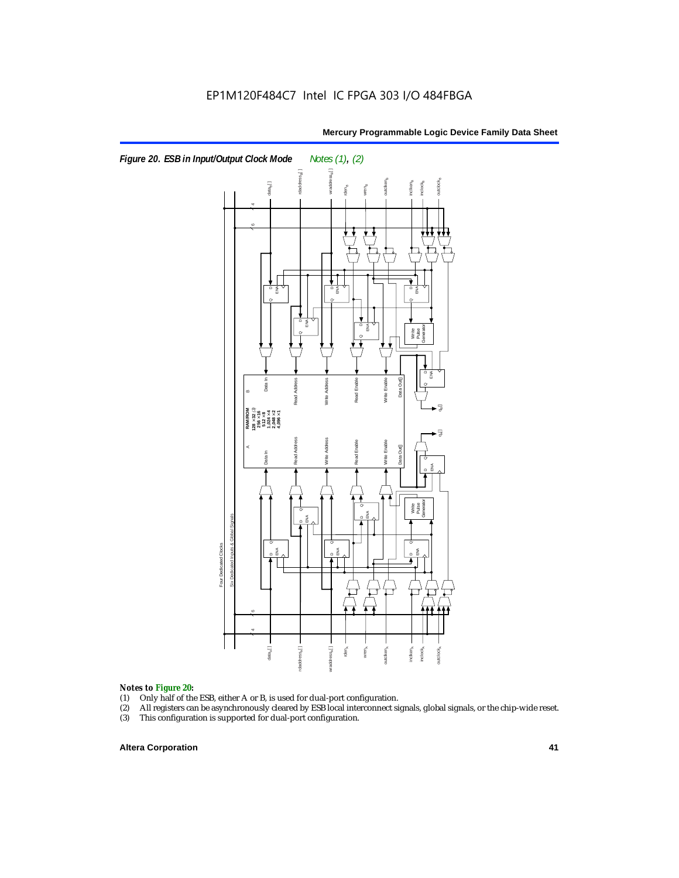

# **Notes to Figure 20:**<br>(1) Only half of the

- (1) Only half of the ESB, either A or B, is used for dual-port configuration.<br>(2) All registers can be asynchronously cleared by ESB local interconnect si
- All registers can be asynchronously cleared by ESB local interconnect signals, global signals, or the chip-wide reset.<br>This configuration is supported for dual-port configuration.
- 

### **Altera Corporation 41**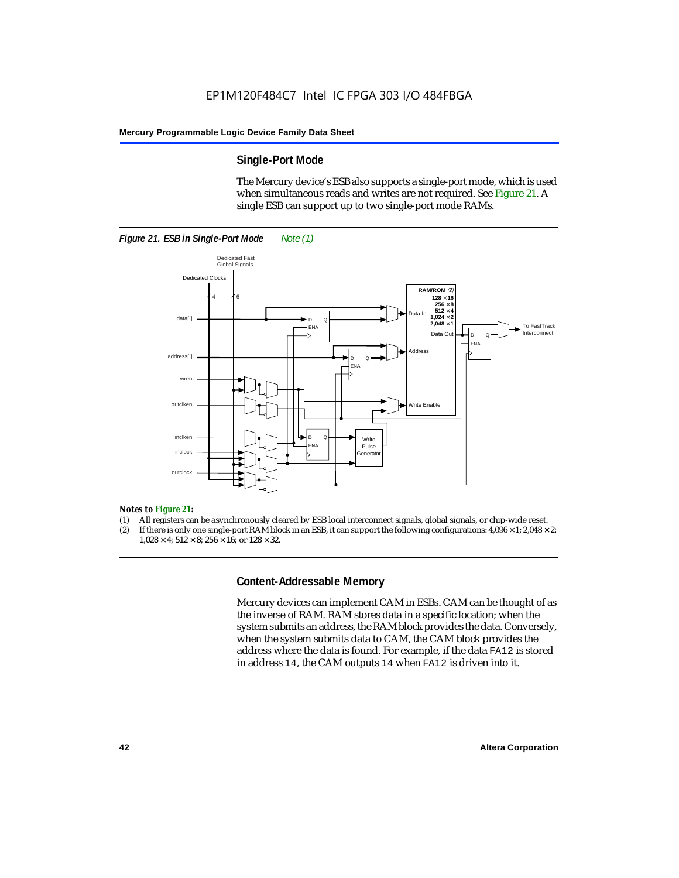### **Single-Port Mode**

The Mercury device's ESB also supports a single-port mode, which is used when simultaneous reads and writes are not required. See Figure 21. A single ESB can support up to two single-port mode RAMs.



#### *Notes to Figure 21:*

- (1) All registers can be asynchronously cleared by ESB local interconnect signals, global signals, or chip-wide reset.
- (2) If there is only one single-port RAM block in an ESB, it can support the following configurations:  $4,096 \times 1$ ;  $2,048 \times 2$ ;  $1.028 \times 4$ ;  $512 \times 8$ ;  $256 \times 16$ ; or  $128 \times 32$ .

### **Content-Addressable Memory**

Mercury devices can implement CAM in ESBs. CAM can be thought of as the inverse of RAM. RAM stores data in a specific location; when the system submits an address, the RAM block provides the data. Conversely, when the system submits data to CAM, the CAM block provides the address where the data is found. For example, if the data FA12 is stored in address 14, the CAM outputs 14 when FA12 is driven into it.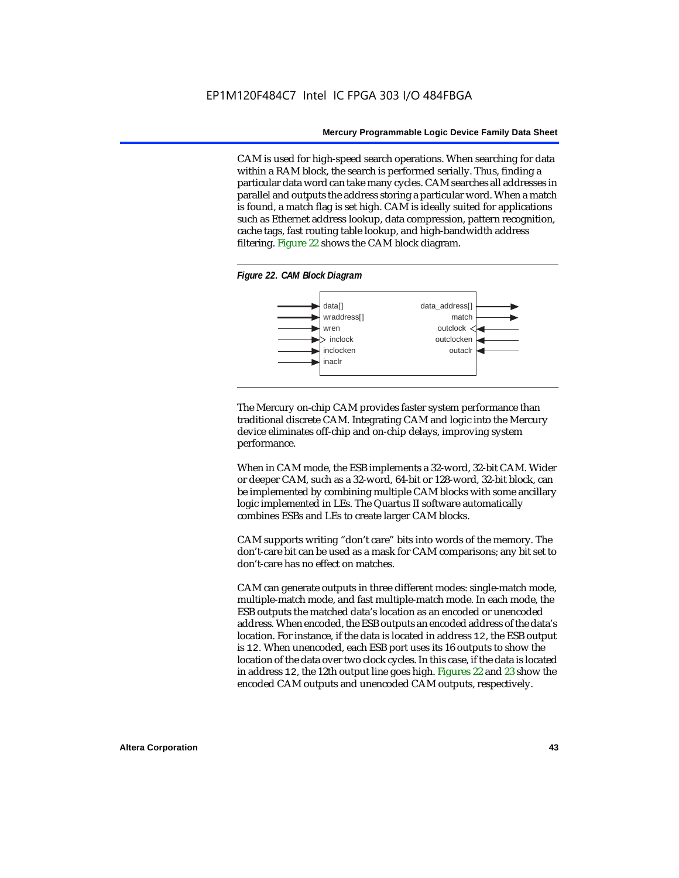CAM is used for high-speed search operations. When searching for data within a RAM block, the search is performed serially. Thus, finding a particular data word can take many cycles. CAM searches all addresses in parallel and outputs the address storing a particular word. When a match is found, a match flag is set high. CAM is ideally suited for applications such as Ethernet address lookup, data compression, pattern recognition, cache tags, fast routing table lookup, and high-bandwidth address filtering. Figure 22 shows the CAM block diagram.

#### *Figure 22. CAM Block Diagram*



The Mercury on-chip CAM provides faster system performance than traditional discrete CAM. Integrating CAM and logic into the Mercury device eliminates off-chip and on-chip delays, improving system performance.

When in CAM mode, the ESB implements a 32-word, 32-bit CAM. Wider or deeper CAM, such as a 32-word, 64-bit or 128-word, 32-bit block, can be implemented by combining multiple CAM blocks with some ancillary logic implemented in LEs. The Quartus II software automatically combines ESBs and LEs to create larger CAM blocks.

CAM supports writing "don't care" bits into words of the memory. The don't-care bit can be used as a mask for CAM comparisons; any bit set to don't-care has no effect on matches.

CAM can generate outputs in three different modes: single-match mode, multiple-match mode, and fast multiple-match mode. In each mode, the ESB outputs the matched data's location as an encoded or unencoded address. When encoded, the ESB outputs an encoded address of the data's location. For instance, if the data is located in address 12, the ESB output is 12. When unencoded, each ESB port uses its 16 outputs to show the location of the data over two clock cycles. In this case, if the data is located in address 12, the 12th output line goes high. Figures 22 and 23 show the encoded CAM outputs and unencoded CAM outputs, respectively.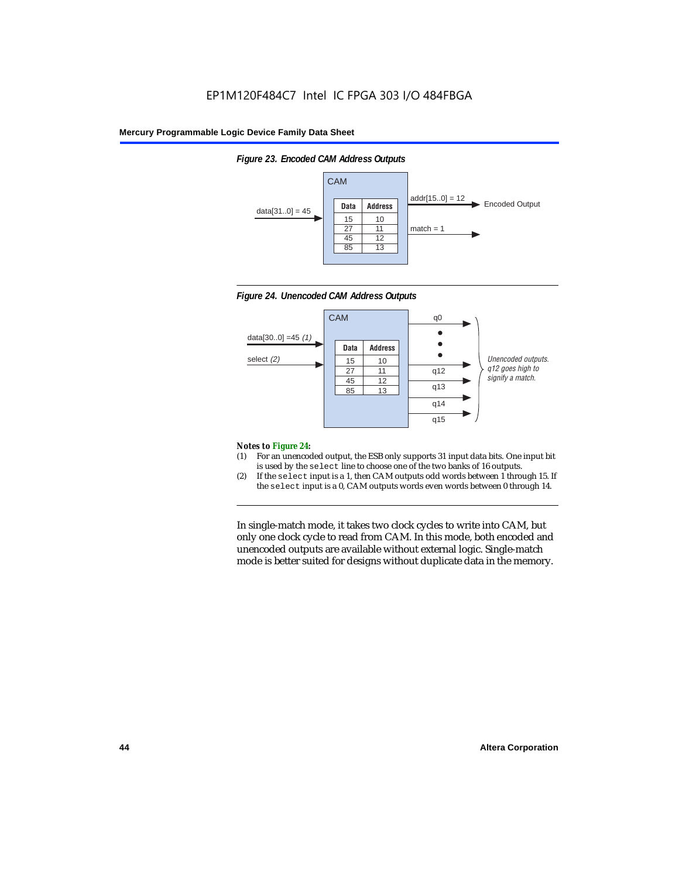







#### *Notes to Figure 24:*

- (1) For an unencoded output, the ESB only supports 31 input data bits. One input bit is used by the select line to choose one of the two banks of 16 outputs.
- (2) If the select input is a 1, then CAM outputs odd words between 1 through 15. If the select input is a 0, CAM outputs words even words between 0 through 14.

In single-match mode, it takes two clock cycles to write into CAM, but only one clock cycle to read from CAM. In this mode, both encoded and unencoded outputs are available without external logic. Single-match mode is better suited for designs without duplicate data in the memory.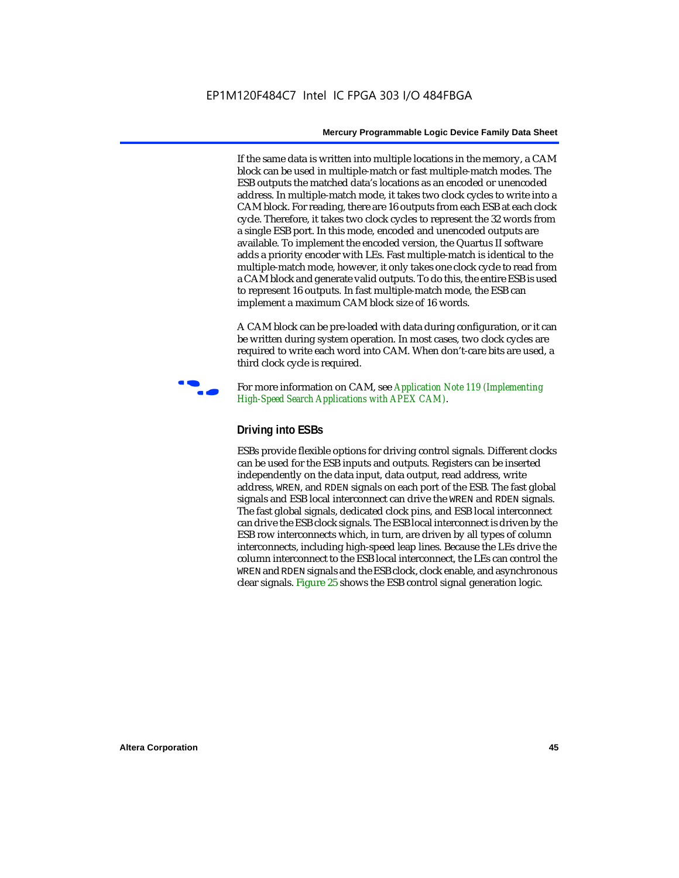If the same data is written into multiple locations in the memory, a CAM block can be used in multiple-match or fast multiple-match modes. The ESB outputs the matched data's locations as an encoded or unencoded address. In multiple-match mode, it takes two clock cycles to write into a CAM block. For reading, there are 16 outputs from each ESB at each clock cycle. Therefore, it takes two clock cycles to represent the 32 words from a single ESB port. In this mode, encoded and unencoded outputs are available. To implement the encoded version, the Quartus II software adds a priority encoder with LEs. Fast multiple-match is identical to the multiple-match mode, however, it only takes one clock cycle to read from a CAM block and generate valid outputs. To do this, the entire ESB is used to represent 16 outputs. In fast multiple-match mode, the ESB can implement a maximum CAM block size of 16 words.

A CAM block can be pre-loaded with data during configuration, or it can be written during system operation. In most cases, two clock cycles are required to write each word into CAM. When don't-care bits are used, a third clock cycle is required.



f For more information on CAM, see *Application Note 119 (Implementing High-Speed Search Applications with APEX CAM)*.

### **Driving into ESBs**

ESBs provide flexible options for driving control signals. Different clocks can be used for the ESB inputs and outputs. Registers can be inserted independently on the data input, data output, read address, write address, WREN, and RDEN signals on each port of the ESB. The fast global signals and ESB local interconnect can drive the WREN and RDEN signals. The fast global signals, dedicated clock pins, and ESB local interconnect can drive the ESB clock signals. The ESB local interconnect is driven by the ESB row interconnects which, in turn, are driven by all types of column interconnects, including high-speed leap lines. Because the LEs drive the column interconnect to the ESB local interconnect, the LEs can control the WREN and RDEN signals and the ESB clock, clock enable, and asynchronous clear signals. Figure 25 shows the ESB control signal generation logic.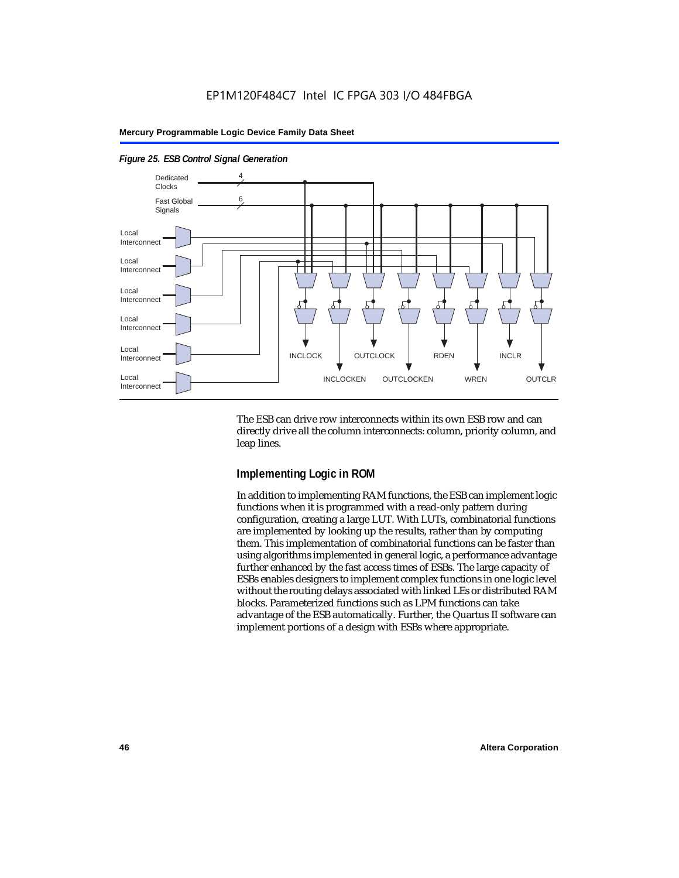

#### *Figure 25. ESB Control Signal Generation*

The ESB can drive row interconnects within its own ESB row and can directly drive all the column interconnects: column, priority column, and leap lines.

### **Implementing Logic in ROM**

In addition to implementing RAM functions, the ESB can implement logic functions when it is programmed with a read-only pattern during configuration, creating a large LUT. With LUTs, combinatorial functions are implemented by looking up the results, rather than by computing them. This implementation of combinatorial functions can be faster than using algorithms implemented in general logic, a performance advantage further enhanced by the fast access times of ESBs. The large capacity of ESBs enables designers to implement complex functions in one logic level without the routing delays associated with linked LEs or distributed RAM blocks. Parameterized functions such as LPM functions can take advantage of the ESB automatically. Further, the Quartus II software can implement portions of a design with ESBs where appropriate.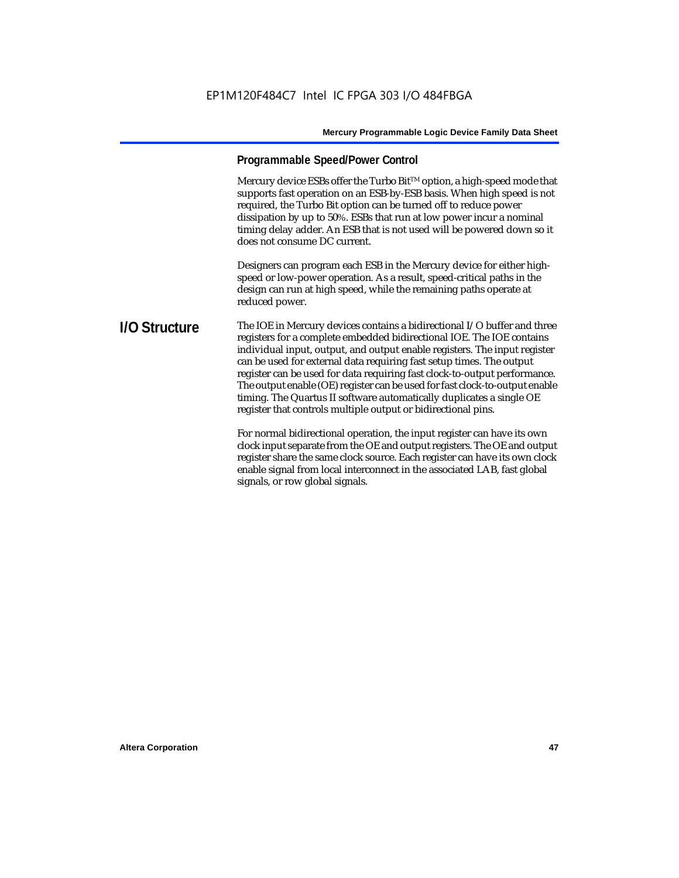### **Programmable Speed/Power Control**

Mercury device ESBs offer the Turbo Bit<sup>TM</sup> option, a high-speed mode that supports fast operation on an ESB-by-ESB basis. When high speed is not required, the Turbo Bit option can be turned off to reduce power dissipation by up to 50%. ESBs that run at low power incur a nominal timing delay adder. An ESB that is not used will be powered down so it does not consume DC current.

Designers can program each ESB in the Mercury device for either highspeed or low-power operation. As a result, speed-critical paths in the design can run at high speed, while the remaining paths operate at reduced power.

**I/O Structure** The IOE in Mercury devices contains a bidirectional I/O buffer and three registers for a complete embedded bidirectional IOE. The IOE contains individual input, output, and output enable registers. The input register can be used for external data requiring fast setup times. The output register can be used for data requiring fast clock-to-output performance. The output enable (OE) register can be used for fast clock-to-output enable timing. The Quartus II software automatically duplicates a single OE register that controls multiple output or bidirectional pins.

> For normal bidirectional operation, the input register can have its own clock input separate from the OE and output registers. The OE and output register share the same clock source. Each register can have its own clock enable signal from local interconnect in the associated LAB, fast global signals, or row global signals.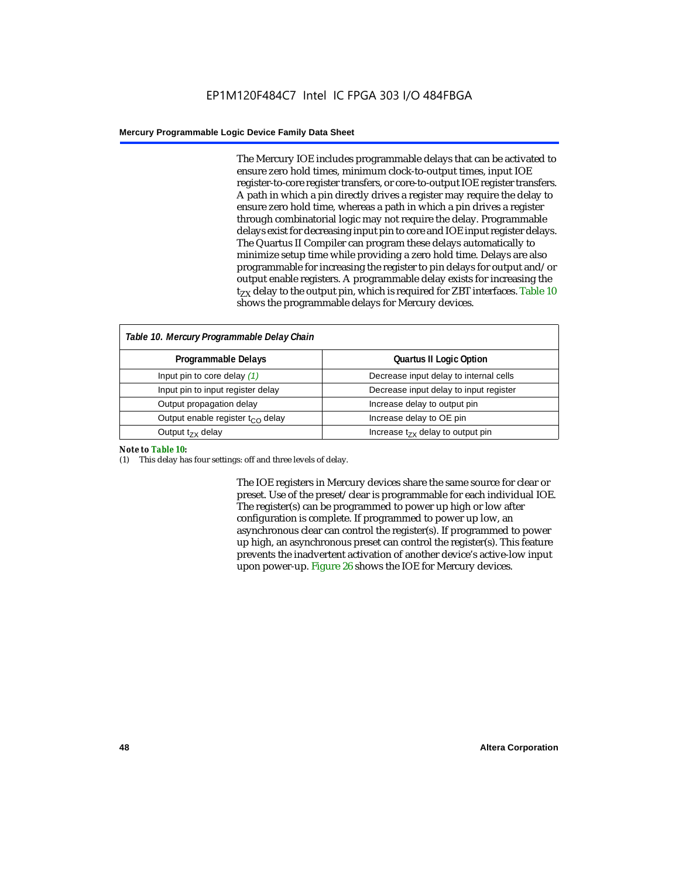The Mercury IOE includes programmable delays that can be activated to ensure zero hold times, minimum clock-to-output times, input IOE register-to-core register transfers, or core-to-output IOE register transfers. A path in which a pin directly drives a register may require the delay to ensure zero hold time, whereas a path in which a pin drives a register through combinatorial logic may not require the delay. Programmable delays exist for decreasing input pin to core and IOE input register delays. The Quartus II Compiler can program these delays automatically to minimize setup time while providing a zero hold time. Delays are also programmable for increasing the register to pin delays for output and/or output enable registers. A programmable delay exists for increasing the  $t_{zx}$  delay to the output pin, which is required for ZBT interfaces. Table 10 shows the programmable delays for Mercury devices.

| Table 10. Mercury Programmable Delay Chain |                                        |  |  |
|--------------------------------------------|----------------------------------------|--|--|
| Programmable Delays                        | <b>Quartus II Logic Option</b>         |  |  |
| Input pin to core delay $(1)$              | Decrease input delay to internal cells |  |  |
| Input pin to input register delay          | Decrease input delay to input register |  |  |
| Output propagation delay                   | Increase delay to output pin           |  |  |
| Output enable register $t_{\rm CO}$ delay  | Increase delay to OE pin               |  |  |
| Output $t_{zx}$ delay                      | Increase $t_{zx}$ delay to output pin  |  |  |

#### *Note to Table 10:*

(1) This delay has four settings: off and three levels of delay.

The IOE registers in Mercury devices share the same source for clear or preset. Use of the preset/clear is programmable for each individual IOE. The register(s) can be programmed to power up high or low after configuration is complete. If programmed to power up low, an asynchronous clear can control the register(s). If programmed to power up high, an asynchronous preset can control the register(s). This feature prevents the inadvertent activation of another device's active-low input upon power-up. Figure 26 shows the IOE for Mercury devices.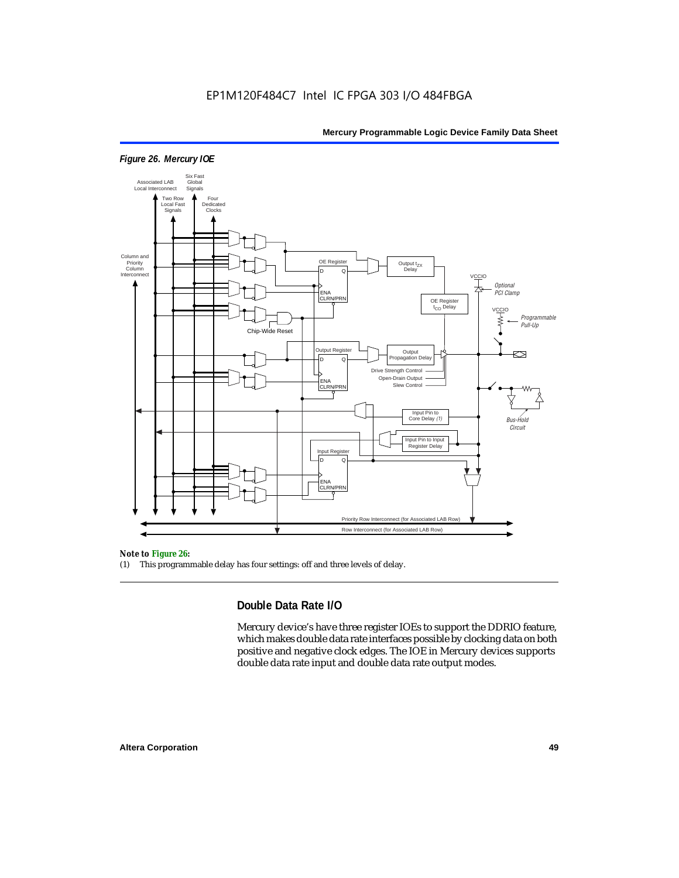

### *Figure 26. Mercury IOE*

#### *Note to Figure 26:*

(1) This programmable delay has four settings: off and three levels of delay.

### **Double Data Rate I/O**

Mercury device's have three register IOEs to support the DDRIO feature, which makes double data rate interfaces possible by clocking data on both positive and negative clock edges. The IOE in Mercury devices supports double data rate input and double data rate output modes.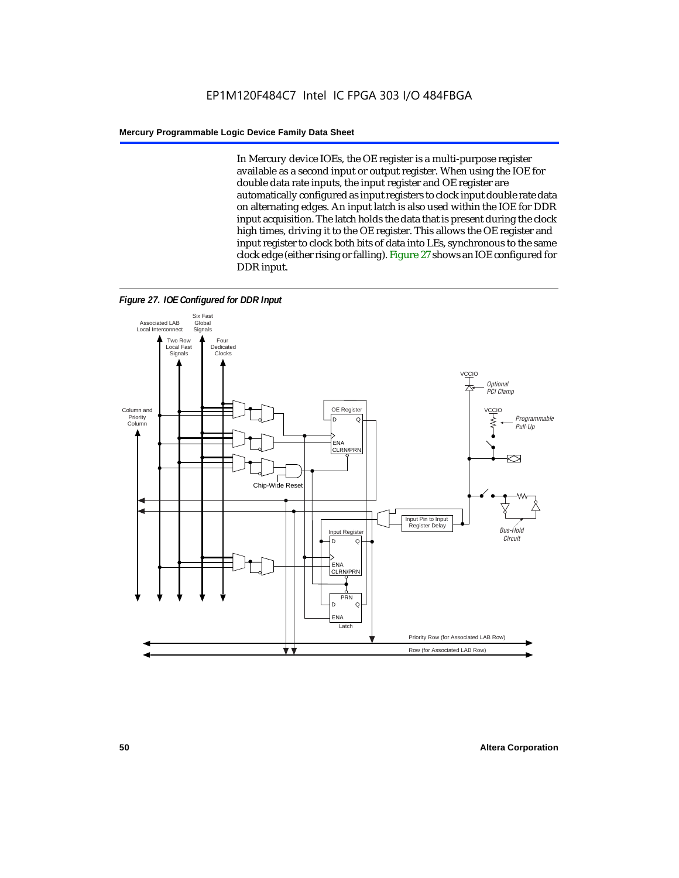In Mercury device IOEs, the OE register is a multi-purpose register available as a second input or output register. When using the IOE for double data rate inputs, the input register and OE register are automatically configured as input registers to clock input double rate data on alternating edges. An input latch is also used within the IOE for DDR input acquisition. The latch holds the data that is present during the clock high times, driving it to the OE register. This allows the OE register and input register to clock both bits of data into LEs, synchronous to the same clock edge (either rising or falling). Figure 27 shows an IOE configured for DDR input.



*Figure 27. IOE Configured for DDR Input*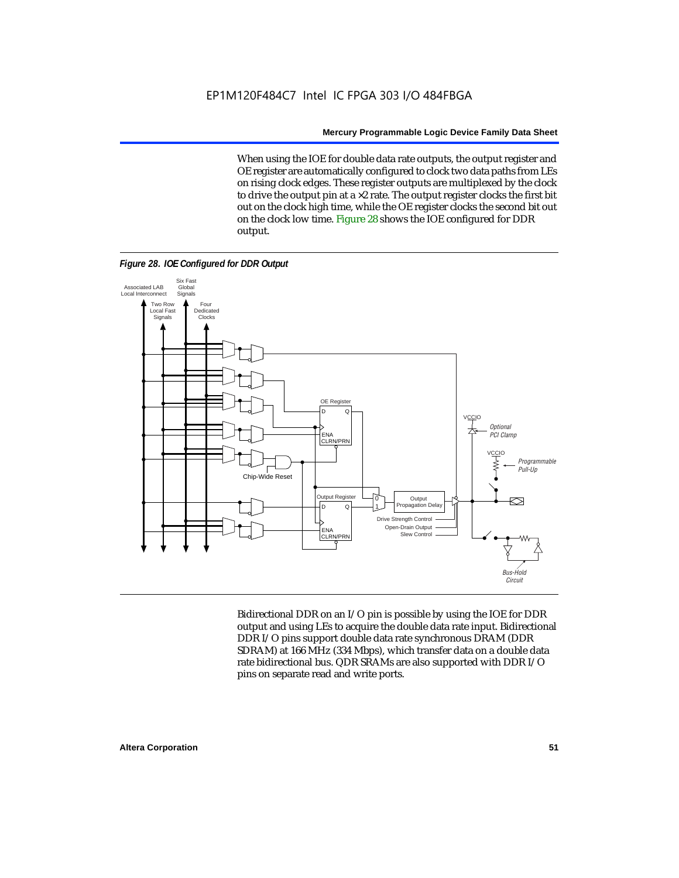When using the IOE for double data rate outputs, the output register and OE register are automatically configured to clock two data paths from LEs on rising clock edges. These register outputs are multiplexed by the clock to drive the output pin at a  $\times$ 2 rate. The output register clocks the first bit out on the clock high time, while the OE register clocks the second bit out on the clock low time. Figure 28 shows the IOE configured for DDR output.

*Figure 28. IOE Configured for DDR Output*



Bidirectional DDR on an I/O pin is possible by using the IOE for DDR output and using LEs to acquire the double data rate input. Bidirectional DDR I/O pins support double data rate synchronous DRAM (DDR SDRAM) at 166 MHz (334 Mbps), which transfer data on a double data rate bidirectional bus. QDR SRAMs are also supported with DDR I/O pins on separate read and write ports.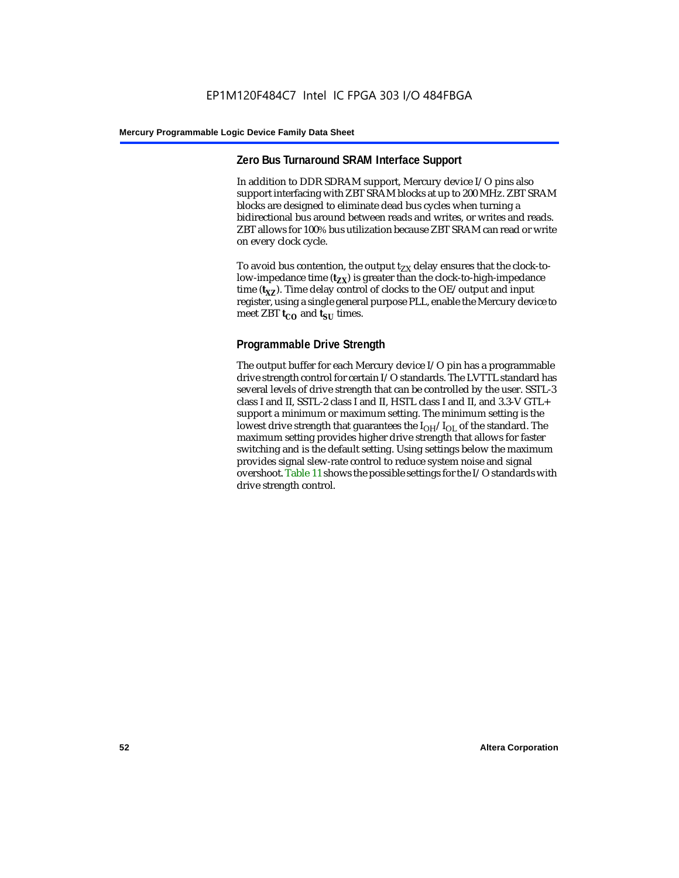### **Zero Bus Turnaround SRAM Interface Support**

In addition to DDR SDRAM support, Mercury device I/O pins also support interfacing with ZBT SRAM blocks at up to 200 MHz. ZBT SRAM blocks are designed to eliminate dead bus cycles when turning a bidirectional bus around between reads and writes, or writes and reads. ZBT allows for 100% bus utilization because ZBT SRAM can read or write on every clock cycle.

To avoid bus contention, the output  $t_{ZX}$  delay ensures that the clock-tolow-impedance time  $(t_{zx})$  is greater than the clock-to-high-impedance time  $(t_{\text{XZ}})$ . Time delay control of clocks to the OE/output and input register, using a single general purpose PLL, enable the Mercury device to meet ZBT  $t_{CO}$  and  $t_{SII}$  times.

### **Programmable Drive Strength**

The output buffer for each Mercury device I/O pin has a programmable drive strength control for certain I/O standards. The LVTTL standard has several levels of drive strength that can be controlled by the user. SSTL-3 class I and II, SSTL-2 class I and II, HSTL class I and II, and 3.3-V GTL+ support a minimum or maximum setting. The minimum setting is the lowest drive strength that guarantees the  $I_{OH}/I_{OL}$  of the standard. The maximum setting provides higher drive strength that allows for faster switching and is the default setting. Using settings below the maximum provides signal slew-rate control to reduce system noise and signal overshoot. Table 11 shows the possible settings for the I/O standards with drive strength control.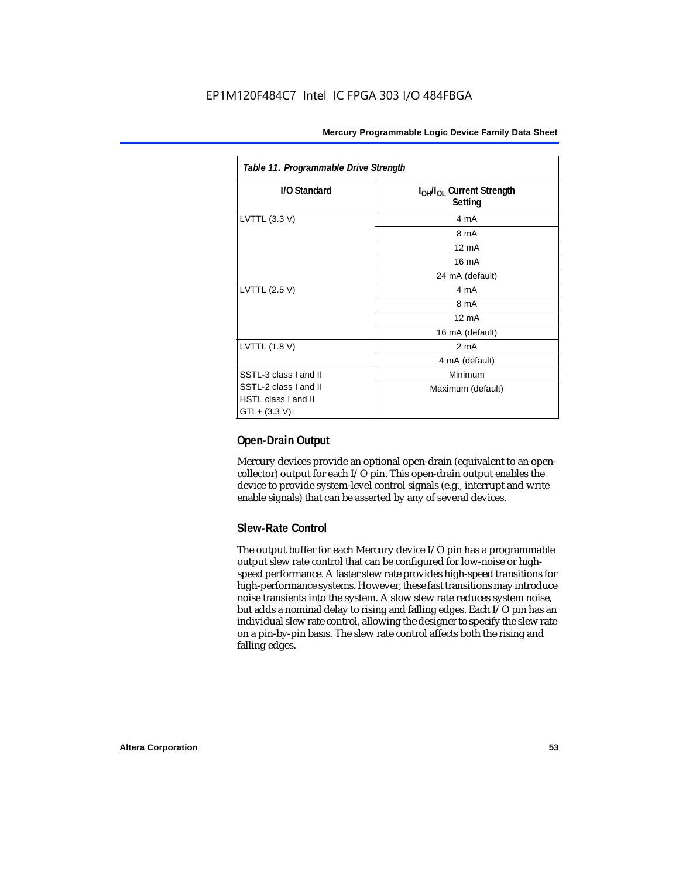| Table 11. Programmable Drive Strength                               |                                                              |  |  |
|---------------------------------------------------------------------|--------------------------------------------------------------|--|--|
| I/O Standard                                                        | I <sub>OH</sub> /I <sub>OL</sub> Current Strength<br>Setting |  |  |
| LVTTL (3.3 V)                                                       | 4 mA                                                         |  |  |
|                                                                     | 8 mA                                                         |  |  |
|                                                                     | $12 \text{ mA}$                                              |  |  |
|                                                                     | 16 mA                                                        |  |  |
|                                                                     | 24 mA (default)                                              |  |  |
| LVTTL (2.5 V)                                                       | 4 mA                                                         |  |  |
|                                                                     | 8 mA                                                         |  |  |
|                                                                     | $12 \text{ mA}$                                              |  |  |
|                                                                     | 16 mA (default)                                              |  |  |
| LVTTL (1.8 V)                                                       | 2 <sub>m</sub> A                                             |  |  |
|                                                                     | 4 mA (default)                                               |  |  |
| SSTL-3 class I and II                                               | Minimum                                                      |  |  |
| SSTL-2 class I and II<br><b>HSTL class I and II</b><br>GTL+ (3.3 V) | Maximum (default)                                            |  |  |

### **Open-Drain Output**

Mercury devices provide an optional open-drain (equivalent to an opencollector) output for each I/O pin. This open-drain output enables the device to provide system-level control signals (e.g., interrupt and write enable signals) that can be asserted by any of several devices.

### **Slew-Rate Control**

The output buffer for each Mercury device I/O pin has a programmable output slew rate control that can be configured for low-noise or highspeed performance. A faster slew rate provides high-speed transitions for high-performance systems. However, these fast transitions may introduce noise transients into the system. A slow slew rate reduces system noise, but adds a nominal delay to rising and falling edges. Each I/O pin has an individual slew rate control, allowing the designer to specify the slew rate on a pin-by-pin basis. The slew rate control affects both the rising and falling edges.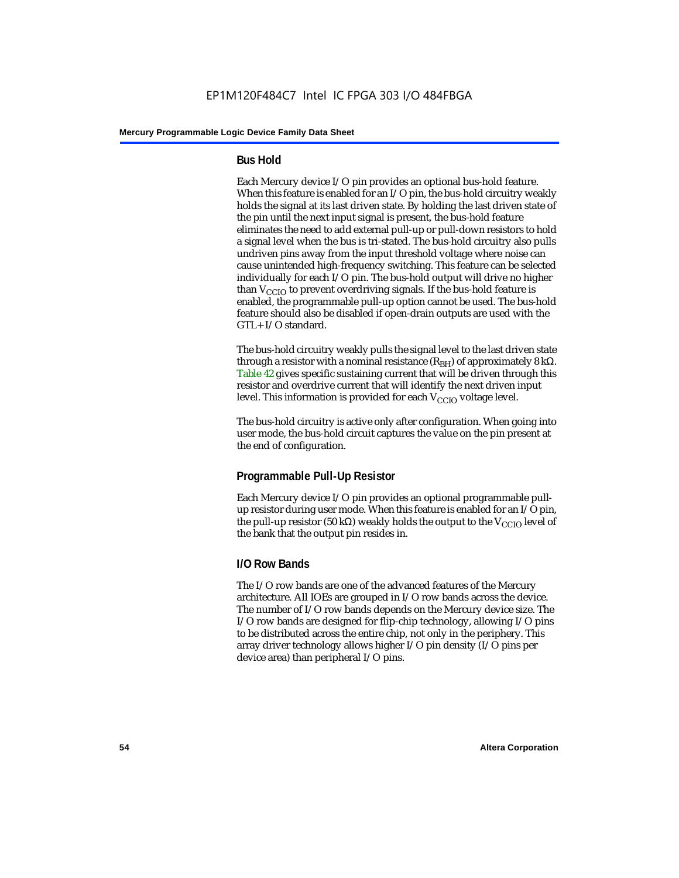### **Bus Hold**

Each Mercury device I/O pin provides an optional bus-hold feature. When this feature is enabled for an I/O pin, the bus-hold circuitry weakly holds the signal at its last driven state. By holding the last driven state of the pin until the next input signal is present, the bus-hold feature eliminates the need to add external pull-up or pull-down resistors to hold a signal level when the bus is tri-stated. The bus-hold circuitry also pulls undriven pins away from the input threshold voltage where noise can cause unintended high-frequency switching. This feature can be selected individually for each I/O pin. The bus-hold output will drive no higher than  $V_{CCIO}$  to prevent overdriving signals. If the bus-hold feature is enabled, the programmable pull-up option cannot be used. The bus-hold feature should also be disabled if open-drain outputs are used with the GTL+ I/O standard.

The bus-hold circuitry weakly pulls the signal level to the last driven state through a resistor with a nominal resistance (R<sub>BH</sub>) of approximately 8 kΩ. Table 42 gives specific sustaining current that will be driven through this resistor and overdrive current that will identify the next driven input level. This information is provided for each  $V_{CCIO}$  voltage level.

The bus-hold circuitry is active only after configuration. When going into user mode, the bus-hold circuit captures the value on the pin present at the end of configuration.

### **Programmable Pull-Up Resistor**

Each Mercury device I/O pin provides an optional programmable pullup resistor during user mode. When this feature is enabled for an I/O pin, the pull-up resistor (50 kΩ) weakly holds the output to the  $V_{CCIO}$  level of the bank that the output pin resides in.

### **I/O Row Bands**

The I/O row bands are one of the advanced features of the Mercury architecture. All IOEs are grouped in I/O row bands across the device. The number of I/O row bands depends on the Mercury device size. The I/O row bands are designed for flip-chip technology, allowing I/O pins to be distributed across the entire chip, not only in the periphery. This array driver technology allows higher I/O pin density (I/O pins per device area) than peripheral I/O pins.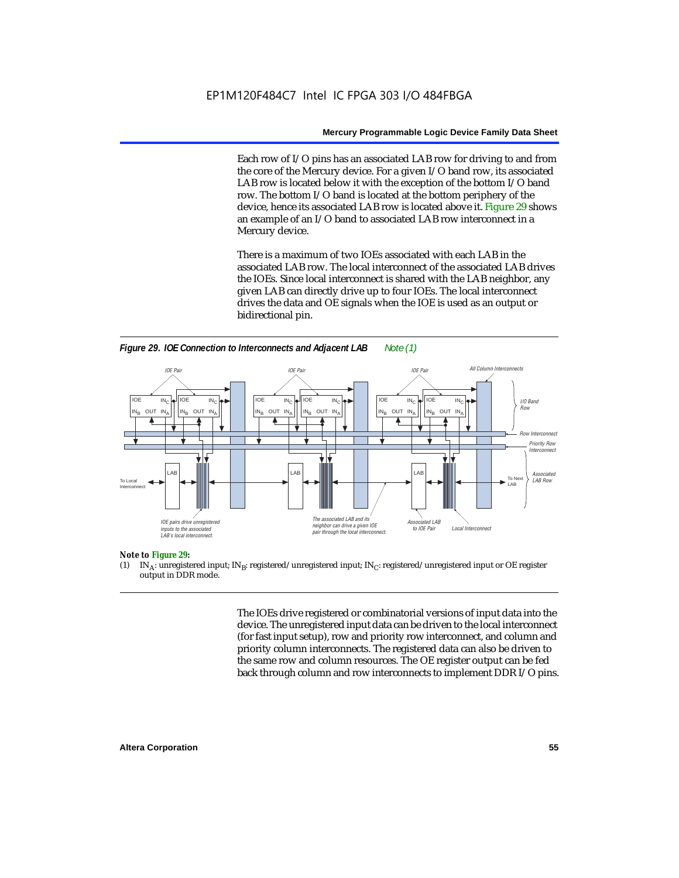Each row of I/O pins has an associated LAB row for driving to and from the core of the Mercury device. For a given I/O band row, its associated LAB row is located below it with the exception of the bottom I/O band row. The bottom I/O band is located at the bottom periphery of the device, hence its associated LAB row is located above it. Figure 29 shows an example of an I/O band to associated LAB row interconnect in a Mercury device.

There is a maximum of two IOEs associated with each LAB in the associated LAB row. The local interconnect of the associated LAB drives the IOEs. Since local interconnect is shared with the LAB neighbor, any given LAB can directly drive up to four IOEs. The local interconnect drives the data and OE signals when the IOE is used as an output or bidirectional pin.





#### *Note to Figure 29:*

(1) IN<sub>A</sub>: unregistered input; IN<sub>B</sub>: registered/unregistered input; IN<sub>C</sub>: registered/unregistered input or OE register output in DDR mode.

> The IOEs drive registered or combinatorial versions of input data into the device. The unregistered input data can be driven to the local interconnect (for fast input setup), row and priority row interconnect, and column and priority column interconnects. The registered data can also be driven to the same row and column resources. The OE register output can be fed back through column and row interconnects to implement DDR I/O pins.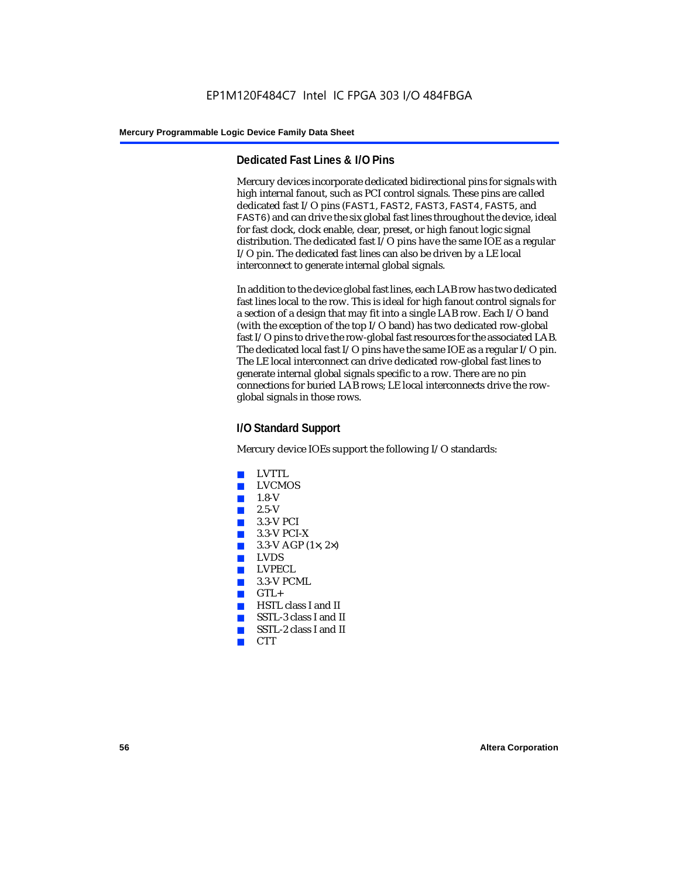### **Dedicated Fast Lines & I/O Pins**

Mercury devices incorporate dedicated bidirectional pins for signals with high internal fanout, such as PCI control signals. These pins are called dedicated fast I/O pins (FAST1, FAST2, FAST3, FAST4, FAST5, and FAST6) and can drive the six global fast lines throughout the device, ideal for fast clock, clock enable, clear, preset, or high fanout logic signal distribution. The dedicated fast I/O pins have the same IOE as a regular I/O pin. The dedicated fast lines can also be driven by a LE local interconnect to generate internal global signals.

In addition to the device global fast lines, each LAB row has two dedicated fast lines local to the row. This is ideal for high fanout control signals for a section of a design that may fit into a single LAB row. Each I/O band (with the exception of the top I/O band) has two dedicated row-global fast I/O pins to drive the row-global fast resources for the associated LAB. The dedicated local fast I/O pins have the same IOE as a regular I/O pin. The LE local interconnect can drive dedicated row-global fast lines to generate internal global signals specific to a row. There are no pin connections for buried LAB rows; LE local interconnects drive the rowglobal signals in those rows.

### **I/O Standard Support**

Mercury device IOEs support the following I/O standards:

- LVTTL
- **LVCMOS**
- $1.8-V$
- 2.5-V
- 3.3-V PCI
- $\blacksquare$  3.3-V PCI-X
- $3.3-V$  AGP (1 $\times$ , 2 $\times$ )
- LVDS
- LVPECL
- $\blacksquare$  3.3-V PCML
- $GTL +$
- HSTL class I and II
- SSTL-3 class I and II
- SSTL-2 class I and II
- CTT<sub></sub>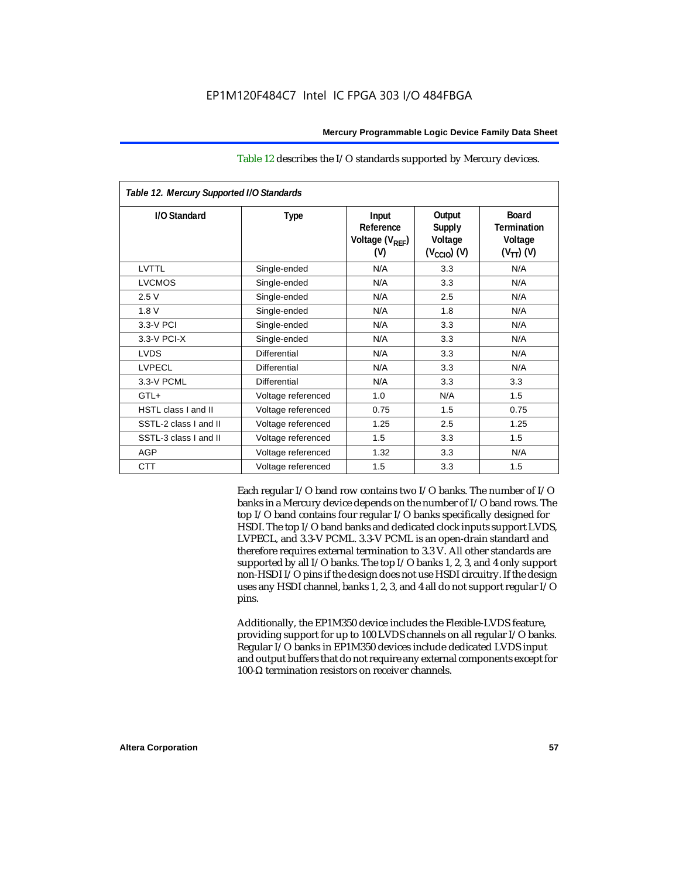| Table 12. Mercury Supported I/O Standards |                     |                                                          |                                                               |                                                                 |  |
|-------------------------------------------|---------------------|----------------------------------------------------------|---------------------------------------------------------------|-----------------------------------------------------------------|--|
| I/O Standard                              | <b>Type</b>         | Input<br>Reference<br>Voltage (V <sub>REF</sub> )<br>(V) | Output<br><b>Supply</b><br>Voltage<br>$(V_{\text{CCIO}})$ (V) | <b>Board</b><br><b>Termination</b><br>Voltage<br>$(V_{TT})$ (V) |  |
| LVTTL                                     | Single-ended        | N/A                                                      | 3.3                                                           | N/A                                                             |  |
| <b>LVCMOS</b>                             | Single-ended        | N/A                                                      | 3.3                                                           | N/A                                                             |  |
| 2.5V                                      | Single-ended        | N/A                                                      | 2.5                                                           | N/A                                                             |  |
| 1.8V                                      | Single-ended        | N/A                                                      | 1.8                                                           | N/A                                                             |  |
| 3.3-V PCI                                 | Single-ended        | N/A                                                      | 3.3                                                           | N/A                                                             |  |
| 3.3-V PCI-X                               | Single-ended        | N/A                                                      | 3.3                                                           | N/A                                                             |  |
| <b>LVDS</b>                               | <b>Differential</b> | N/A                                                      | 3.3                                                           | N/A                                                             |  |
| <b>LVPECL</b>                             | Differential        | N/A                                                      | 3.3                                                           | N/A                                                             |  |
| 3.3-V PCML                                | <b>Differential</b> | N/A                                                      | 3.3                                                           | 3.3                                                             |  |
| GTL+                                      | Voltage referenced  | 1.0                                                      | N/A                                                           | 1.5                                                             |  |
| <b>HSTL class I and II</b>                | Voltage referenced  | 0.75                                                     | 1.5                                                           | 0.75                                                            |  |
| SSTL-2 class I and II                     | Voltage referenced  | 1.25                                                     | 2.5                                                           | 1.25                                                            |  |
| SSTL-3 class I and II                     | Voltage referenced  | 1.5                                                      | 3.3                                                           | 1.5                                                             |  |
| <b>AGP</b>                                | Voltage referenced  | 1.32                                                     | 3.3                                                           | N/A                                                             |  |
| <b>CTT</b>                                | Voltage referenced  | 1.5                                                      | 3.3                                                           | 1.5                                                             |  |

### Table 12 describes the I/O standards supported by Mercury devices.

Each regular I/O band row contains two I/O banks. The number of I/O banks in a Mercury device depends on the number of I/O band rows. The top I/O band contains four regular I/O banks specifically designed for HSDI. The top I/O band banks and dedicated clock inputs support LVDS, LVPECL, and 3.3-V PCML. 3.3-V PCML is an open-drain standard and therefore requires external termination to 3.3 V. All other standards are supported by all I/O banks. The top I/O banks 1, 2, 3, and 4 only support non-HSDI I/O pins if the design does not use HSDI circuitry. If the design uses any HSDI channel, banks 1, 2, 3, and 4 all do not support regular I/O pins.

Additionally, the EP1M350 device includes the Flexible-LVDS feature, providing support for up to 100 LVDS channels on all regular I/O banks. Regular I/O banks in EP1M350 devices include dedicated LVDS input and output buffers that do not require any external components except for 100-Ω termination resistors on receiver channels.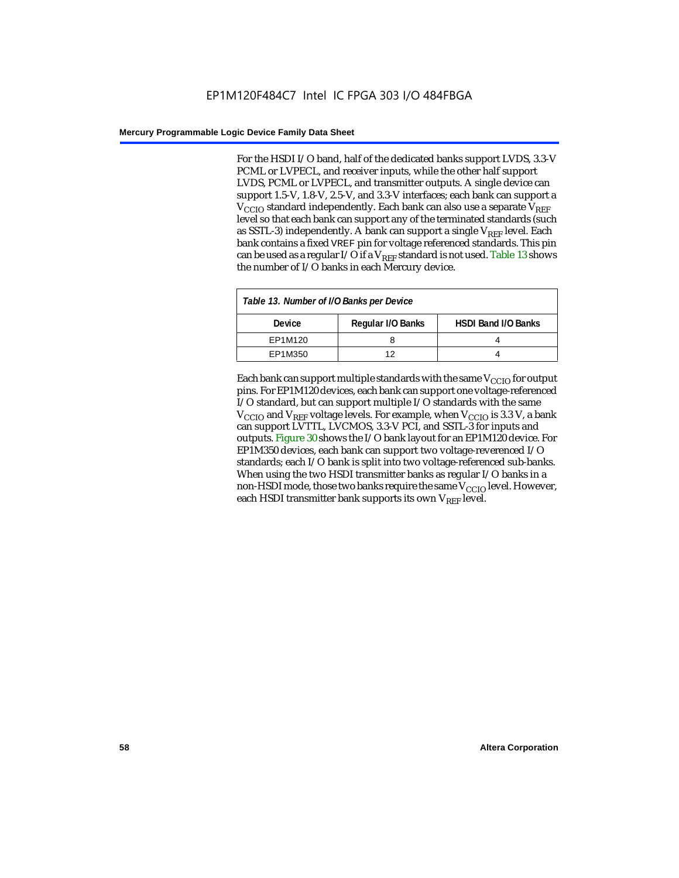For the HSDI I/O band, half of the dedicated banks support LVDS, 3.3-V PCML or LVPECL, and receiver inputs, while the other half support LVDS, PCML or LVPECL, and transmitter outputs. A single device can support 1.5-V, 1.8-V, 2.5-V, and 3.3-V interfaces; each bank can support a  $V_{\text{CCIO}}$  standard independently. Each bank can also use a separate  $V_{\text{RFE}}$ level so that each bank can support any of the terminated standards (such as SSTL-3) independently. A bank can support a single  $V_{REF}$  level. Each bank contains a fixed VREF pin for voltage referenced standards. This pin can be used as a regular I/O if a  $V_{REF}$  standard is not used. Table 13 shows the number of I/O banks in each Mercury device.

| Table 13. Number of I/O Banks per Device |                   |                            |  |
|------------------------------------------|-------------------|----------------------------|--|
| <b>Device</b>                            | Regular I/O Banks | <b>HSDI Band I/O Banks</b> |  |
| EP1M120                                  |                   |                            |  |
| EP1M350                                  | 1つ                |                            |  |

Each bank can support multiple standards with the same  $V_{\text{CCIO}}$  for output pins. For EP1M120 devices, each bank can support one voltage-referenced I/O standard, but can support multiple I/O standards with the same  $V_{\text{CCIO}}$  and  $V_{\text{REF}}$  voltage levels. For example, when  $V_{\text{CCIO}}$  is 3.3 V, a bank can support LVTTL, LVCMOS, 3.3-V PCI, and SSTL-3 for inputs and outputs. Figure 30 shows the I/O bank layout for an EP1M120 device. For EP1M350 devices, each bank can support two voltage-reverenced I/O standards; each I/O bank is split into two voltage-referenced sub-banks. When using the two HSDI transmitter banks as regular I/O banks in a non-HSDI mode, those two banks require the same  $V_{CCIO}$  level. However, each HSDI transmitter bank supports its own  $V_{REF}$  level.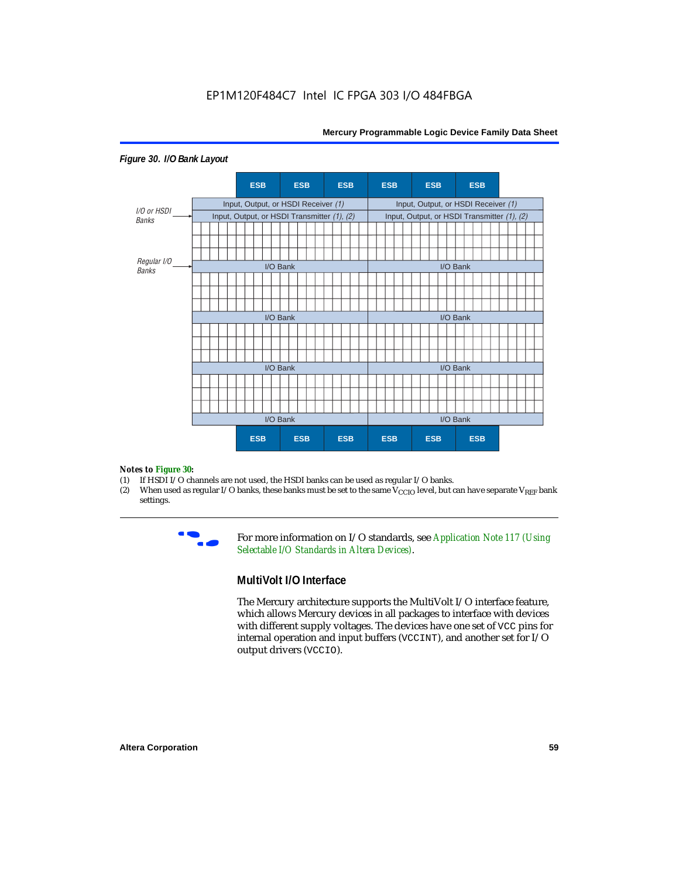

#### *Figure 30. I/O Bank Layout*

# *Notes to Figure 30:*

- (1) If HSDI I/O channels are not used, the HSDI banks can be used as regular I/O banks.<br>(2) When used as regular I/O banks, these banks must be set to the same  $V_{\text{CCIO}}$  level, but of
- When used as regular I/O banks, these banks must be set to the same  $V_{\text{CCIO}}$  level, but can have separate V<sub>REF</sub> bank settings.



**For more information on I/O standards, see Application Note 117 (Using** *Selectable I/O Standards in Altera Devices)*.

### **MultiVolt I/O Interface**

The Mercury architecture supports the MultiVolt I/O interface feature, which allows Mercury devices in all packages to interface with devices with different supply voltages. The devices have one set of VCC pins for internal operation and input buffers (VCCINT), and another set for I/O output drivers (VCCIO).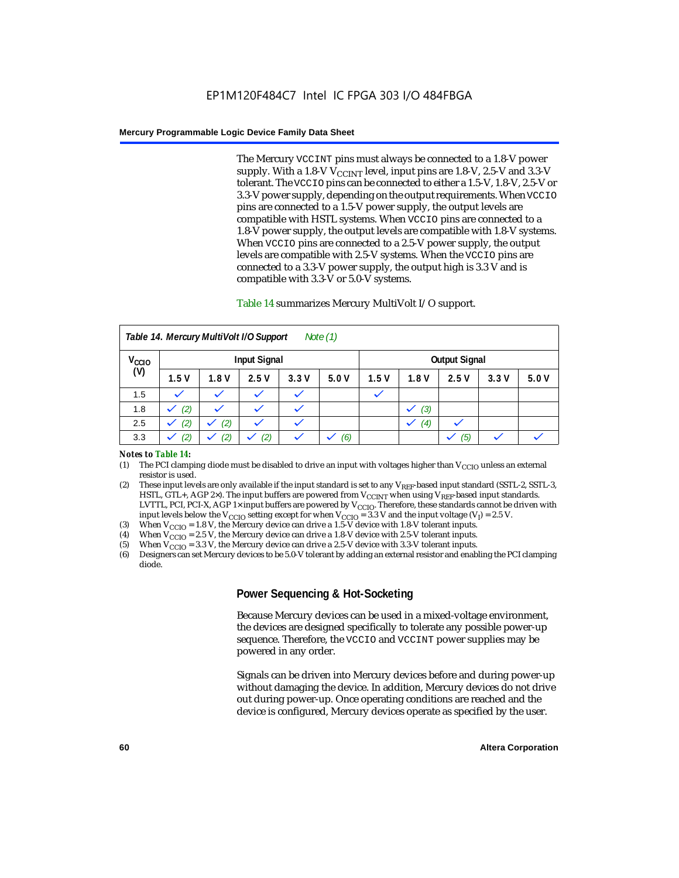The Mercury VCCINT pins must always be connected to a 1.8-V power supply. With a 1.8-V  $V_{\text{CCINT}}$  level, input pins are 1.8-V, 2.5-V and 3.3-V tolerant. The VCCIO pins can be connected to either a 1.5-V, 1.8-V, 2.5-V or 3.3-V power supply, depending on the output requirements. When VCCIO pins are connected to a 1.5-V power supply, the output levels are compatible with HSTL systems. When VCCIO pins are connected to a 1.8-V power supply, the output levels are compatible with 1.8-V systems. When VCCIO pins are connected to a 2.5-V power supply, the output levels are compatible with 2.5-V systems. When the VCCIO pins are connected to a 3.3-V power supply, the output high is 3.3 V and is compatible with 3.3-V or 5.0-V systems.

### Table 14 summarizes Mercury MultiVolt I/O support.

| Note $(1)$<br>Table 14. Mercury MultiVolt I/O Support |      |      |              |              |      |      |                      |      |      |      |
|-------------------------------------------------------|------|------|--------------|--------------|------|------|----------------------|------|------|------|
| V <sub>CCIO</sub><br><b>Input Signal</b>              |      |      |              |              |      |      | <b>Output Signal</b> |      |      |      |
| (V)                                                   | 1.5V | 1.8V | 2.5V         | 3.3V         | 5.0V | 1.5V | 1.8V                 | 2.5V | 3.3V | 5.0V |
| 1.5                                                   |      |      |              |              |      |      |                      |      |      |      |
| 1.8                                                   | (2)  |      |              |              |      |      | (3)                  |      |      |      |
| 2.5                                                   | (2)  | (2)  | $\checkmark$ | $\checkmark$ |      |      | (4)                  |      |      |      |
| 3.3                                                   | (2)  | (2)  | (2)          |              | (6)  |      |                      | (5)  |      |      |

#### *Notes to Table 14:*

- (1) The PCI clamping diode must be disabled to drive an input with voltages higher than  $V_{\text{CCIO}}$  unless an external resistor is used.
- (2) These input levels are only available if the input standard is set to any  $V_{REF}$ -based input standard (SSTL-2, SSTL-3, HSTL, GTL+, AGP 2×). The input buffers are powered from  $V_{CCTNT}$  when using  $V_{REF}$ -based input standards. LVTTL, PCI, PCI-X, AGP 1× input buffers are powered by V<sub>CCIO</sub>. Therefore, these standards cannot be driven with input levels below the V<sub>CCIO</sub> setting except for when V<sub>CCIO</sub> = 3.3 V and the input voltage (V<sub>I</sub>) = 2.5 V.
- (3) When  $V_{\text{CCIO}} = 1.8 \text{ V}$ , the Mercury device can drive a 1.5-V device with 1.8-V tolerant inputs.
- (4) When  $V_{\text{CCIO}} = 2.5$  V, the Mercury device can drive a 1.8-V device with 2.5-V tolerant inputs.
- (5) When  $V_{\text{CCIO}} = 3.3$  V, the Mercury device can drive a 2.5-V device with 3.3-V tolerant inputs.<br>(6) Designers can set Mercury devices to be 5.0-V tolerant by adding an external resistor and enab
- (6) Designers can set Mercury devices to be 5.0-V tolerant by adding an external resistor and enabling the PCI clamping diode.

### **Power Sequencing & Hot-Socketing**

Because Mercury devices can be used in a mixed-voltage environment, the devices are designed specifically to tolerate any possible power-up sequence. Therefore, the VCCIO and VCCINT power supplies may be powered in any order.

Signals can be driven into Mercury devices before and during power-up without damaging the device. In addition, Mercury devices do not drive out during power-up. Once operating conditions are reached and the device is configured, Mercury devices operate as specified by the user.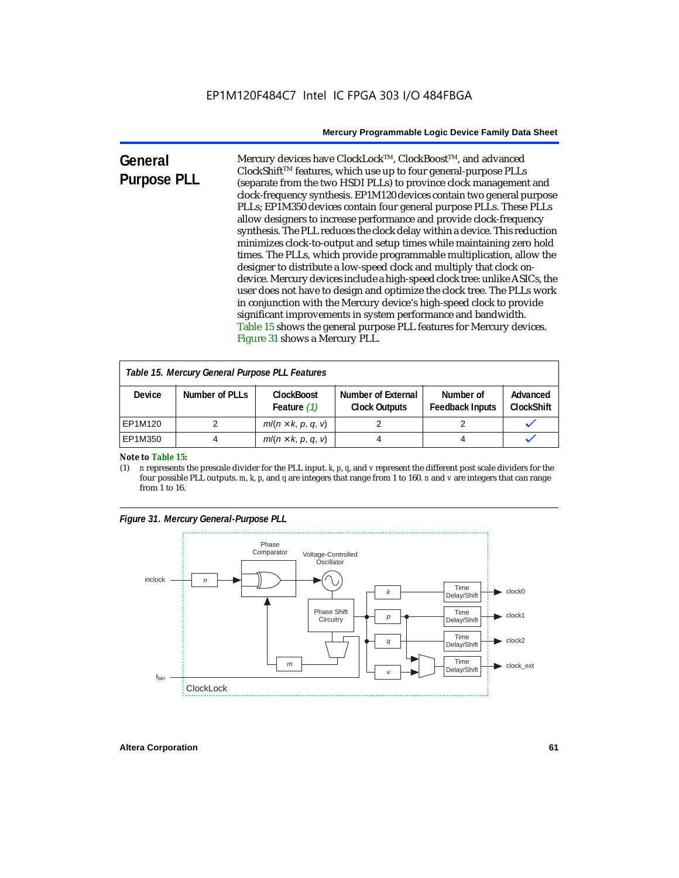| General            | Mercury devices have ClockLock™, ClockBoost™, and advanced                 |
|--------------------|----------------------------------------------------------------------------|
|                    | ClockShift™ features, which use up to four general-purpose PLLs            |
| <b>Purpose PLL</b> | (separate from the two HSDI PLLs) to province clock management and         |
|                    | clock-frequency synthesis. EP1M120 devices contain two general purpose     |
|                    | PLLs; EP1M350 devices contain four general purpose PLLs. These PLLs        |
|                    | allow designers to increase performance and provide clock-frequency        |
|                    | synthesis. The PLL reduces the clock delay within a device. This reduction |
|                    | minimizes clock-to-output and setup times while maintaining zero hold      |
|                    | times. The PLLs, which provide programmable multiplication, allow the      |
|                    | designer to distribute a low-speed clock and multiply that clock on-       |
|                    | device. Mercury devices include a high-speed clock tree: unlike ASICs, the |
|                    | user does not have to design and optimize the clock tree. The PLLs work    |
|                    | in conjunction with the Mercury device's high-speed clock to provide       |
|                    | significant improvements in system performance and bandwidth.              |
|                    | Table 15 shows the general purpose PLL features for Mercury devices.       |
|                    | Figure 31 shows a Mercury PLL.                                             |

| Table 15. Mercury General Purpose PLL Features |                |                                    |                                            |                                     |                               |  |
|------------------------------------------------|----------------|------------------------------------|--------------------------------------------|-------------------------------------|-------------------------------|--|
| <b>Device</b>                                  | Number of PLLs | <b>ClockBoost</b><br>Feature $(1)$ | Number of External<br><b>Clock Outputs</b> | Number of<br><b>Feedback Inputs</b> | Advanced<br><b>ClockShift</b> |  |
| EP1M120                                        |                | $m/(n \times k, p, q, v)$          |                                            |                                     |                               |  |
| EP1M350                                        |                | $m/(n \times k, p, q, v)$          |                                            |                                     |                               |  |

*Note to Table 15:*<br>(1) *n* represents t

(1) *n* represents the prescale divider for the PLL input. *k*, *p*, *q*, and *v* represent the different post scale dividers for the four possible PLL outputs. *m*, *k*, *p*, and *q* are integers that range from 1 to 160. *n* and *v* are integers that can range from 1 to 16.

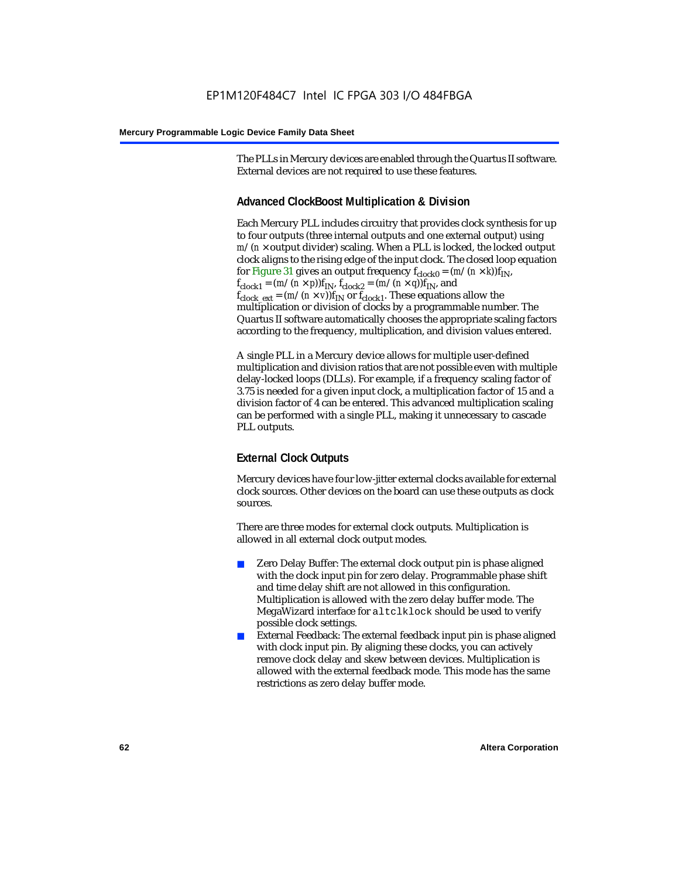The PLLs in Mercury devices are enabled through the Quartus II software. External devices are not required to use these features.

### **Advanced ClockBoost Multiplication & Division**

Each Mercury PLL includes circuitry that provides clock synthesis for up to four outputs (three internal outputs and one external output) using  $m/(n \times$  output divider) scaling. When a PLL is locked, the locked output clock aligns to the rising edge of the input clock. The closed loop equation for Figure 31 gives an output frequency  $f_{clock0} = (m/(n \times k)) f_{IN}$ ,  $f_{clock1} = (m/(n \times p))f_{IN}$ ,  $f_{clock2} = (m/(n \times q))f_{IN}$ , and  $f_{clock\_ext} = (m/(n \times v))f_{IN}$  or  $f_{clock1}$ . These equations allow the multiplication or division of clocks by a programmable number. The Quartus II software automatically chooses the appropriate scaling factors according to the frequency, multiplication, and division values entered.

A single PLL in a Mercury device allows for multiple user-defined multiplication and division ratios that are not possible even with multiple delay-locked loops (DLLs). For example, if a frequency scaling factor of 3.75 is needed for a given input clock, a multiplication factor of 15 and a division factor of 4 can be entered. This advanced multiplication scaling can be performed with a single PLL, making it unnecessary to cascade PLL outputs.

### **External Clock Outputs**

Mercury devices have four low-jitter external clocks available for external clock sources. Other devices on the board can use these outputs as clock sources.

There are three modes for external clock outputs. Multiplication is allowed in all external clock output modes.

- Zero Delay Buffer: The external clock output pin is phase aligned with the clock input pin for zero delay. Programmable phase shift and time delay shift are not allowed in this configuration. Multiplication is allowed with the zero delay buffer mode. The MegaWizard interface for altclklock should be used to verify possible clock settings.
- External Feedback: The external feedback input pin is phase aligned with clock input pin. By aligning these clocks, you can actively remove clock delay and skew between devices. Multiplication is allowed with the external feedback mode. This mode has the same restrictions as zero delay buffer mode.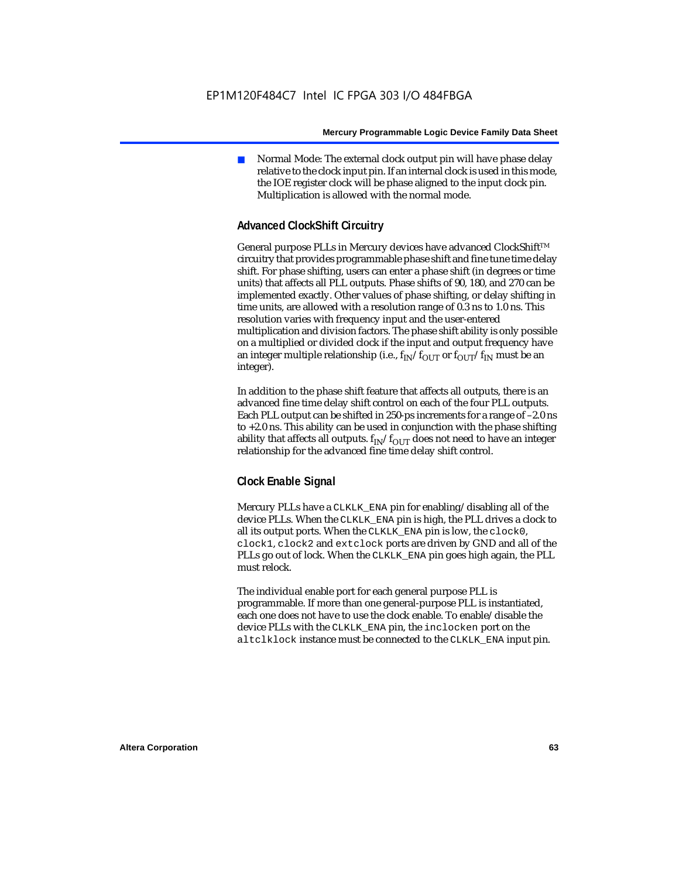Normal Mode: The external clock output pin will have phase delay relative to the clock input pin. If an internal clock is used in this mode, the IOE register clock will be phase aligned to the input clock pin. Multiplication is allowed with the normal mode.

### **Advanced ClockShift Circuitry**

General purpose PLLs in Mercury devices have advanced ClockShift™ circuitry that provides programmable phase shift and fine tune time delay shift. For phase shifting, users can enter a phase shift (in degrees or time units) that affects all PLL outputs. Phase shifts of 90, 180, and 270 can be implemented exactly. Other values of phase shifting, or delay shifting in time units, are allowed with a resolution range of 0.3 ns to 1.0 ns. This resolution varies with frequency input and the user-entered multiplication and division factors. The phase shift ability is only possible on a multiplied or divided clock if the input and output frequency have an integer multiple relationship (i.e.,  $f_{IN}/f_{OUT}$  or  $f_{OUT}/f_{IN}$  must be an integer).

In addition to the phase shift feature that affects all outputs, there is an advanced fine time delay shift control on each of the four PLL outputs. Each PLL output can be shifted in 250-ps increments for a range of –2.0 ns to +2.0 ns. This ability can be used in conjunction with the phase shifting ability that affects all outputs.  $f_{IN}/f_{OUT}$  does not need to have an integer relationship for the advanced fine time delay shift control.

### **Clock Enable Signal**

Mercury PLLs have a CLKLK\_ENA pin for enabling/disabling all of the device PLLs. When the CLKLK\_ENA pin is high, the PLL drives a clock to all its output ports. When the CLKLK\_ENA pin is low, the clock0, clock1, clock2 and extclock ports are driven by GND and all of the PLLs go out of lock. When the CLKLK ENA pin goes high again, the PLL must relock.

The individual enable port for each general purpose PLL is programmable. If more than one general-purpose PLL is instantiated, each one does not have to use the clock enable. To enable/disable the device PLLs with the CLKLK\_ENA pin, the inclocken port on the altclklock instance must be connected to the CLKLK\_ENA input pin.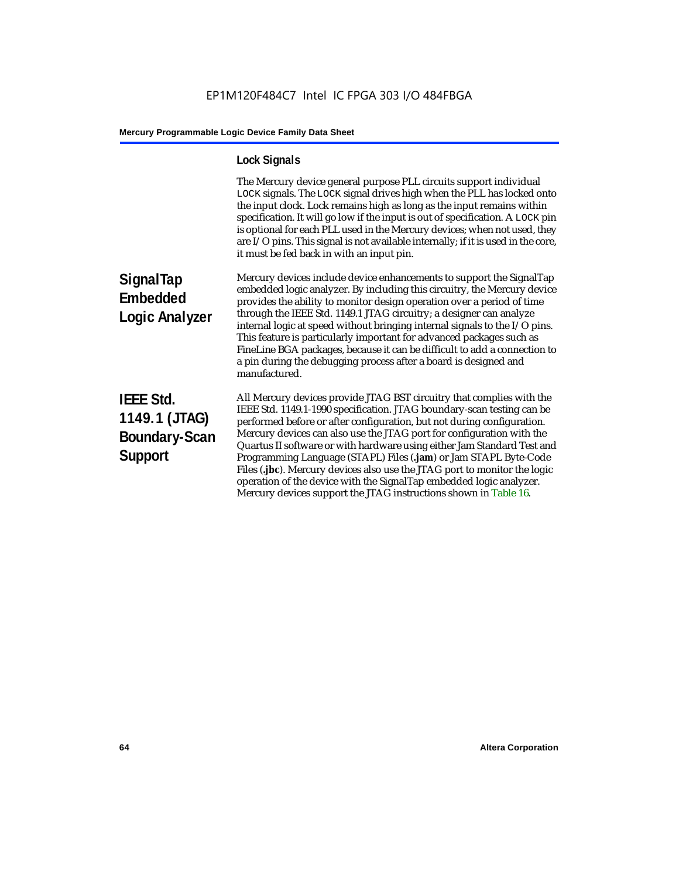## **Lock Signals**

|                                                                             | The Mercury device general purpose PLL circuits support individual<br>LOCK signals. The LOCK signal drives high when the PLL has locked onto<br>the input clock. Lock remains high as long as the input remains within<br>specification. It will go low if the input is out of specification. A LOCK pin<br>is optional for each PLL used in the Mercury devices; when not used, they<br>are I/O pins. This signal is not available internally; if it is used in the core,<br>it must be fed back in with an input pin.                                                                                                                                                   |
|-----------------------------------------------------------------------------|---------------------------------------------------------------------------------------------------------------------------------------------------------------------------------------------------------------------------------------------------------------------------------------------------------------------------------------------------------------------------------------------------------------------------------------------------------------------------------------------------------------------------------------------------------------------------------------------------------------------------------------------------------------------------|
| SignalTap<br><b>Embedded</b><br><b>Logic Analyzer</b>                       | Mercury devices include device enhancements to support the SignalTap<br>embedded logic analyzer. By including this circuitry, the Mercury device<br>provides the ability to monitor design operation over a period of time<br>through the IEEE Std. 1149.1 JTAG circuitry; a designer can analyze<br>internal logic at speed without bringing internal signals to the I/O pins.<br>This feature is particularly important for advanced packages such as<br>FineLine BGA packages, because it can be difficult to add a connection to<br>a pin during the debugging process after a board is designed and<br>manufactured.                                                 |
| <b>IEEE Std.</b><br>1149.1 (JTAG)<br><b>Boundary-Scan</b><br><b>Support</b> | All Mercury devices provide JTAG BST circuitry that complies with the<br>IEEE Std. 1149.1-1990 specification. JTAG boundary-scan testing can be<br>performed before or after configuration, but not during configuration.<br>Mercury devices can also use the JTAG port for configuration with the<br>Quartus II software or with hardware using either Jam Standard Test and<br>Programming Language (STAPL) Files (.jam) or Jam STAPL Byte-Code<br>Files (.jbc). Mercury devices also use the JTAG port to monitor the logic<br>operation of the device with the SignalTap embedded logic analyzer.<br>Mercury devices support the JTAG instructions shown in Table 16. |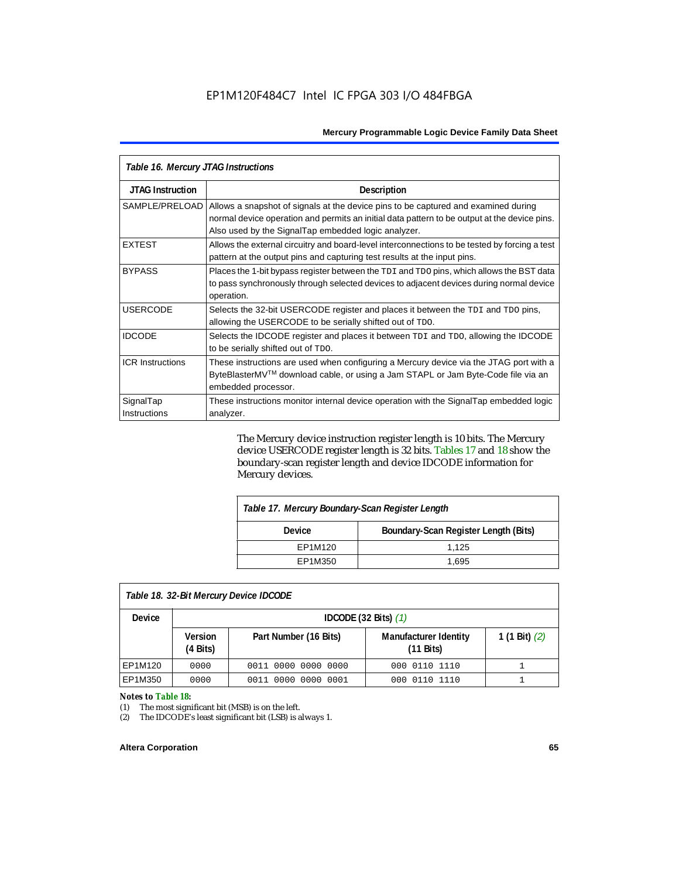| Table 16. Mercury JTAG Instructions |                                                                                                                                                                                                                                           |  |  |
|-------------------------------------|-------------------------------------------------------------------------------------------------------------------------------------------------------------------------------------------------------------------------------------------|--|--|
| <b>JTAG Instruction</b>             | <b>Description</b>                                                                                                                                                                                                                        |  |  |
| SAMPLE/PRELOAD                      | Allows a snapshot of signals at the device pins to be captured and examined during<br>normal device operation and permits an initial data pattern to be output at the device pins.<br>Also used by the SignalTap embedded logic analyzer. |  |  |
| <b>EXTEST</b>                       | Allows the external circuitry and board-level interconnections to be tested by forcing a test<br>pattern at the output pins and capturing test results at the input pins.                                                                 |  |  |
| <b>BYPASS</b>                       | Places the 1-bit bypass register between the TDI and TDO pins, which allows the BST data<br>to pass synchronously through selected devices to adjacent devices during normal device<br>operation.                                         |  |  |
| <b>USERCODE</b>                     | Selects the 32-bit USERCODE register and places it between the TDI and TDO pins,<br>allowing the USERCODE to be serially shifted out of TDO.                                                                                              |  |  |
| <b>IDCODE</b>                       | Selects the IDCODE register and places it between TDI and TDO, allowing the IDCODE<br>to be serially shifted out of TDO.                                                                                                                  |  |  |
| <b>ICR Instructions</b>             | These instructions are used when configuring a Mercury device via the JTAG port with a<br>ByteBlasterMV™ download cable, or using a Jam STAPL or Jam Byte-Code file via an<br>embedded processor.                                         |  |  |
| SignalTap<br>Instructions           | These instructions monitor internal device operation with the SignalTap embedded logic<br>analyzer.                                                                                                                                       |  |  |

The Mercury device instruction register length is 10 bits. The Mercury device USERCODE register length is 32 bits. Tables 17 and 18 show the boundary-scan register length and device IDCODE information for Mercury devices.

| Table 17. Mercury Boundary-Scan Register Length |                                      |  |  |
|-------------------------------------------------|--------------------------------------|--|--|
| <b>Device</b>                                   | Boundary-Scan Register Length (Bits) |  |  |
| EP1M120                                         | 1.125                                |  |  |
| EP1M350                                         | 1.695                                |  |  |
|                                                 |                                      |  |  |

### *Table 18. 32-Bit Mercury Device IDCODE*

| <b>Device</b> | IDCODE $(32 \text{ Bits})$ $(1)$                              |                     |                                                     |                 |  |  |
|---------------|---------------------------------------------------------------|---------------------|-----------------------------------------------------|-----------------|--|--|
|               | Part Number (16 Bits)<br><b>Version</b><br>$(4 \text{ Bits})$ |                     | <b>Manufacturer Identity</b><br>$(11 \text{ bits})$ | 1 (1 Bit) $(2)$ |  |  |
| EP1M120       | 0000                                                          | 0011 0000 0000 0000 | 000 0110 1110                                       |                 |  |  |
| EP1M350       | 0000                                                          | 0011 0000 0000 0001 | 000 0110 1110                                       |                 |  |  |

#### *Notes to Table 18:*

(1) The most significant bit (MSB) is on the left.

(2) The IDCODE's least significant bit (LSB) is always 1.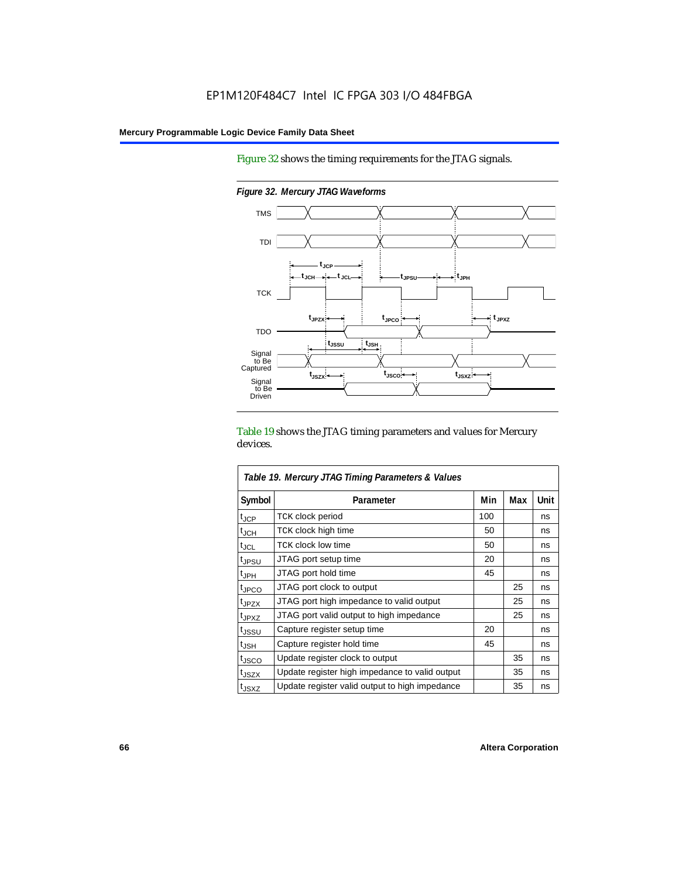Figure 32 shows the timing requirements for the JTAG signals.

*Figure 32. Mercury JTAG Waveforms* TMS



Table 19 shows the JTAG timing parameters and values for Mercury devices.

| Table 19. Mercury JTAG Timing Parameters & Values |                                                |     |     |      |  |  |
|---------------------------------------------------|------------------------------------------------|-----|-----|------|--|--|
| Symbol                                            | Parameter                                      | Min | Max | Unit |  |  |
| $t_{JCP}$                                         | <b>TCK clock period</b>                        | 100 |     | ns   |  |  |
| $\mathfrak{t}_{\mathsf{JCH}}$                     | TCK clock high time                            | 50  |     | ns   |  |  |
| $t_{\text{JCL}}$                                  | TCK clock low time                             | 50  |     | ns   |  |  |
| t <sub>JPSU</sub>                                 | JTAG port setup time                           | 20  |     | ns   |  |  |
| t <sub>JPH</sub>                                  | JTAG port hold time                            | 45  |     | ns   |  |  |
| tjpco                                             | JTAG port clock to output                      |     | 25  | ns   |  |  |
| tjpzx                                             | JTAG port high impedance to valid output       |     | 25  | ns   |  |  |
| t <sub>JPXZ</sub>                                 | JTAG port valid output to high impedance       |     | 25  | ns   |  |  |
| t <sub>JSSU</sub>                                 | Capture register setup time                    | 20  |     | ns   |  |  |
| $t_{\sf JSH}$                                     | Capture register hold time                     | 45  |     | ns   |  |  |
| tjsco                                             | Update register clock to output                |     | 35  | ns   |  |  |
| t <sub>JSZX</sub>                                 | Update register high impedance to valid output |     | 35  | ns   |  |  |
| t <sub>JSXZ</sub>                                 | Update register valid output to high impedance |     | 35  | ns   |  |  |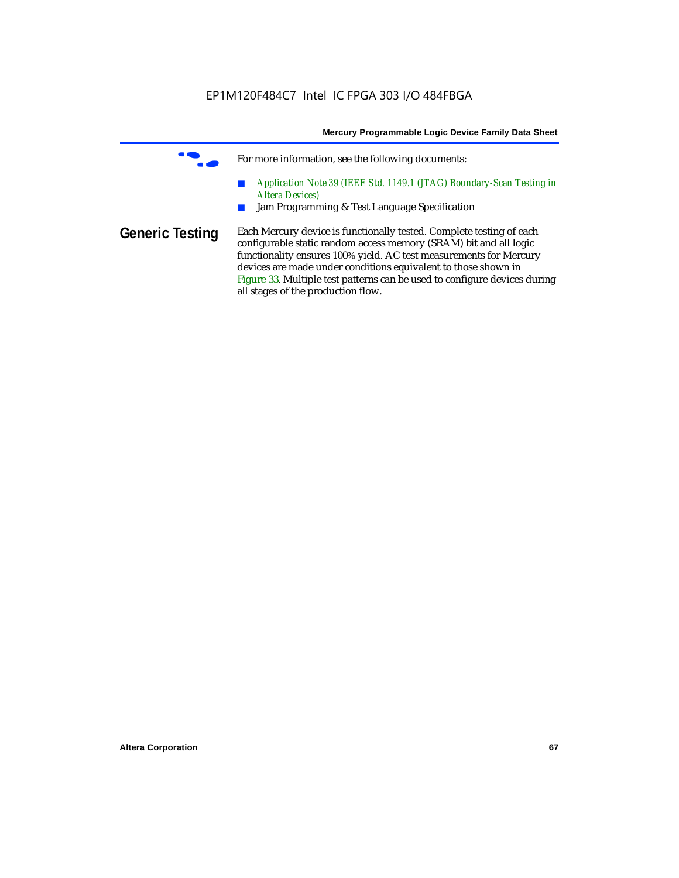**f** For more information, see the following documents:

- *Application Note 39 (IEEE Std. 1149.1 (JTAG) Boundary-Scan Testing in Altera Devices)*
- Jam Programming & Test Language Specification
- **Generic Testing** Each Mercury device is functionally tested. Complete testing of each configurable static random access memory (SRAM) bit and all logic functionality ensures 100% yield. AC test measurements for Mercury devices are made under conditions equivalent to those shown in Figure 33. Multiple test patterns can be used to configure devices during all stages of the production flow.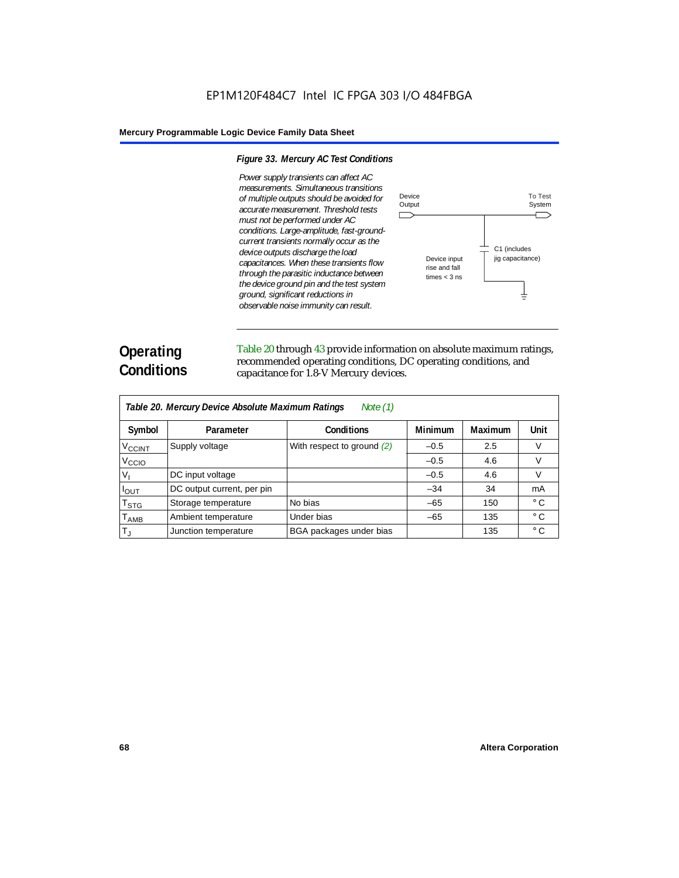#### *Figure 33. Mercury AC Test Conditions*

*Power supply transients can affect AC measurements. Simultaneous transitions of multiple outputs should be avoided for accurate measurement. Threshold tests must not be performed under AC conditions. Large-amplitude, fast-groundcurrent transients normally occur as the device outputs discharge the load capacitances. When these transients flow through the parasitic inductance between the device ground pin and the test system ground, significant reductions in observable noise immunity can result.*



# **Operating Conditions**

Table 20 through 43 provide information on absolute maximum ratings, recommended operating conditions, DC operating conditions, and capacitance for 1.8-V Mercury devices.

| Table 20. Mercury Device Absolute Maximum Ratings<br>Note $(1)$ |                            |                              |                |                |              |  |  |
|-----------------------------------------------------------------|----------------------------|------------------------------|----------------|----------------|--------------|--|--|
| Symbol                                                          | Parameter                  | <b>Conditions</b>            | <b>Minimum</b> | <b>Maximum</b> | Unit         |  |  |
| V <sub>CCINT</sub>                                              | Supply voltage             | With respect to ground $(2)$ | $-0.5$         | 2.5            | v            |  |  |
| $V_{\rm CCIO}$                                                  |                            |                              | $-0.5$         | 4.6            | V            |  |  |
| V,                                                              | DC input voltage           |                              | $-0.5$         | 4.6            | V            |  |  |
| $I_{\text{OUT}}$                                                | DC output current, per pin |                              | $-34$          | 34             | mA           |  |  |
| $\mathsf{T}_{\textsf{STG}}$                                     | Storage temperature        | No bias                      | $-65$          | 150            | $^{\circ}$ C |  |  |
| Т <sub>АМВ</sub>                                                | Ambient temperature        | Under bias                   | $-65$          | 135            | $^{\circ}$ C |  |  |
| $T_{\rm J}$                                                     | Junction temperature       | BGA packages under bias      |                | 135            | $^{\circ}$ C |  |  |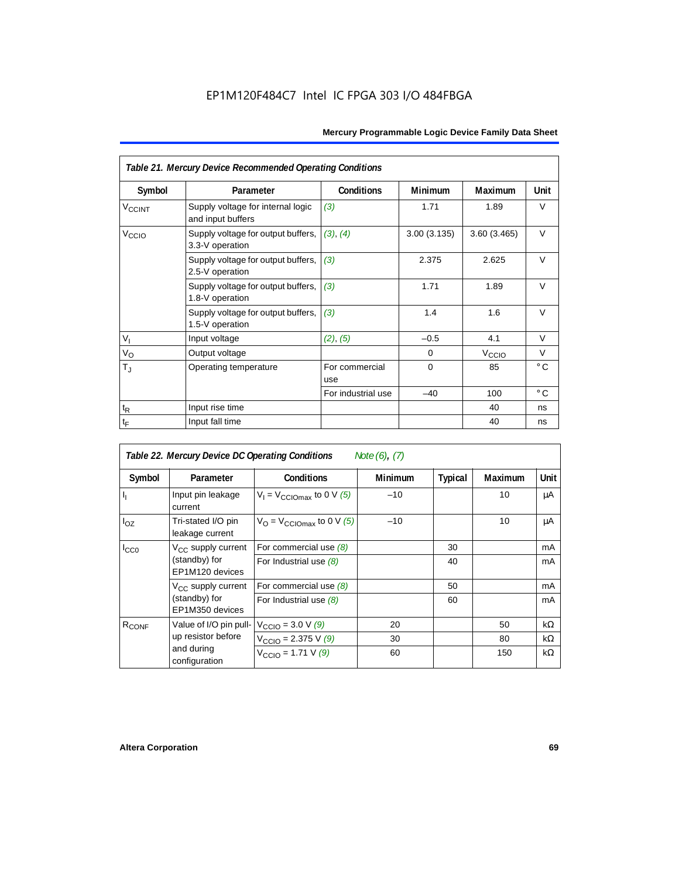| Table 21. Mercury Device Recommended Operating Conditions |                                                        |                       |                |                   |              |  |  |
|-----------------------------------------------------------|--------------------------------------------------------|-----------------------|----------------|-------------------|--------------|--|--|
| Symbol                                                    | Parameter                                              | <b>Conditions</b>     | <b>Minimum</b> | <b>Maximum</b>    | Unit         |  |  |
| <b>V<sub>CCINT</sub></b>                                  | Supply voltage for internal logic<br>and input buffers | (3)                   | 1.71           | 1.89              | $\vee$       |  |  |
| V <sub>CCIO</sub>                                         | Supply voltage for output buffers,<br>3.3-V operation  | (3), (4)              | 3.00(3.135)    | 3.60 (3.465)      | $\vee$       |  |  |
|                                                           | Supply voltage for output buffers,<br>2.5-V operation  | (3)                   | 2.375          | 2.625             | $\vee$       |  |  |
|                                                           | Supply voltage for output buffers,<br>1.8-V operation  | (3)                   | 1.71           | 1.89              | $\vee$       |  |  |
|                                                           | Supply voltage for output buffers,<br>1.5-V operation  | (3)                   | 1.4            | 1.6               | $\vee$       |  |  |
| $V_{\parallel}$                                           | Input voltage                                          | (2), (5)              | $-0.5$         | 4.1               | V            |  |  |
| $V_{\rm O}$                                               | Output voltage                                         |                       | 0              | V <sub>CCIO</sub> | V            |  |  |
| $\mathsf{T}_\mathrm{J}$                                   | Operating temperature                                  | For commercial<br>use | $\Omega$       | 85                | $^{\circ}$ C |  |  |
|                                                           |                                                        | For industrial use    | $-40$          | 100               | $^{\circ}$ C |  |  |
| $t_{\mathsf{R}}$                                          | Input rise time                                        |                       |                | 40                | ns           |  |  |
| $t_{\mathsf{F}}$                                          | Input fall time                                        |                       |                | 40                | ns           |  |  |

| Table 22. Mercury Device DC Operating Conditions<br>Note (6), (7) |                                                                             |                                                |                |                |         |           |  |
|-------------------------------------------------------------------|-----------------------------------------------------------------------------|------------------------------------------------|----------------|----------------|---------|-----------|--|
| Symbol                                                            | Parameter                                                                   | <b>Conditions</b>                              | <b>Minimum</b> | <b>Typical</b> | Maximum | Unit      |  |
| Ι,                                                                | Input pin leakage<br>current                                                | $V_1 = V_{\text{CCIOmax}}$ to 0 V (5)          | $-10$          |                | 10      | μA        |  |
| $I_{OZ}$                                                          | Tri-stated I/O pin<br>leakage current                                       | $V_{\Omega}$ = V <sub>CCIOmax</sub> to 0 V (5) | $-10$          |                | 10      | μA        |  |
| $I_{CC0}$                                                         | $V_{CC}$ supply current<br>(standby) for<br>EP1M120 devices                 | For commercial use $(8)$                       |                | 30             |         | mA        |  |
|                                                                   |                                                                             | For Industrial use $(8)$                       |                | 40             |         | mA        |  |
|                                                                   | V <sub>CC</sub> supply current<br>(standby) for<br>EP1M350 devices          | For commercial use $(8)$                       |                | 50             |         | mA        |  |
|                                                                   |                                                                             | For Industrial use $(8)$                       |                | 60             |         | mA        |  |
| R <sub>CONF</sub>                                                 | Value of I/O pin pull-<br>up resistor before<br>and during<br>configuration | $V_{\text{CCIO}} = 3.0 V (9)$                  | 20             |                | 50      | kΩ        |  |
|                                                                   |                                                                             | $V_{\text{CCIO}} = 2.375 \text{ V} (9)$        | 30             |                | 80      | kΩ        |  |
|                                                                   |                                                                             | $V_{\text{CCIO}} = 1.71 \text{ V } (9)$        | 60             |                | 150     | $k\Omega$ |  |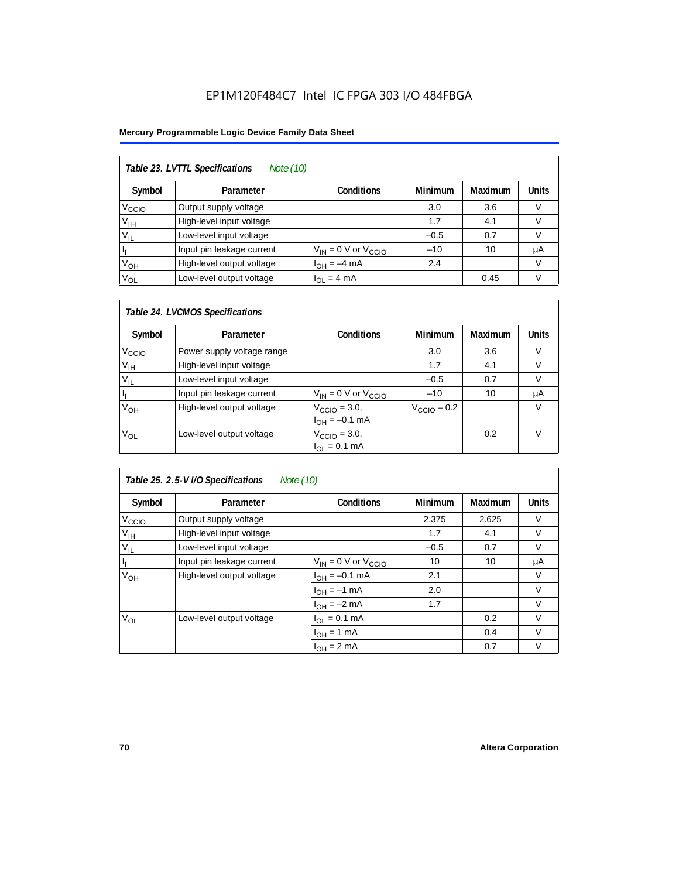### EP1M120F484C7 Intel IC FPGA 303 I/O 484FBGA

### **Mercury Programmable Logic Device Family Data Sheet**

| Table 23. LVTTL Specifications<br>Note (10) |                           |                              |                |                |              |  |  |
|---------------------------------------------|---------------------------|------------------------------|----------------|----------------|--------------|--|--|
| Symbol                                      | Parameter                 | <b>Conditions</b>            | <b>Minimum</b> | <b>Maximum</b> | <b>Units</b> |  |  |
| V <sub>CCIO</sub>                           | Output supply voltage     |                              | 3.0            | 3.6            | v            |  |  |
| Уιн                                         | High-level input voltage  |                              | 1.7            | 4.1            |              |  |  |
| $V_{IL}$                                    | Low-level input voltage   |                              | $-0.5$         | 0.7            |              |  |  |
|                                             | Input pin leakage current | $V_{IN}$ = 0 V or $V_{CCIO}$ | $-10$          | 10             | μA           |  |  |
| V <sub>OH</sub>                             | High-level output voltage | $I_{OH} = -4$ mA             | 2.4            |                | V            |  |  |
| $V_{OL}$                                    | Low-level output voltage  | $I_{OL} = 4 mA$              |                | 0.45           |              |  |  |

### *Table 24. LVCMOS Specifications*

| Symbol            | Parameter                  | <b>Conditions</b>                                             | <b>Minimum</b>          | Maximum | <b>Units</b> |
|-------------------|----------------------------|---------------------------------------------------------------|-------------------------|---------|--------------|
| V <sub>CCIO</sub> | Power supply voltage range |                                                               | 3.0                     | 3.6     |              |
| V <sub>IH</sub>   | High-level input voltage   |                                                               | 1.7                     | 4.1     |              |
| $V_{IL}$          | Low-level input voltage    |                                                               | $-0.5$                  | 0.7     |              |
|                   | Input pin leakage current  | $V_{IN} = 0$ V or $V_{C CIO}$                                 | $-10$                   | 10      | μA           |
| V <sub>ОН</sub>   | High-level output voltage  | $V_{\text{CCIO}} = 3.0,$<br>$I_{\text{OH}} = -0.1 \text{ mA}$ | $V_{\text{CCIO}} - 0.2$ |         |              |
| $V_{OL}$          | Low-level output voltage   | $V_{\text{CCIO}} = 3.0,$<br>$I_{OL} = 0.1$ mA                 |                         | 0.2     |              |

### *Table 25. 2.5-V I/O Specifications Note (10)*

| Symbol            | Parameter                 | Conditions                   | <b>Minimum</b> | Maximum | <b>Units</b> |
|-------------------|---------------------------|------------------------------|----------------|---------|--------------|
| V <sub>ccio</sub> | Output supply voltage     |                              | 2.375          | 2.625   | V            |
| $V_{\text{IH}}$   | High-level input voltage  |                              | 1.7            | 4.1     | V            |
| $V_{IL}$          | Low-level input voltage   |                              | $-0.5$         | 0.7     | V            |
|                   | Input pin leakage current | $V_{IN}$ = 0 V or $V_{CCIO}$ | 10             | 10      | μA           |
| V <sub>OH</sub>   | High-level output voltage | $I_{OH} = -0.1$ mA           | 2.1            |         | V            |
|                   |                           | $I_{OH} = -1$ mA             | 2.0            |         | $\vee$       |
|                   |                           | $I_{OH} = -2 mA$             | 1.7            |         | $\vee$       |
| $V_{OL}$          | Low-level output voltage  | $I_{OL} = 0.1$ mA            |                | 0.2     | V            |
|                   |                           | $I_{OH} = 1$ mA              |                | 0.4     | $\vee$       |
|                   |                           | $I_{OH} = 2 mA$              |                | 0.7     | V            |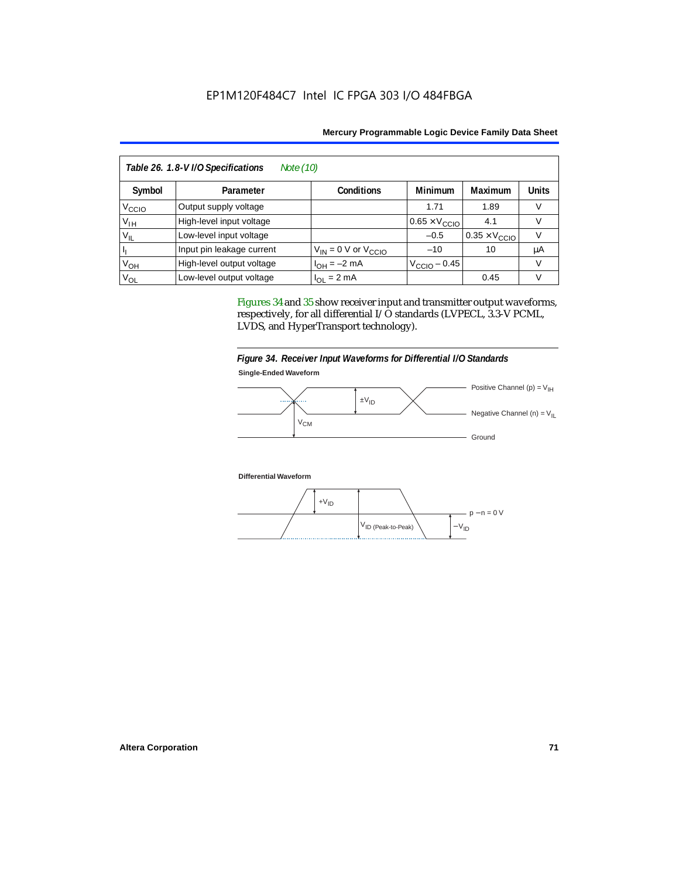| Table 26. 1.8-V I/O Specifications<br>Note (10) |                           |                              |                               |                               |              |  |  |
|-------------------------------------------------|---------------------------|------------------------------|-------------------------------|-------------------------------|--------------|--|--|
| Symbol                                          | Parameter                 | Conditions                   | <b>Minimum</b>                | Maximum                       | <b>Units</b> |  |  |
| V <sub>CCIO</sub>                               | Output supply voltage     |                              | 1.71                          | 1.89                          |              |  |  |
| Υ <sub>ΙΗ</sub>                                 | High-level input voltage  |                              | $0.65 \times V_{\text{CCIO}}$ | 4.1                           |              |  |  |
| $V_{IL}$                                        | Low-level input voltage   |                              | $-0.5$                        | $0.35 \times V_{\text{CCIO}}$ |              |  |  |
|                                                 | Input pin leakage current | $V_{IN} = 0$ V or $V_{CCIO}$ | $-10$                         | 10                            | μA           |  |  |
| V <sub>OH</sub>                                 | High-level output voltage | $I_{OH} = -2$ mA             | $VCCIO - 0.45$                |                               |              |  |  |
| V <sub>OL</sub>                                 | Low-level output voltage  | $I_{OL}$ = 2 mA              |                               | 0.45                          | v            |  |  |

Figures 34 and 35 show receiver input and transmitter output waveforms, respectively, for all differential I/O standards (LVPECL, 3.3-V PCML, LVDS, and HyperTransport technology).





**Differential Waveform**

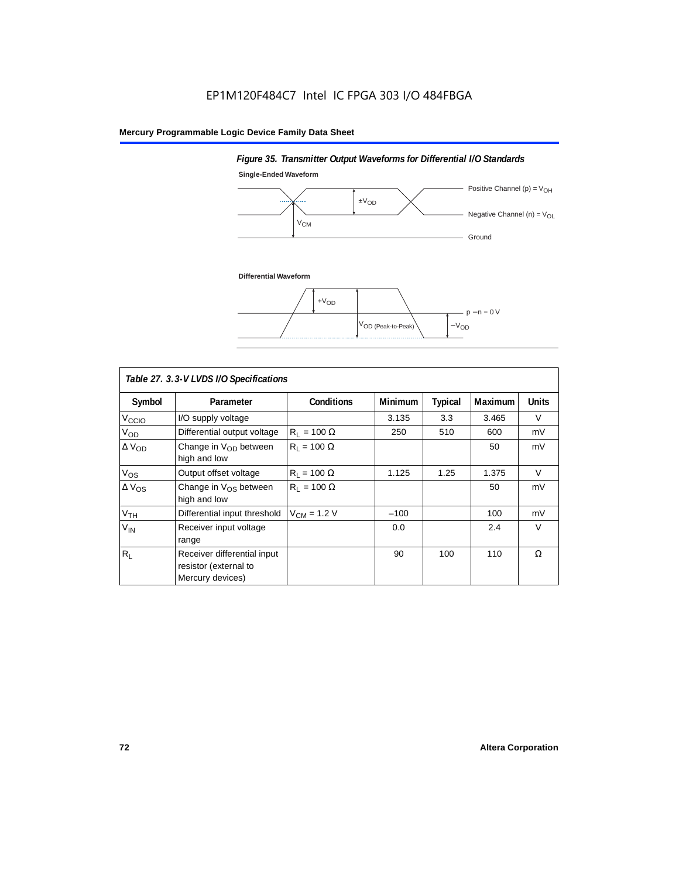# **Single-Ended Waveform** Positive Channel (p) =  $V_{OH}$  $\pm V_{OD}$ ... - Negative Channel (n) =  $V_{OL}$ **V<sub>CM</sub>** - Ground **Differential Waveform**  $+V<sub>OD</sub>$ p − n = 0 V  $V_{OD}$  (Peak-to-Peak)  $-V_{OD}$

*Figure 35. Transmitter Output Waveforms for Differential I/O Standards*

| Table 27. 3.3-V LVDS I/O Specifications |                                                                          |                    |         |         |         |              |  |  |
|-----------------------------------------|--------------------------------------------------------------------------|--------------------|---------|---------|---------|--------------|--|--|
| Symbol                                  | Parameter                                                                | <b>Conditions</b>  | Minimum | Typical | Maximum | <b>Units</b> |  |  |
| V <sub>CCIO</sub>                       | I/O supply voltage                                                       |                    | 3.135   | 3.3     | 3.465   | $\vee$       |  |  |
| $V_{OD}$                                | Differential output voltage                                              | $R_1 = 100 \Omega$ | 250     | 510     | 600     | mV           |  |  |
| $\Delta$ V <sub>OD</sub>                | Change in $V_{OD}$ between<br>high and low                               | $R_1 = 100 \Omega$ |         |         | 50      | mV           |  |  |
| $V_{OS}$                                | Output offset voltage                                                    | $R_1 = 100 \Omega$ | 1.125   | 1.25    | 1.375   | V            |  |  |
| $\Delta V_{OS}$                         | Change in $V_{OS}$ between<br>high and low                               | $R_1 = 100 \Omega$ |         |         | 50      | mV           |  |  |
| V <sub>TH</sub>                         | Differential input threshold                                             | $V_{CM}$ = 1.2 V   | $-100$  |         | 100     | mV           |  |  |
| $V_{IN}$                                | Receiver input voltage<br>range                                          |                    | 0.0     |         | 2.4     | $\vee$       |  |  |
| $R_{\rm L}$                             | Receiver differential input<br>resistor (external to<br>Mercury devices) |                    | 90      | 100     | 110     | Ω            |  |  |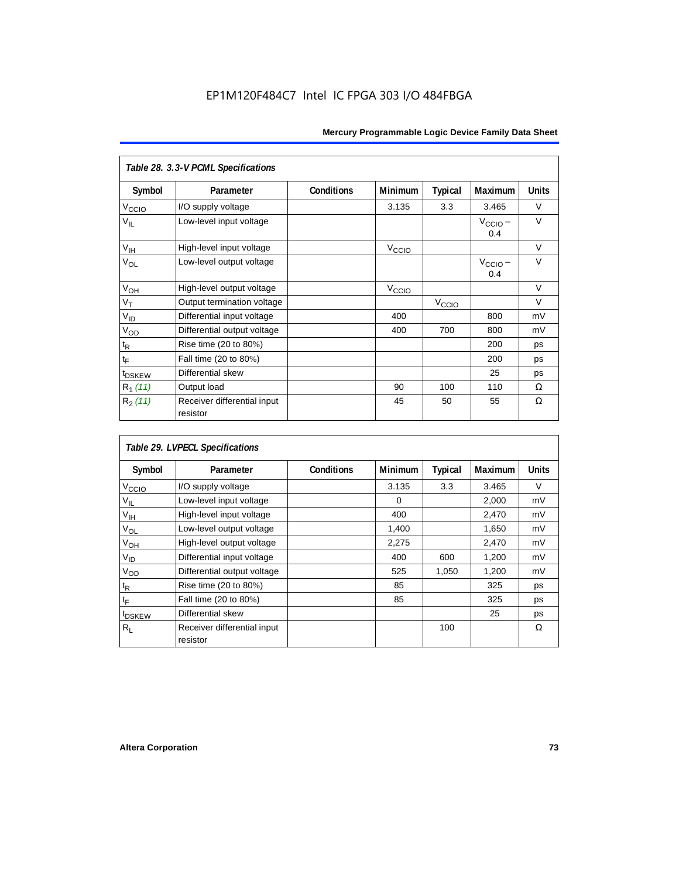| Table 28. 3.3-V PCML Specifications |                                         |                   |                               |                   |                            |              |  |  |
|-------------------------------------|-----------------------------------------|-------------------|-------------------------------|-------------------|----------------------------|--------------|--|--|
| Symbol                              | Parameter                               | <b>Conditions</b> | Minimum                       | <b>Typical</b>    | Maximum                    | <b>Units</b> |  |  |
| V <sub>CCIO</sub>                   | I/O supply voltage                      |                   | 3.135                         | 3.3               | 3.465                      | $\vee$       |  |  |
| $V_{IL}$                            | Low-level input voltage                 |                   |                               |                   | $V_{\text{CCIO}}$ –<br>0.4 | $\vee$       |  |  |
| $V_{\text{IH}}$                     | High-level input voltage                |                   | V <sub>CCIO</sub>             |                   |                            | $\vee$       |  |  |
| V <sub>OL</sub>                     | Low-level output voltage                |                   |                               |                   | $V_{\text{CCIO}} -$<br>0.4 | $\vee$       |  |  |
| V <sub>OH</sub>                     | High-level output voltage               |                   | $V_{\text{CCI}\underline{O}}$ |                   |                            | $\vee$       |  |  |
| $V_T$                               | Output termination voltage              |                   |                               | V <sub>CCIO</sub> |                            | $\vee$       |  |  |
| $V_{ID}$                            | Differential input voltage              |                   | 400                           |                   | 800                        | mV           |  |  |
| $V_{OD}$                            | Differential output voltage             |                   | 400                           | 700               | 800                        | mV           |  |  |
| $\mathfrak{t}_{\mathsf{R}}$         | Rise time (20 to 80%)                   |                   |                               |                   | 200                        | ps           |  |  |
| $t_{\mathsf{F}}$                    | Fall time (20 to 80%)                   |                   |                               |                   | 200                        | ps           |  |  |
| t <sub>DSKEW</sub>                  | Differential skew                       |                   |                               |                   | 25                         | ps           |  |  |
| $R_1(11)$                           | Output load                             |                   | 90                            | 100               | 110                        | Ω            |  |  |
| $R_2(11)$                           | Receiver differential input<br>resistor |                   | 45                            | 50                | 55                         | Ω            |  |  |

| Table 29. LVPECL Specifications |                             |                   |          |                |         |              |  |  |
|---------------------------------|-----------------------------|-------------------|----------|----------------|---------|--------------|--|--|
| Symbol                          | Parameter                   | <b>Conditions</b> | Minimum  | <b>Typical</b> | Maximum | <b>Units</b> |  |  |
| V <sub>CCIO</sub>               | I/O supply voltage          |                   | 3.135    | 3.3            | 3.465   | $\vee$       |  |  |
| $V_{IL}$                        | Low-level input voltage     |                   | $\Omega$ |                | 2,000   | mV           |  |  |
| $V_{\text{IH}}$                 | High-level input voltage    |                   | 400      |                | 2,470   | mV           |  |  |
| $V_{OL}$                        | Low-level output voltage    |                   | 1,400    |                | 1,650   | mV           |  |  |
| $V_{OH}$                        | High-level output voltage   |                   | 2,275    |                | 2,470   | mV           |  |  |
| $V_{ID}$                        | Differential input voltage  |                   | 400      | 600            | 1,200   | mV           |  |  |
| V <sub>OD</sub>                 | Differential output voltage |                   | 525      | 1,050          | 1,200   | mV           |  |  |
| $t_{\mathsf{R}}$                | Rise time (20 to 80%)       |                   | 85       |                | 325     | ps           |  |  |
| tF                              | Fall time (20 to 80%)       |                   | 85       |                | 325     | ps           |  |  |
| t <sub>DSKEW</sub>              | Differential skew           |                   |          |                | 25      | ps           |  |  |
| Rı                              | Receiver differential input |                   |          | 100            |         | Ω            |  |  |
|                                 | resistor                    |                   |          |                |         |              |  |  |

'n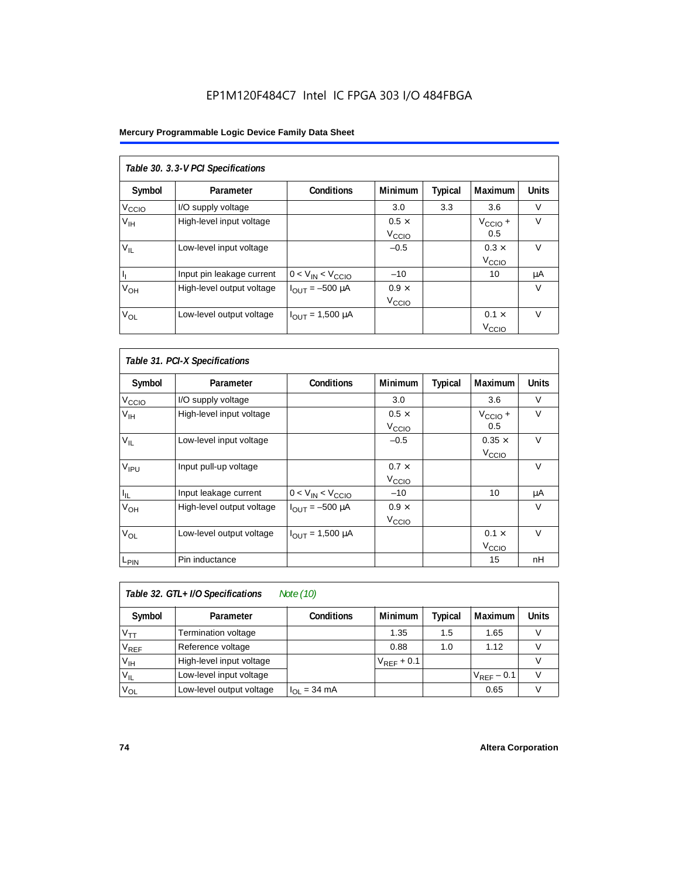#### **Mercury Programmable Logic Device Family Data Sheet**

| Table 30. 3.3-V PCI Specifications |                           |                         |                                   |         |                                   |              |  |  |
|------------------------------------|---------------------------|-------------------------|-----------------------------------|---------|-----------------------------------|--------------|--|--|
| Symbol                             | Parameter                 | <b>Conditions</b>       | <b>Minimum</b>                    | Typical | Maximum                           | <b>Units</b> |  |  |
| V <sub>CCIO</sub>                  | I/O supply voltage        |                         | 3.0                               | 3.3     | 3.6                               | $\vee$       |  |  |
| V <sub>IH</sub>                    | High-level input voltage  |                         | $0.5 \times$<br>V <sub>CCIO</sub> |         | $V_{\text{CCIO}} +$<br>0.5        | $\vee$       |  |  |
| $V_{\rm II}$                       | Low-level input voltage   |                         | $-0.5$                            |         | $0.3 \times$<br>V <sub>CCIO</sub> | $\vee$       |  |  |
| h,                                 | Input pin leakage current | $0 < V_{IN} < V_{CCIO}$ | $-10$                             |         | 10                                | μA           |  |  |
| $V_{OH}$                           | High-level output voltage | $I_{OUIT} = -500 \mu A$ | $0.9 \times$<br>V <sub>CCIO</sub> |         |                                   | V            |  |  |
| $V_{OL}$                           | Low-level output voltage  | $I_{OUT} = 1,500 \mu A$ |                                   |         | $0.1 \times$<br>V <sub>ccio</sub> | $\vee$       |  |  |

| Table 31. PCI-X Specifications |                           |                               |                                   |         |                                    |              |  |  |
|--------------------------------|---------------------------|-------------------------------|-----------------------------------|---------|------------------------------------|--------------|--|--|
| Symbol                         | Parameter                 | <b>Conditions</b>             | <b>Minimum</b>                    | Typical | Maximum                            | <b>Units</b> |  |  |
| V <sub>ccio</sub>              | I/O supply voltage        |                               | 3.0                               |         | 3.6                                | $\vee$       |  |  |
| $V_{\text{IH}}$                | High-level input voltage  |                               | $0.5 \times$<br>V <sub>CCIO</sub> |         | $V_{\text{CCIO}} +$<br>0.5         | $\vee$       |  |  |
| $V_{IL}$                       | Low-level input voltage   |                               | $-0.5$                            |         | $0.35 \times$<br>V <sub>CCIO</sub> | $\vee$       |  |  |
| V <sub>IPU</sub>               | Input pull-up voltage     |                               | $0.7 \times$<br>V <sub>CCIO</sub> |         |                                    | $\vee$       |  |  |
| $I_{\parallel L}$              | Input leakage current     | $0 < V_{IN} < V_{CCIO}$       | $-10$                             |         | 10                                 | μA           |  |  |
| V <sub>OH</sub>                | High-level output voltage | $I_{\text{OUT}} = -500 \mu A$ | $0.9 \times$<br>V <sub>CCIO</sub> |         |                                    | $\vee$       |  |  |
| $V_{OL}$                       | Low-level output voltage  | $I_{OUT} = 1,500 \mu A$       |                                   |         | $0.1 \times$<br>V <sub>CCIO</sub>  | $\vee$       |  |  |
| L <sub>PIN</sub>               | Pin inductance            |                               |                                   |         | 15                                 | nH           |  |  |

| Note (10)<br>Table 32. GTL+ I/O Specifications |                          |                          |                 |         |                 |              |  |
|------------------------------------------------|--------------------------|--------------------------|-----------------|---------|-----------------|--------------|--|
| Symbol                                         | Parameter                | <b>Conditions</b>        | <b>Minimum</b>  | Typical | Maximum         | <b>Units</b> |  |
| $V_{TT}$                                       | Termination voltage      |                          | 1.35            | 1.5     | 1.65            |              |  |
| $V_{REF}$                                      | Reference voltage        |                          | 0.88            | 1.0     | 1.12            |              |  |
| V <sub>IH</sub>                                | High-level input voltage |                          | $V_{REF}$ + 0.1 |         |                 |              |  |
| $V_{IL}$                                       | Low-level input voltage  |                          |                 |         | $V_{REF}$ – 0.1 |              |  |
| $V_{OL}$                                       | Low-level output voltage | $I_{OL} = 34 \text{ mA}$ |                 |         | 0.65            |              |  |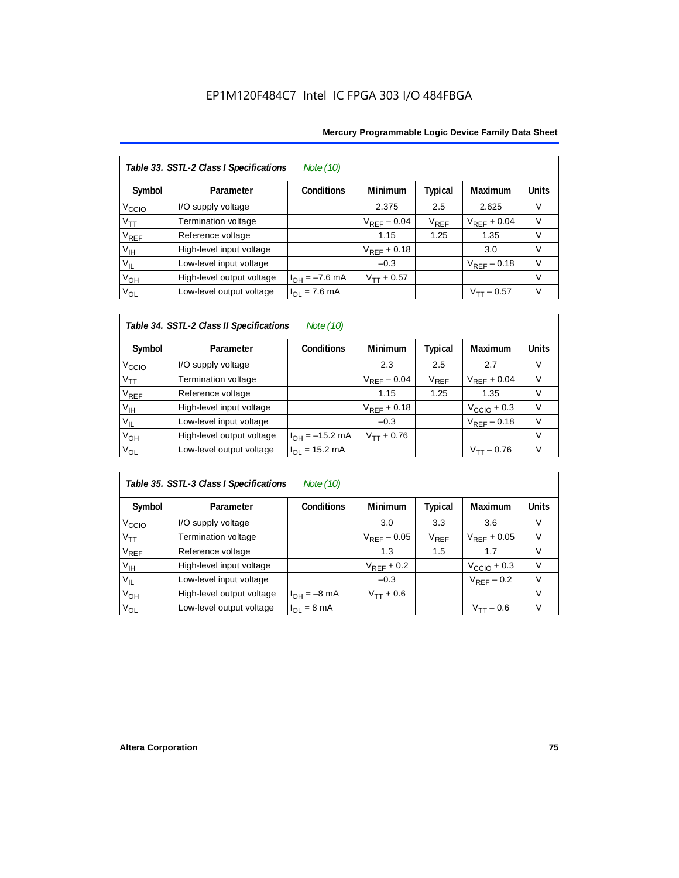|                   | Table 33. SSTL-2 Class I Specifications<br>Note (10) |                           |                  |           |                  |              |  |  |  |
|-------------------|------------------------------------------------------|---------------------------|------------------|-----------|------------------|--------------|--|--|--|
| Symbol            | Parameter                                            | <b>Conditions</b>         | <b>Minimum</b>   | Typical   | Maximum          | <b>Units</b> |  |  |  |
| V <sub>ccio</sub> | I/O supply voltage                                   |                           | 2.375            | 2.5       | 2.625            | V            |  |  |  |
| $V_{TT}$          | Termination voltage                                  |                           | $V_{REF}$ – 0.04 | $V_{REF}$ | $V_{REF}$ + 0.04 | V            |  |  |  |
| $V_{REF}$         | Reference voltage                                    |                           | 1.15             | 1.25      | 1.35             | V            |  |  |  |
| V <sub>IH</sub>   | High-level input voltage                             |                           | $V_{RFF}$ + 0.18 |           | 3.0              | V            |  |  |  |
| $V_{IL}$          | Low-level input voltage                              |                           | $-0.3$           |           | $V_{RFF}$ – 0.18 | $\vee$       |  |  |  |
| $V_{OH}$          | High-level output voltage                            | $I_{OH} = -7.6$ mA        | $V_{TT} + 0.57$  |           |                  | V            |  |  |  |
| $V_{OL}$          | Low-level output voltage                             | $I_{OL} = 7.6 \text{ mA}$ |                  |           | $V_{TT}$ – 0.57  | V            |  |  |  |

#### *Table 34. SSTL-2 Class II Specifications Note (10)*

| Symbol            | Parameter                 | <b>Conditions</b>   | <b>Minimum</b>   | <b>Typical</b>              | Maximum          | <b>Units</b> |
|-------------------|---------------------------|---------------------|------------------|-----------------------------|------------------|--------------|
| V <sub>ccio</sub> | I/O supply voltage        |                     | 2.3              | 2.5                         | 2.7              | V            |
| $V_{TT}$          | Termination voltage       |                     | $V_{REF}$ – 0.04 | $\mathsf{V}_{\mathsf{REF}}$ | $V_{RFF}$ + 0.04 | v            |
| $V_{REF}$         | Reference voltage         |                     | 1.15             | 1.25                        | 1.35             |              |
| $V_{\text{IH}}$   | High-level input voltage  |                     | $V_{RFF}$ + 0.18 |                             | $VCCIO + 0.3$    | v            |
| $V_{IL}$          | Low-level input voltage   |                     | $-0.3$           |                             | $V_{REF}$ – 0.18 | V            |
| $V_{OH}$          | High-level output voltage | $I_{OH} = -15.2$ mA | $V_{TT} + 0.76$  |                             |                  | V            |
| $V_{OL}$          | Low-level output voltage  | $I_{OL}$ = 15.2 mA  |                  |                             | $V_{TT} - 0.76$  | V            |

### *Table 35. SSTL-3 Class I Specifications Note (10)*

| Symbol                 | Parameter                 | <b>Conditions</b>       | <b>Minimum</b>   | Typical   | Maximum                 | <b>Units</b>  |
|------------------------|---------------------------|-------------------------|------------------|-----------|-------------------------|---------------|
| V <sub>CCIO</sub>      | I/O supply voltage        |                         | 3.0              | 3.3       | 3.6                     |               |
| $V_{TT}$               | Termination voltage       |                         | $V_{REF}$ – 0.05 | $V_{REF}$ | $V_{RFF}$ + 0.05        |               |
| <b>V<sub>REF</sub></b> | Reference voltage         |                         | 1.3              | 1.5       | 1.7                     |               |
| V <sub>IH</sub>        | High-level input voltage  |                         | $V_{REF}$ + 0.2  |           | $V_{\text{CCIO}} + 0.3$ | V             |
| $V_{IL}$               | Low-level input voltage   |                         | $-0.3$           |           | $V_{REF}$ – 0.2         | $\mathcal{U}$ |
| $V_{OH}$               | High-level output voltage | $I_{OH} = -8$ mA        | $V_{TT} + 0.6$   |           |                         |               |
| $V_{OL}$               | Low-level output voltage  | $I_{OL} = 8 \text{ mA}$ |                  |           | $V_{\texttt{TT}}$ — 0.6 |               |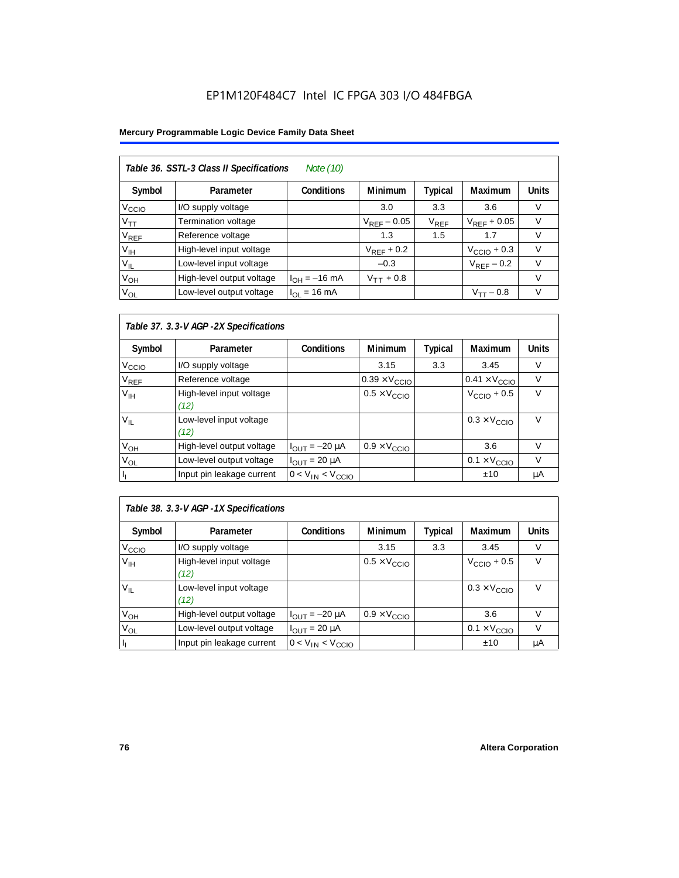#### **Mercury Programmable Logic Device Family Data Sheet**

| Table 36. SSTL-3 Class II Specifications<br>Note (10) |                           |                   |                  |                        |                         |              |  |  |
|-------------------------------------------------------|---------------------------|-------------------|------------------|------------------------|-------------------------|--------------|--|--|
| Symbol                                                | Parameter                 | <b>Conditions</b> | <b>Minimum</b>   | Typical                | <b>Maximum</b>          | <b>Units</b> |  |  |
| V <sub>CCIO</sub>                                     | I/O supply voltage        |                   | 3.0              | 3.3                    | 3.6                     | V            |  |  |
| $V_{\mathsf{TT}}$                                     | Termination voltage       |                   | $V_{RFF}$ – 0.05 | <b>V<sub>REF</sub></b> | $V_{RFF}$ + 0.05        | $\vee$       |  |  |
| V <sub>REF</sub>                                      | Reference voltage         |                   | 1.3              | 1.5                    | 1.7                     | V            |  |  |
| $V_{\text{IH}}$                                       | High-level input voltage  |                   | $V_{RFF}$ + 0.2  |                        | $V_{\text{CCIO}} + 0.3$ | $\vee$       |  |  |
| $V_{IL}$                                              | Low-level input voltage   |                   | $-0.3$           |                        | $V_{REF}$ – 0.2         | $\vee$       |  |  |
| $V_{OH}$                                              | High-level output voltage | $I_{OH} = -16$ mA | $V_{TT}$ + 0.8   |                        |                         | V            |  |  |
| $V_{OL}$                                              | Low-level output voltage  | $I_{OL}$ = 16 mA  |                  |                        | $V_{TT} - 0.8$          | $\vee$       |  |  |

#### *Table 37. 3.3-V AGP -2X Specifications*

| Symbol                      | Parameter                        | <b>Conditions</b>            | <b>Minimum</b>                | <b>Typical</b> | Maximum                       | <b>Units</b> |
|-----------------------------|----------------------------------|------------------------------|-------------------------------|----------------|-------------------------------|--------------|
| V <sub>CCIO</sub>           | I/O supply voltage               |                              | 3.15                          | 3.3            | 3.45                          | V            |
| $\mathsf{V}_{\mathsf{REF}}$ | Reference voltage                |                              | $0.39 \times V_{\text{CCIO}}$ |                | $0.41 \times V_{\text{CCIO}}$ | V            |
| $V_{\text{IH}}$             | High-level input voltage<br>(12) |                              | $0.5 \times V_{\text{CCIO}}$  |                | $VCCIO + 0.5$                 | V            |
| $V_{IL}$                    | Low-level input voltage<br>(12)  |                              |                               |                | $0.3 \times V_{\text{CCIO}}$  | V            |
| $V_{OH}$                    | High-level output voltage        | $I_{\text{OUT}} = -20 \mu A$ | $0.9 \times V_{\text{CCIO}}$  |                | 3.6                           | v            |
| V <sub>OL</sub>             | Low-level output voltage         | $I_{OUIT}$ = 20 µA           |                               |                | $0.1 \times V_{\text{CCIO}}$  | V            |
|                             | Input pin leakage current        | $0 < V_{IN} < V_{CCIO}$      |                               |                | ±10                           | μA           |

| Table 38. 3.3-V AGP -1X Specifications |                                  |                              |                              |                |                              |              |  |  |
|----------------------------------------|----------------------------------|------------------------------|------------------------------|----------------|------------------------------|--------------|--|--|
| Symbol                                 | Parameter                        | <b>Conditions</b>            | <b>Minimum</b>               | <b>Typical</b> | Maximum                      | <b>Units</b> |  |  |
| V <sub>CCIO</sub>                      | I/O supply voltage               |                              | 3.15                         | 3.3            | 3.45                         | V            |  |  |
| V <sub>IH</sub>                        | High-level input voltage<br>(12) |                              | $0.5 \times V_{\text{CCIO}}$ |                | $VCCIO + 0.5$                | V            |  |  |
| $V_{IL}$                               | Low-level input voltage<br>(12)  |                              |                              |                | $0.3 \times V_{\text{CCIO}}$ | V            |  |  |
| $V_{OH}$                               | High-level output voltage        | $I_{\text{OUT}} = -20 \mu A$ | $0.9 \times V_{\text{CCIO}}$ |                | 3.6                          | V            |  |  |
| $V_{OL}$                               | Low-level output voltage         | $I_{OUT}$ = 20 $\mu$ A       |                              |                | $0.1 \times V_{\text{CCIO}}$ | $\vee$       |  |  |
| J,                                     | Input pin leakage current        | $0 < V_{IN} < V_{CCIO}$      |                              |                | ±10                          | μA           |  |  |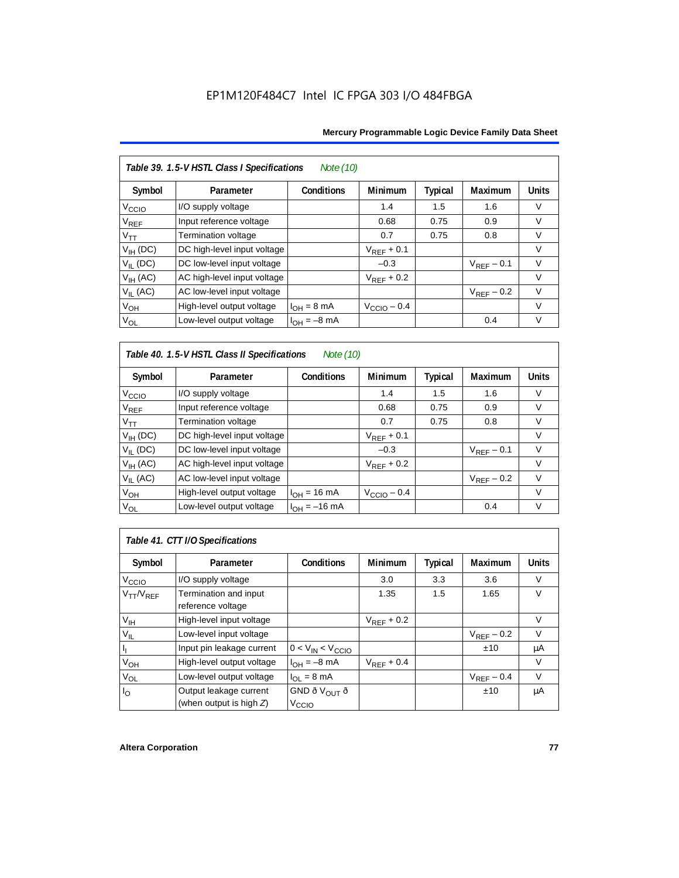| Table 39. 1.5-V HSTL Class I Specifications<br>Note (10) |                             |                         |                         |                |                 |              |  |  |
|----------------------------------------------------------|-----------------------------|-------------------------|-------------------------|----------------|-----------------|--------------|--|--|
| Symbol                                                   | Parameter                   | Conditions              | Minimum                 | <b>Typical</b> | Maximum         | <b>Units</b> |  |  |
| V <sub>CCIO</sub>                                        | I/O supply voltage          |                         | 1.4                     | 1.5            | 1.6             | V            |  |  |
| $\rm{V}_{REF}$                                           | Input reference voltage     |                         | 0.68                    | 0.75           | 0.9             | V            |  |  |
| $V_{TT}$                                                 | Termination voltage         |                         | 0.7                     | 0.75           | 0.8             | $\vee$       |  |  |
| $V_{IH}$ (DC)                                            | DC high-level input voltage |                         | $V_{REF}$ + 0.1         |                |                 | V            |  |  |
| $V_{II}$ (DC)                                            | DC low-level input voltage  |                         | $-0.3$                  |                | $V_{RFF}$ – 0.1 | $\vee$       |  |  |
| V <sub>IH</sub> (AC)                                     | AC high-level input voltage |                         | $V_{RFF}$ + 0.2         |                |                 | $\vee$       |  |  |
| $V_{II}$ (AC)                                            | AC low-level input voltage  |                         |                         |                | $V_{REF}$ – 0.2 | $\vee$       |  |  |
| $V_{OH}$                                                 | High-level output voltage   | $I_{OH} = 8 \text{ mA}$ | $V_{\text{CCIO}} - 0.4$ |                |                 | $\vee$       |  |  |
| $V_{OL}$                                                 | Low-level output voltage    | $I_{OH} = -8$ mA        |                         |                | 0.4             | $\vee$       |  |  |

### *Table 40. 1.5-V HSTL Class II Specifications Note (10)*

| Symbol                      | Parameter                   | <b>Conditions</b>        | <b>Minimum</b>  | <b>Typical</b> | Maximum         | <b>Units</b> |
|-----------------------------|-----------------------------|--------------------------|-----------------|----------------|-----------------|--------------|
| V <sub>CCIO</sub>           | I/O supply voltage          |                          | 1.4             | 1.5            | 1.6             | V            |
| $\mathsf{V}_{\mathsf{REF}}$ | Input reference voltage     |                          | 0.68            | 0.75           | 0.9             | $\vee$       |
| $V_{TT}$                    | Termination voltage         |                          | 0.7             | 0.75           | 0.8             | $\vee$       |
| $V_{IH}$ (DC)               | DC high-level input voltage |                          | $V_{RFF}$ + 0.1 |                |                 | V            |
| $V_{II}$ (DC)               | DC low-level input voltage  |                          | $-0.3$          |                | $V_{RFF}$ – 0.1 | $\vee$       |
| $V_{IH}$ (AC)               | AC high-level input voltage |                          | $V_{RFF}$ + 0.2 |                |                 | V            |
| $V_{II}$ (AC)               | AC low-level input voltage  |                          |                 |                | $V_{RFF}$ – 0.2 | $\vee$       |
| $V_{OH}$                    | High-level output voltage   | $I_{OH} = 16 \text{ mA}$ | $VCCIO - 0.4$   |                |                 | V            |
| $V_{OL}$                    | Low-level output voltage    | $I_{OH} = -16$ mA        |                 |                | 0.4             | V            |

# *Table 41. CTT I/O Specifications*

| Symbol            | Parameter                                  | <b>Conditions</b>        | <b>Minimum</b>  | Typical | <b>Maximum</b>  | <b>Units</b> |
|-------------------|--------------------------------------------|--------------------------|-----------------|---------|-----------------|--------------|
| V <sub>ccio</sub> | I/O supply voltage                         |                          | 3.0             | 3.3     | 3.6             | V            |
| $V_{TT}/V_{REF}$  | Termination and input<br>reference voltage |                          | 1.35            | 1.5     | 1.65            | $\vee$       |
| V <sub>IH</sub>   | High-level input voltage                   |                          | $V_{REF}$ + 0.2 |         |                 | v            |
| $V_{IL}$          | Low-level input voltage                    |                          |                 |         | $V_{REF}$ – 0.2 | V            |
| h                 | Input pin leakage current                  | $0 < V_{IN} < V_{CCIO}$  |                 |         | ±10             | μA           |
| $V_{OH}$          | High-level output voltage                  | $I_{OH} = -8$ mA         | $V_{RFF}$ + 0.4 |         |                 | V            |
| $V_{OL}$          | Low-level output voltage                   | $I_{OL}$ = 8 mA          |                 |         | $V_{RFF}$ – 0.4 | $\vee$       |
| I <sub>O</sub>    | Output leakage current                     | GND ð V <sub>OUT</sub> ð |                 |         | ±10             | μA           |
|                   | (when output is high $Z$ )                 | V <sub>CCIO</sub>        |                 |         |                 |              |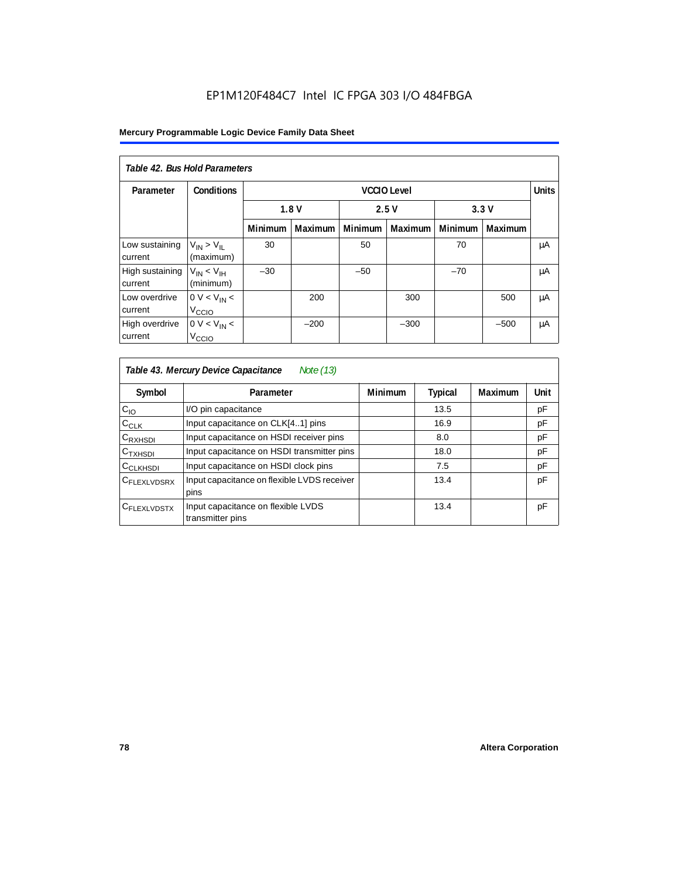#### **Mercury Programmable Logic Device Family Data Sheet**

| Table 42, Bus Hold Parameters |                                            |                      |                |                |         |         |                |    |
|-------------------------------|--------------------------------------------|----------------------|----------------|----------------|---------|---------|----------------|----|
| Parameter                     | <b>Conditions</b><br><b>VCCIO Level</b>    |                      |                |                |         |         | <b>Units</b>   |    |
|                               |                                            | 1.8V<br>2.5V<br>3.3V |                |                |         |         |                |    |
|                               |                                            | <b>Minimum</b>       | <b>Maximum</b> | <b>Minimum</b> | Maximum | Minimum | <b>Maximum</b> |    |
| Low sustaining<br>current     | $V_{IN}$ > $V_{II}$<br>(maximum)           | 30                   |                | 50             |         | 70      |                | μA |
| High sustaining<br>current    | $V_{IN}$ < $V_{IH}$<br>(minimum)           | $-30$                |                | $-50$          |         | $-70$   |                | μA |
| Low overdrive<br>current      | 0 V < V <sub>IN</sub><br>V <sub>CCIO</sub> |                      | 200            |                | 300     |         | 500            | μA |
| High overdrive<br>current     | $0 V < V_{IN}$<br>V <sub>CCIO</sub>        |                      | $-200$         |                | $-300$  |         | $-500$         | μA |

| Table 43. Mercury Device Capacitance<br>Note (13) |                                                        |                |                |         |      |  |  |  |
|---------------------------------------------------|--------------------------------------------------------|----------------|----------------|---------|------|--|--|--|
| Symbol                                            | Parameter                                              | <b>Minimum</b> | <b>Typical</b> | Maximum | Unit |  |  |  |
| $C_{10}$                                          | I/O pin capacitance                                    |                | 13.5           |         | pF   |  |  |  |
| $C_{CLK}$                                         | Input capacitance on CLK[41] pins                      |                | 16.9           |         | pF   |  |  |  |
| $C_{\mathsf{RXHSDI}}$                             | Input capacitance on HSDI receiver pins                |                | 8.0            |         | pF   |  |  |  |
| $C_{TXHSDI}$                                      | Input capacitance on HSDI transmitter pins             |                | 18.0           |         | pF   |  |  |  |
| C <sub>CLKHSDI</sub>                              | Input capacitance on HSDI clock pins                   |                | 7.5            |         | pF   |  |  |  |
| C <sub>FLEXLVDSRX</sub>                           | Input capacitance on flexible LVDS receiver<br>pins    |                | 13.4           |         | pF   |  |  |  |
| CFLEXLVDSTX                                       | Input capacitance on flexible LVDS<br>transmitter pins |                | 13.4           |         | pF   |  |  |  |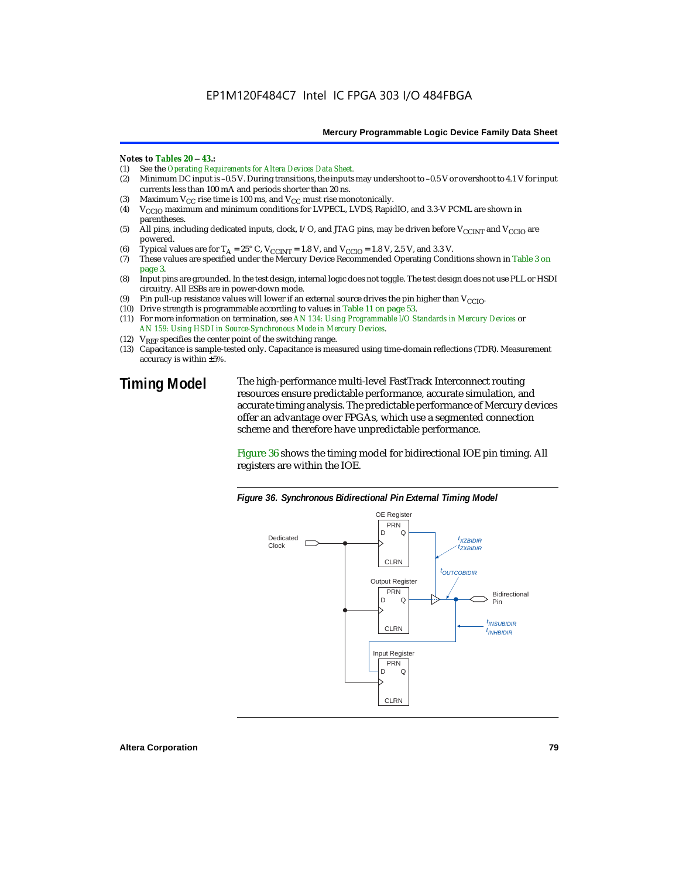#### *Notes to Tables 20* – *43.:*

- (1) See the *Operating Requirements for Altera Devices Data Sheet.*
- Minimum DC input is –0.5 V. During transitions, the inputs may undershoot to –0.5 V or overshoot to 4.1 V for input currents less than 100 mA and periods shorter than 20 ns.
- (3) Maximum  $V_{CC}$  rise time is 100 ms, and  $V_{CC}$  must rise monotonically.<br>(4)  $V_{CC}$  maximum and minimum conditions for LVPECL, LVDS, Rapic
- V<sub>CCIO</sub> maximum and minimum conditions for LVPECL, LVDS, RapidIO, and 3.3-V PCML are shown in parentheses.
- (5) All pins, including dedicated inputs, clock, I/O, and JTAG pins, may be driven before V<sub>CCINT</sub> and V<sub>CCIO</sub> are powered.
- (6) Typical values are for  $T_A = 25^\circ$  C,  $V_{CCINT} = 1.8$  V, and  $V_{CCIO} = 1.8$  V, 2.5 V, and 3.3 V.<br>(7) These values are specified under the Mercury Device Recommended Operating Cond
- These values are specified under the Mercury Device Recommended Operating Conditions shown in Table 3 on page 3.
- (8) Input pins are grounded. In the test design, internal logic does not toggle. The test design does not use PLL or HSDI circuitry. All ESBs are in power-down mode.
- (9) Pin pull-up resistance values will lower if an external source drives the pin higher than  $V_{\text{CCIO}}$ .
- (10) Drive strength is programmable according to values in Table 11 on page 53.
- (11) For more information on termination, see *AN 134: Using Programmable I/O Standards in Mercury Devices* or *AN 159: Using HSDI in Source-Synchronous Mode in Mercury Devices*.
- (12)  $V_{REF}$  specifies the center point of the switching range.
- (13) Capacitance is sample-tested only. Capacitance is measured using time-domain reflections (TDR). Measurement accuracy is within ±5%.

**Timing Model** The high-performance multi-level FastTrack Interconnect routing resources ensure predictable performance, accurate simulation, and accurate timing analysis. The predictable performance of Mercury devices offer an advantage over FPGAs, which use a segmented connection scheme and therefore have unpredictable performance.

> Figure 36 shows the timing model for bidirectional IOE pin timing. All registers are within the IOE.



*Figure 36. Synchronous Bidirectional Pin External Timing Model*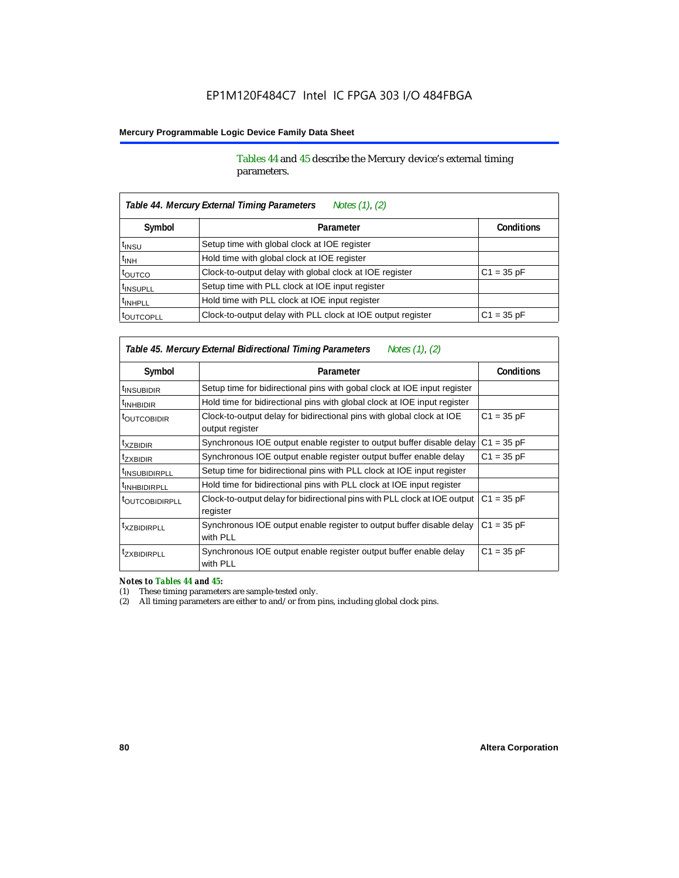Tables 44 and 45 describe the Mercury device's external timing parameters.

| Table 44. Mercury External Timing Parameters<br>Notes (1), (2) |                                                             |                   |  |  |  |  |  |
|----------------------------------------------------------------|-------------------------------------------------------------|-------------------|--|--|--|--|--|
| Symbol                                                         | Parameter                                                   | <b>Conditions</b> |  |  |  |  |  |
| <sup>t</sup> insu                                              | Setup time with global clock at IOE register                |                   |  |  |  |  |  |
| $t_{INH}$                                                      | Hold time with global clock at IOE register                 |                   |  |  |  |  |  |
| tourco                                                         | Clock-to-output delay with global clock at IOE register     | $C1 = 35 pF$      |  |  |  |  |  |
| <sup>t</sup> INSUPLL                                           | Setup time with PLL clock at IOE input register             |                   |  |  |  |  |  |
| <sup>t</sup> INHPLL                                            | Hold time with PLL clock at IOE input register              |                   |  |  |  |  |  |
| <b><i>LOUTCOPLL</i></b>                                        | Clock-to-output delay with PLL clock at IOE output register | $C1 = 35 pF$      |  |  |  |  |  |

*Table 45. Mercury External Bidirectional Timing Parameters Notes (1), (2)*

| Symbol                     | Parameter                                                                                | <b>Conditions</b> |
|----------------------------|------------------------------------------------------------------------------------------|-------------------|
| <sup>t</sup> INSUBIDIR     | Setup time for bidirectional pins with gobal clock at IOE input register                 |                   |
| <sup>t</sup> INHBIDIR      | Hold time for bidirectional pins with global clock at IOE input register                 |                   |
| <b><i>LOUTCOBIDIR</i></b>  | Clock-to-output delay for bidirectional pins with global clock at IOE<br>output register | $C1 = 35 pF$      |
| <sup>T</sup> XZBIDIR       | Synchronous IOE output enable register to output buffer disable delay                    | $C1 = 35 pF$      |
| <sup>t</sup> ZXBIDIR       | Synchronous IOE output enable register output buffer enable delay                        | $C1 = 35 pF$      |
| <sup>I</sup> INSUBIDIRPLL  | Setup time for bidirectional pins with PLL clock at IOE input register                   |                   |
| <sup>T</sup> INHBIDIRPLL   | Hold time for bidirectional pins with PLL clock at IOE input register                    |                   |
| <sup>T</sup> OUTCOBIDIRPLL | Clock-to-output delay for bidirectional pins with PLL clock at IOE output<br>register    | $C1 = 35 pF$      |
| <sup>t</sup> XZBIDIRPLL    | Synchronous IOE output enable register to output buffer disable delay<br>with PLL        | $C1 = 35 pF$      |
| <sup>I</sup> ZXBIDIRPLL    | Synchronous IOE output enable register output buffer enable delay<br>with PLL            | $C1 = 35 pF$      |

*Notes to Tables 44 and 45:*

(1) These timing parameters are sample-tested only.

(2) All timing parameters are either to and/or from pins, including global clock pins.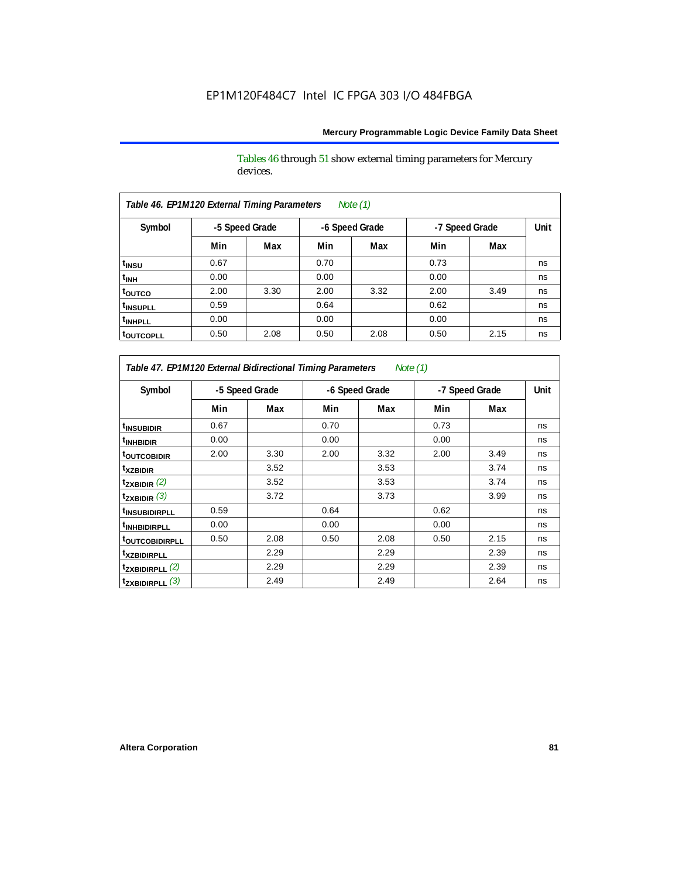Tables 46 through 51 show external timing parameters for Mercury devices.

| Table 46. EP1M120 External Timing Parameters<br>Note $(1)$ |                |      |                |      |                |      |      |  |  |
|------------------------------------------------------------|----------------|------|----------------|------|----------------|------|------|--|--|
| Symbol                                                     | -5 Speed Grade |      | -6 Speed Grade |      | -7 Speed Grade |      | Unit |  |  |
|                                                            | Min            | Max  | Min            | Max  | Min            | Max  |      |  |  |
| t <sub>INSU</sub>                                          | 0.67           |      | 0.70           |      | 0.73           |      | ns   |  |  |
| t <sub>INH</sub>                                           | 0.00           |      | 0.00           |      | 0.00           |      | ns   |  |  |
| toutco                                                     | 2.00           | 3.30 | 2.00           | 3.32 | 2.00           | 3.49 | ns   |  |  |
| <sup>t</sup> INSUPLL                                       | 0.59           |      | 0.64           |      | 0.62           |      | ns   |  |  |
| <sup>t</sup> INHPLL                                        | 0.00           |      | 0.00           |      | 0.00           |      | ns   |  |  |
| <b>toutcopll</b>                                           | 0.50           | 2.08 | 0.50           | 2.08 | 0.50           | 2.15 | ns   |  |  |

*Table 47. EP1M120 External Bidirectional Timing Parameters Note (1)*

| Symbol                           |      | -5 Speed Grade |      | -6 Speed Grade |      | -7 Speed Grade |    |
|----------------------------------|------|----------------|------|----------------|------|----------------|----|
|                                  | Min  | Max            | Min  | Max            | Min  | Max            |    |
| <sup>t</sup> INSUBIDIR           | 0.67 |                | 0.70 |                | 0.73 |                | ns |
| <sup>t</sup> INHBIDIR            | 0.00 |                | 0.00 |                | 0.00 |                | ns |
| <sup>t</sup> outcobidir          | 2.00 | 3.30           | 2.00 | 3.32           | 2.00 | 3.49           | ns |
| <sup>t</sup> xzbidir             |      | 3.52           |      | 3.53           |      | 3.74           | ns |
| $t_{ZXBIDIR}$ (2)                |      | 3.52           |      | 3.53           |      | 3.74           | ns |
| $t_{ZXBIDIR}$ (3)                |      | 3.72           |      | 3.73           |      | 3.99           | ns |
| <sup>t</sup> INSUBIDIRPLL        | 0.59 |                | 0.64 |                | 0.62 |                | ns |
| <sup>t</sup> INHBIDIRPLL         | 0.00 |                | 0.00 |                | 0.00 |                | ns |
| <b><sup>t</sup>OUTCOBIDIRPLL</b> | 0.50 | 2.08           | 0.50 | 2.08           | 0.50 | 2.15           | ns |
| <sup>t</sup> xzbidirpll          |      | 2.29           |      | 2.29           |      | 2.39           | ns |
| $t_{ZXBIDIRPLL}$ (2)             |      | 2.29           |      | 2.29           |      | 2.39           | ns |
| $t_{ZXBIDIRPLL}$ (3)             |      | 2.49           |      | 2.49           |      | 2.64           | ns |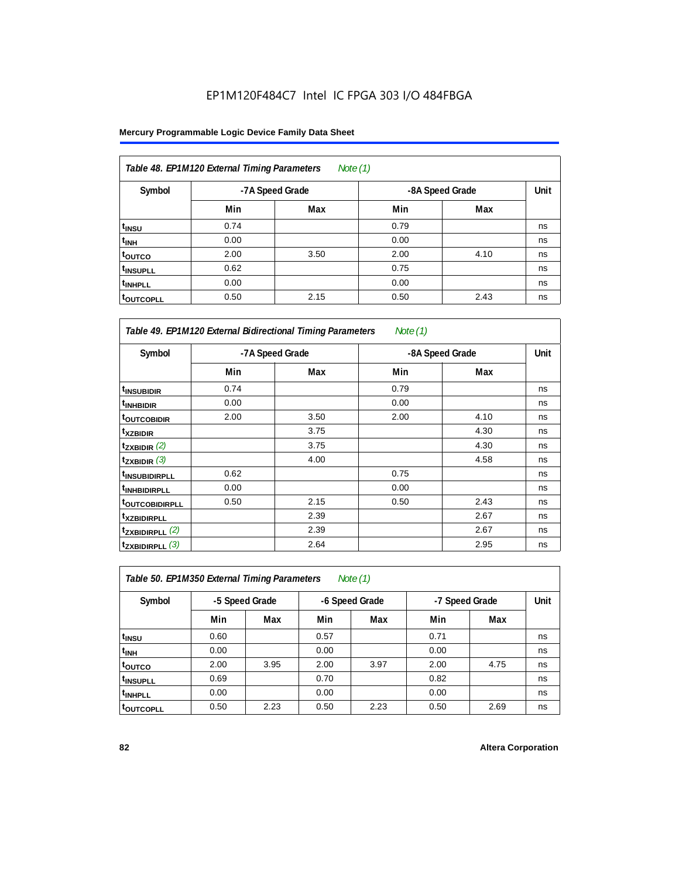#### **Mercury Programmable Logic Device Family Data Sheet**

| Table 48. EP1M120 External Timing Parameters<br>Note $(1)$ |      |                 |                 |      |    |  |  |  |
|------------------------------------------------------------|------|-----------------|-----------------|------|----|--|--|--|
| Symbol                                                     |      | -7A Speed Grade | -8A Speed Grade | Unit |    |  |  |  |
|                                                            | Min  | Max             | Min             | Max  |    |  |  |  |
| t <sub>INSU</sub>                                          | 0.74 |                 | 0.79            |      | ns |  |  |  |
| t <sub>INH</sub>                                           | 0.00 |                 | 0.00            |      | ns |  |  |  |
| toutco                                                     | 2.00 | 3.50            | 2.00            | 4.10 | ns |  |  |  |
| <sup>t</sup> INSUPLL                                       | 0.62 |                 | 0.75            |      | ns |  |  |  |
| <sup>t</sup> INHPLL                                        | 0.00 |                 | 0.00            |      | ns |  |  |  |
| <sup>t</sup> OUTCOPLL                                      | 0.50 | 2.15            | 0.50            | 2.43 | ns |  |  |  |

| Table 49. EP1M120 External Bidirectional Timing Parameters<br>Note $(1)$ |      |                 |                 |      |      |  |  |  |
|--------------------------------------------------------------------------|------|-----------------|-----------------|------|------|--|--|--|
| Symbol                                                                   |      | -7A Speed Grade | -8A Speed Grade |      | Unit |  |  |  |
|                                                                          | Min  | Max             | Min             | Max  |      |  |  |  |
| <sup>t</sup> INSUBIDIR                                                   | 0.74 |                 | 0.79            |      | ns   |  |  |  |
| <sup>t</sup> INHBIDIR                                                    | 0.00 |                 | 0.00            |      | ns   |  |  |  |
| <b>toutcobidir</b>                                                       | 2.00 | 3.50            | 2.00            | 4.10 | ns   |  |  |  |
| <sup>t</sup> xzbidir                                                     |      | 3.75            |                 | 4.30 | ns   |  |  |  |
| $t_{ZXBIDIR}$ (2)                                                        |      | 3.75            |                 | 4.30 | ns   |  |  |  |
| $t_{ZXBIDIR}$ (3)                                                        |      | 4.00            |                 | 4.58 | ns   |  |  |  |
| <sup>t</sup> INSUBIDIRPLL                                                | 0.62 |                 | 0.75            |      | ns   |  |  |  |
| <sup>t</sup> INHBIDIRPLL                                                 | 0.00 |                 | 0.00            |      | ns   |  |  |  |
| <b>toutcobidirpll</b>                                                    | 0.50 | 2.15            | 0.50            | 2.43 | ns   |  |  |  |
| <i>txzbidirpll</i>                                                       |      | 2.39            |                 | 2.67 | ns   |  |  |  |
| $t_{ZXBIDIRPLL}$ (2)                                                     |      | 2.39            |                 | 2.67 | ns   |  |  |  |
| $t_{ZXBIDIRPLL}$ (3)                                                     |      | 2.64            |                 | 2.95 | ns   |  |  |  |

| Table 50. EP1M350 External Timing Parameters<br>Note $(1)$ |                |      |                |      |                |      |      |  |  |
|------------------------------------------------------------|----------------|------|----------------|------|----------------|------|------|--|--|
| Symbol                                                     | -5 Speed Grade |      | -6 Speed Grade |      | -7 Speed Grade |      | Unit |  |  |
|                                                            | Min            | Max  | Min            | Max  | Min            | Max  |      |  |  |
| t <sub>INSU</sub>                                          | 0.60           |      | 0.57           |      | 0.71           |      | ns   |  |  |
| $t_{\text{INH}}$                                           | 0.00           |      | 0.00           |      | 0.00           |      | ns   |  |  |
| toutco                                                     | 2.00           | 3.95 | 2.00           | 3.97 | 2.00           | 4.75 | ns   |  |  |
| <sup>t</sup> INSUPLL                                       | 0.69           |      | 0.70           |      | 0.82           |      | ns   |  |  |
| <sup>t</sup> INHPLL                                        | 0.00           |      | 0.00           |      | 0.00           |      | ns   |  |  |
| <sup>t</sup> OUTCOPLL                                      | 0.50           | 2.23 | 0.50           | 2.23 | 0.50           | 2.69 | ns   |  |  |

٦

 $\mathbf{r}$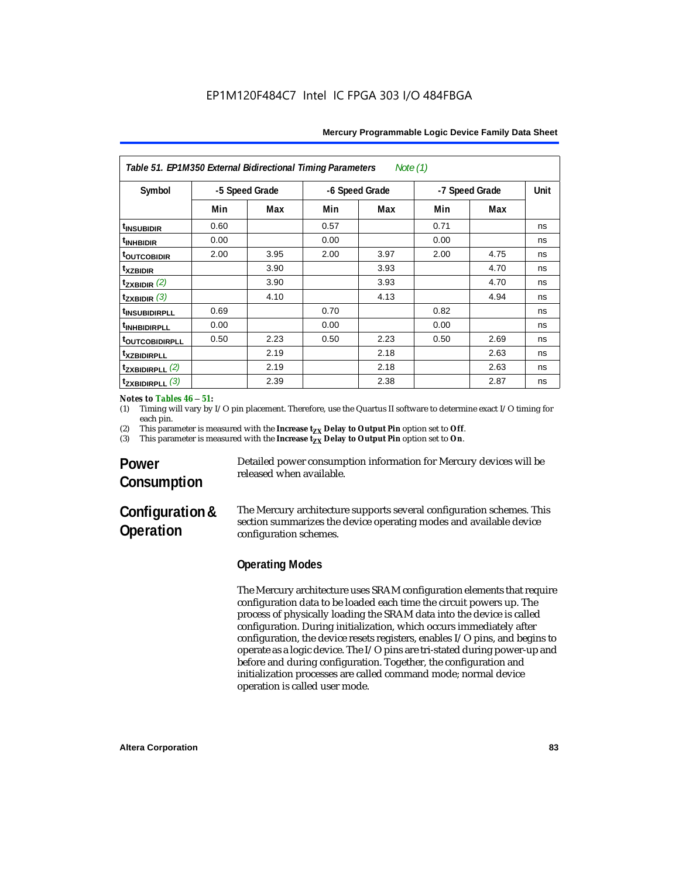| Table 51. EP1M350 External Bidirectional Timing Parameters<br>Note (1) |                |      |                |      |                |      |             |  |
|------------------------------------------------------------------------|----------------|------|----------------|------|----------------|------|-------------|--|
| Symbol                                                                 | -5 Speed Grade |      | -6 Speed Grade |      | -7 Speed Grade |      | <b>Unit</b> |  |
|                                                                        | Min            | Max  | Min            | Max  | Min            | Max  |             |  |
| <sup>t</sup> INSUBIDIR                                                 | 0.60           |      | 0.57           |      | 0.71           |      | ns          |  |
| <sup>t</sup> INHBIDIR                                                  | 0.00           |      | 0.00           |      | 0.00           |      | ns          |  |
| <b>toutcobidir</b>                                                     | 2.00           | 3.95 | 2.00           | 3.97 | 2.00           | 4.75 | ns          |  |
| <sup>t</sup> xzbidir                                                   |                | 3.90 |                | 3.93 |                | 4.70 | ns          |  |
| $t_{ZXBIDIR}$ (2)                                                      |                | 3.90 |                | 3.93 |                | 4.70 | ns          |  |
| $t_{ZXBIDIR}$ (3)                                                      |                | 4.10 |                | 4.13 |                | 4.94 | ns          |  |
| <sup>t</sup> INSUBIDIRPLL                                              | 0.69           |      | 0.70           |      | 0.82           |      | ns          |  |
| <sup>t</sup> INHBIDIRPLL                                               | 0.00           |      | 0.00           |      | 0.00           |      | ns          |  |
| <b><i>toutcobidirpll</i></b>                                           | 0.50           | 2.23 | 0.50           | 2.23 | 0.50           | 2.69 | ns          |  |
| <sup>t</sup> XZBIDIRPLL                                                |                | 2.19 |                | 2.18 |                | 2.63 | ns          |  |
| $t_{ZXBIDIRPLL}$ (2)                                                   |                | 2.19 |                | 2.18 |                | 2.63 | ns          |  |
| $t_{ZXBIDIRPLL}$ (3)                                                   |                | 2.39 |                | 2.38 |                | 2.87 | ns          |  |

#### *Notes to Tables 46* – *51:*

(1) Timing will vary by I/O pin placement. Therefore, use the Quartus II software to determine exact I/O timing for each pin.

(2) This parameter is measured with the **Increase**  $t_{ZX}$  **Delay to Output Pin** option set to **Off.**<br>(3) This parameter is measured with the **Increase**  $t_{XX}$  **Delay to Output Pin** option set to **On**.

This parameter is measured with the **Increase t<sub>ZX</sub> Delay to Output Pin** option set to **On**.

# **Power Consumption**

Detailed power consumption information for Mercury devices will be released when available.

# **Configuration & Operation**

The Mercury architecture supports several configuration schemes. This section summarizes the device operating modes and available device configuration schemes.

### **Operating Modes**

The Mercury architecture uses SRAM configuration elements that require configuration data to be loaded each time the circuit powers up. The process of physically loading the SRAM data into the device is called configuration. During initialization, which occurs immediately after configuration, the device resets registers, enables I/O pins, and begins to operate as a logic device. The I/O pins are tri-stated during power-up and before and during configuration. Together, the configuration and initialization processes are called command mode; normal device operation is called user mode.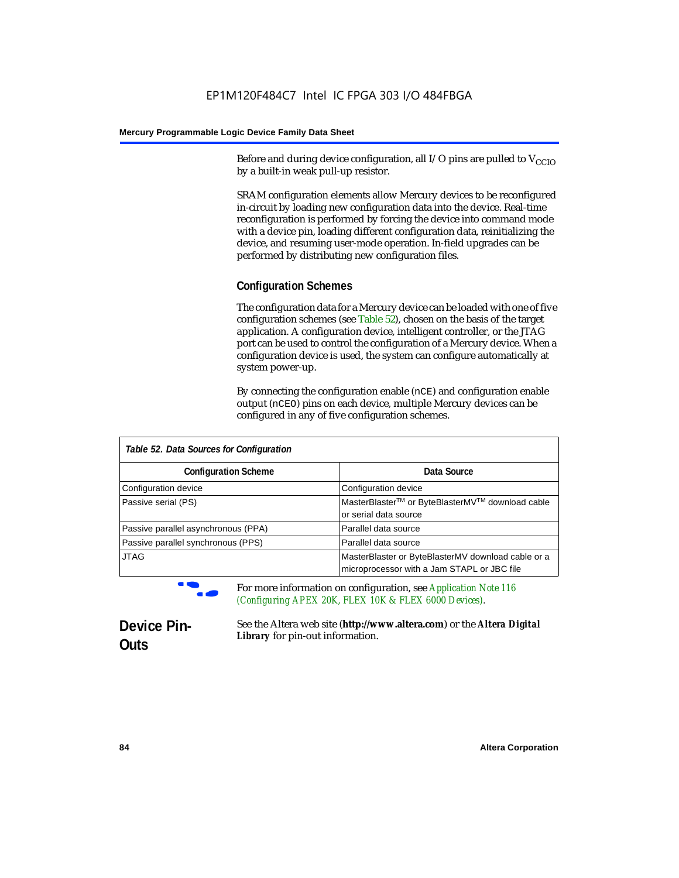Before and during device configuration, all I/O pins are pulled to  $V_{CCD}$ by a built-in weak pull-up resistor.

SRAM configuration elements allow Mercury devices to be reconfigured in-circuit by loading new configuration data into the device. Real-time reconfiguration is performed by forcing the device into command mode with a device pin, loading different configuration data, reinitializing the device, and resuming user-mode operation. In-field upgrades can be performed by distributing new configuration files.

#### **Configuration Schemes**

The configuration data for a Mercury device can be loaded with one of five configuration schemes (see Table 52), chosen on the basis of the target application. A configuration device, intelligent controller, or the JTAG port can be used to control the configuration of a Mercury device. When a configuration device is used, the system can configure automatically at system power-up.

By connecting the configuration enable (nCE) and configuration enable output (nCEO) pins on each device, multiple Mercury devices can be configured in any of five configuration schemes.

| Table 52. Data Sources for Configuration |                                                                                                   |  |  |  |  |
|------------------------------------------|---------------------------------------------------------------------------------------------------|--|--|--|--|
| <b>Configuration Scheme</b>              | Data Source                                                                                       |  |  |  |  |
| Configuration device                     | Configuration device                                                                              |  |  |  |  |
| Passive serial (PS)                      | MasterBlaster™ or ByteBlasterMV™ download cable<br>or serial data source                          |  |  |  |  |
| Passive parallel asynchronous (PPA)      | Parallel data source                                                                              |  |  |  |  |
| Passive parallel synchronous (PPS)       | Parallel data source                                                                              |  |  |  |  |
| <b>JTAG</b>                              | MasterBlaster or ByteBlasterMV download cable or a<br>microprocessor with a Jam STAPL or JBC file |  |  |  |  |

f For more information on configuration, see *Application Note 116 (Configuring APEX 20K, FLEX 10K & FLEX 6000 Devices).*

# **Device Pin-Outs**

See the Altera web site (**http://www.altera.com**) or the *Altera Digital Library* for pin-out information.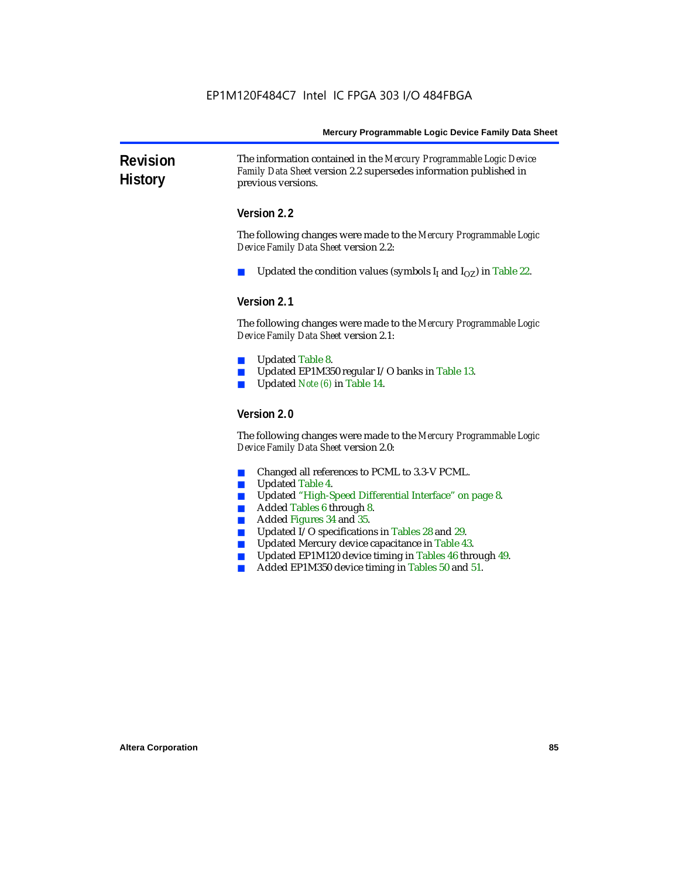**Revision History** The information contained in the *Mercury Programmable Logic Device Family Data Sheet* version 2.2 supersedes information published in previous versions.

#### **Version 2.2**

The following changes were made to the *Mercury Programmable Logic Device Family Data Sheet* version 2.2:

Updated the condition values (symbols  $I_I$  and  $I_{OZ}$ ) in Table 22.

#### **Version 2.1**

The following changes were made to the *Mercury Programmable Logic Device Family Data Sheet* version 2.1:

- Updated Table 8.
- Updated EP1M350 regular I/O banks in Table 13.
- Updated *Note (6)* in Table 14.

#### **Version 2.0**

The following changes were made to the *Mercury Programmable Logic Device Family Data Sheet* version 2.0:

- Changed all references to PCML to 3.3-V PCML.
- Updated Table 4.
- Updated "High-Speed Differential Interface" on page 8.
- Added Tables 6 through 8.
- Added Figures 34 and 35.
- Updated I/O specifications in Tables 28 and 29.
- Updated Mercury device capacitance in Table 43.
- Updated EP1M120 device timing in Tables 46 through 49.
- Added EP1M350 device timing in Tables 50 and 51.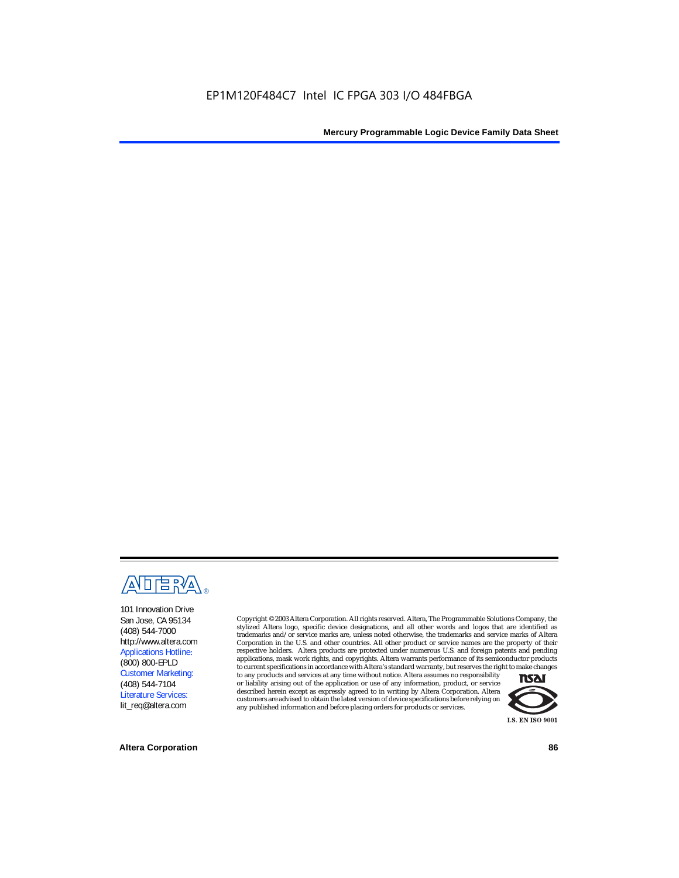

101 Innovation Drive San Jose, CA 95134 (408) 544-7000 http://www.altera.com Applications Hotline: (800) 800-EPLD Customer Marketing: (408) 544-7104 Literature Services: lit\_req@altera.com

Copyright © 2003 Altera Corporation. All rights reserved. Altera, The Programmable Solutions Company, the stylized Altera logo, specific device designations, and all other words and logos that are identified as trademarks and/or service marks are, unless noted otherwise, the trademarks and service marks of Altera Corporation in the U.S. and other countries. All other product or service names are the property of their respective holders. Altera products are protected under numerous U.S. and foreign patents and pending applications, mask work rights, and copyrights. Altera warrants performance of its semiconductor products

to current specifications in accordance with Altera's standard warranty, but reserves the right to make changes to any products and services at any time without notice. Altera assumes no responsibility or liability arising out of the application or use of any information, product, or service described herein except as expressly agreed to in writing by Altera Corporation. Altera customers are advised to obtain the latest version of device specifications before relying on any published information and before placing orders for products or services.